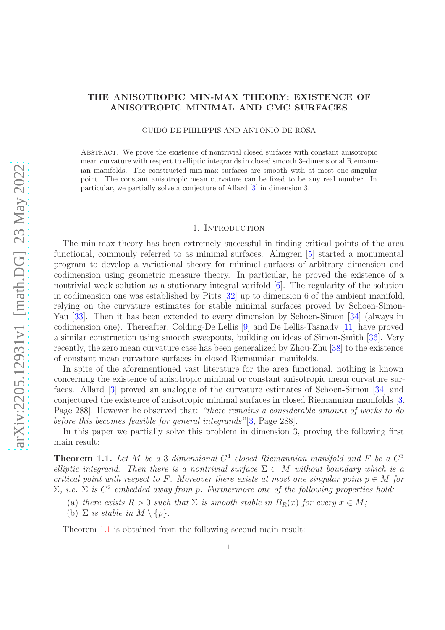# arXiv:2205.12931v1 [math.DG] 23 May 2022 [arXiv:2205.12931v1 \[math.DG\] 23 May 2022](http://arxiv.org/abs/2205.12931v1)

# THE ANISOTROPIC MIN-MAX THEORY: EXISTENCE OF ANISOTROPIC MINIMAL AND CMC SURFACES

GUIDO DE PHILIPPIS AND ANTONIO DE ROSA

Abstract. We prove the existence of nontrivial closed surfaces with constant anisotropic mean curvature with respect to elliptic integrands in closed smooth 3–dimensional Riemannian manifolds. The constructed min-max surfaces are smooth with at most one singular point. The constant anisotropic mean curvature can be fixed to be any real number. In particular, we partially solve a conjecture of Allard [\[3\]](#page-35-0) in dimension 3.

### 1. Introduction

The min-max theory has been extremely successful in finding critical points of the area functional, commonly referred to as minimal surfaces. Almgren [\[5\]](#page-35-1) started a monumental program to develop a variational theory for minimal surfaces of arbitrary dimension and codimension using geometric measure theory. In particular, he proved the existence of a nontrivial weak solution as a stationary integral varifold  $[6]$ . The regularity of the solution in codimension one was established by Pitts [\[32\]](#page-37-0) up to dimension 6 of the ambient manifold, relying on the curvature estimates for stable minimal surfaces proved by Schoen-Simon-Yau [\[33\]](#page-37-1). Then it has been extended to every dimension by Schoen-Simon [\[34\]](#page-37-2) (always in codimension one). Thereafter, Colding-De Lellis [\[9\]](#page-36-0) and De Lellis-Tasnady [\[11\]](#page-36-1) have proved a similar construction using smooth sweepouts, building on ideas of Simon-Smith [\[36\]](#page-37-3). Very recently, the zero mean curvature case has been generalized by Zhou-Zhu [\[38\]](#page-37-4) to the existence of constant mean curvature surfaces in closed Riemannian manifolds.

In spite of the aforementioned vast literature for the area functional, nothing is known concerning the existence of anisotropic minimal or constant anisotropic mean curvature surfaces. Allard [\[3\]](#page-35-0) proved an analogue of the curvature estimates of Schoen-Simon [\[34\]](#page-37-2) and conjectured the existence of anisotropic minimal surfaces in closed Riemannian manifolds [\[3,](#page-35-0) Page 288. However he observed that: "there remains a considerable amount of works to do before this becomes feasible for general integrands"[\[3,](#page-35-0) Page 288].

In this paper we partially solve this problem in dimension 3, proving the following first main result:

<span id="page-0-0"></span>**Theorem 1.1.** Let M be a 3-dimensional  $C<sup>4</sup>$  closed Riemannian manifold and F be a  $C<sup>3</sup>$ elliptic integrand. Then there is a nontrivial surface  $\Sigma \subset M$  without boundary which is a critical point with respect to F. Moreover there exists at most one singular point  $p \in M$  for  $\Sigma$ , i.e.  $\Sigma$  is  $C^2$  embedded away from p. Furthermore one of the following properties hold:

- (a) there exists  $R > 0$  such that  $\Sigma$  is smooth stable in  $B_R(x)$  for every  $x \in M$ ;
- (b)  $\Sigma$  is stable in  $M \setminus \{p\}.$

Theorem [1.1](#page-0-0) is obtained from the following second main result: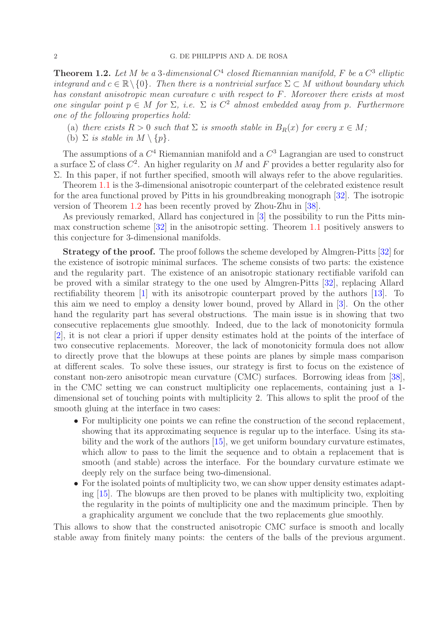<span id="page-1-0"></span>**Theorem 1.2.** Let M be a 3-dimensional  $C^4$  closed Riemannian manifold, F be a  $C^3$  elliptic integrand and  $c \in \mathbb{R} \setminus \{0\}$ . Then there is a nontrivial surface  $\Sigma \subset M$  without boundary which has constant anisotropic mean curvature c with respect to F. Moreover there exists at most one singular point  $p \in M$  for  $\Sigma$ , i.e.  $\Sigma$  is  $C^2$  almost embedded away from p. Furthermore one of the following properties hold:

- (a) there exists  $R > 0$  such that  $\Sigma$  is smooth stable in  $B_R(x)$  for every  $x \in M$ ;
- (b)  $\Sigma$  is stable in  $M \setminus \{p\}.$

The assumptions of a  $C^4$  Riemannian manifold and a  $C^3$  Lagrangian are used to construct a surface  $\Sigma$  of class  $C^2$ . An higher regularity on M and F provides a better regularity also for Σ. In this paper, if not further specified, smooth will always refer to the above regularities.

Theorem [1.1](#page-0-0) is the 3-dimensional anisotropic counterpart of the celebrated existence result for the area functional proved by Pitts in his groundbreaking monograph [\[32\]](#page-37-0). The isotropic version of Theorem [1.2](#page-1-0) has been recently proved by Zhou-Zhu in [\[38\]](#page-37-4).

As previously remarked, Allard has conjectured in [\[3\]](#page-35-0) the possibility to run the Pitts minmax construction scheme [\[32\]](#page-37-0) in the anisotropic setting. Theorem [1.1](#page-0-0) positively answers to this conjecture for 3-dimensional manifolds.

Strategy of the proof. The proof follows the scheme developed by Almgren-Pitts [\[32\]](#page-37-0) for the existence of isotropic minimal surfaces. The scheme consists of two parts: the existence and the regularity part. The existence of an anisotropic stationary rectifiable varifold can be proved with a similar strategy to the one used by Almgren-Pitts [\[32\]](#page-37-0), replacing Allard rectifiability theorem [\[1\]](#page-35-3) with its anisotropic counterpart proved by the authors [\[13\]](#page-36-2). To this aim we need to employ a density lower bound, proved by Allard in [\[3\]](#page-35-0). On the other hand the regularity part has several obstructions. The main issue is in showing that two consecutive replacements glue smoothly. Indeed, due to the lack of monotonicity formula [\[2\]](#page-35-4), it is not clear a priori if upper density estimates hold at the points of the interface of two consecutive replacements. Moreover, the lack of monotonicity formula does not allow to directly prove that the blowups at these points are planes by simple mass comparison at different scales. To solve these issues, our strategy is first to focus on the existence of constant non-zero anisotropic mean curvature (CMC) surfaces. Borrowing ideas from [\[38\]](#page-37-4), in the CMC setting we can construct multiplicity one replacements, containing just a 1 dimensional set of touching points with multiplicity 2. This allows to split the proof of the smooth gluing at the interface in two cases:

- For multiplicity one points we can refine the construction of the second replacement, showing that its approximating sequence is regular up to the interface. Using its stability and the work of the authors [\[15\]](#page-36-3), we get uniform boundary curvature estimates, which allow to pass to the limit the sequence and to obtain a replacement that is smooth (and stable) across the interface. For the boundary curvature estimate we deeply rely on the surface being two-dimensional.
- For the isolated points of multiplicity two, we can show upper density estimates adapting [\[15\]](#page-36-3). The blowups are then proved to be planes with multiplicity two, exploiting the regularity in the points of multiplicity one and the maximum principle. Then by a graphicality argument we conclude that the two replacements glue smoothly.

This allows to show that the constructed anisotropic CMC surface is smooth and locally stable away from finitely many points: the centers of the balls of the previous argument.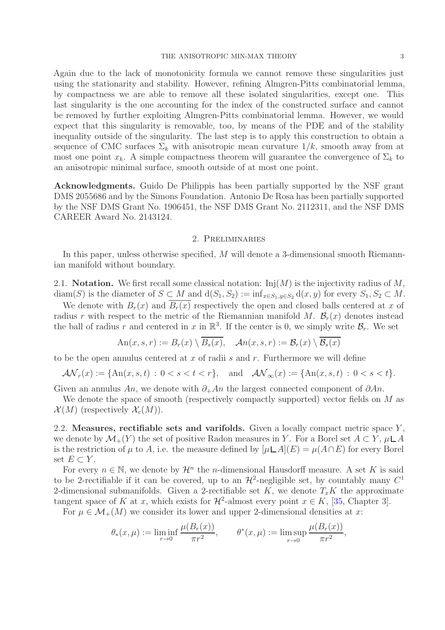Again due to the lack of monotonicity formula we cannot remove these singularities just using the stationarity and stability. However, refining Almgren-Pitts combinatorial lemma, by compactness we are able to remove all these isolated singularities, except one. This last singularity is the one accounting for the index of the constructed surface and cannot be removed by further exploiting Almgren-Pitts combinatorial lemma. However, we would expect that this singularity is removable, too, by means of the PDE and of the stability inequality outside of the singularity. The last step is to apply this construction to obtain a sequence of CMC surfaces  $\Sigma_k$  with anisotropic mean curvature  $1/k$ , smooth away from at most one point  $x_k$ . A simple compactness theorem will guarantee the convergence of  $\Sigma_k$  to an anisotropic minimal surface, smooth outside of at most one point.

Acknowledgments. Guido De Philippis has been partially supported by the NSF grant DMS 2055686 and by the Simons Foundation. Antonio De Rosa has been partially supported by the NSF DMS Grant No. 1906451, the NSF DMS Grant No. 2112311, and the NSF DMS CAREER Award No. 2143124.

### 2. Preliminaries

<span id="page-2-0"></span>In this paper, unless otherwise specified, M will denote a 3-dimensional smooth Riemannian manifold without boundary.

2.1. Notation. We first recall some classical notation:  $\text{Inj}(M)$  is the injectivity radius of M, diam(S) is the diameter of  $S \subset M$  and  $d(S_1, S_2) := \inf_{x \in S_1, y \in S_2} d(x, y)$  for every  $S_1, S_2 \subset M$ .

We denote with  $B_r(x)$  and  $B_r(x)$  respectively the open and closed balls centered at x of radius r with respect to the metric of the Riemannian manifold M.  $\mathcal{B}_r(x)$  denotes instead the ball of radius r and centered in x in  $\mathbb{R}^3$ . If the center is 0, we simply write  $\mathcal{B}_r$ . We set

$$
An(x, s, r) := B_r(x) \setminus \overline{B_s(x)}, \quad \mathcal{A}n(x, s, r) := \mathcal{B}_r(x) \setminus \overline{\mathcal{B}_s(x)}
$$

to be the open annulus centered at  $x$  of radii  $s$  and  $r$ . Furthermore we will define

$$
\mathcal{AN}_r(x) := \{ \text{An}(x, s, t) : 0 < s < t < r \}, \quad \text{and} \quad \mathcal{AN}_\infty(x) := \{ \text{An}(x, s, t) : 0 < s < t \}.
$$

Given an annulus An, we denote with  $\partial_+ An$  the largest connected component of  $\partial An$ .

We denote the space of smooth (respectively compactly supported) vector fields on M as  $\mathcal{X}(M)$  (respectively  $\mathcal{X}_c(M)$ ).

2.2. Measures, rectifiable sets and varifolds. Given a locally compact metric space  $Y$ , we denote by  $\mathcal{M}_+(Y)$  the set of positive Radon measures in Y. For a Borel set  $A \subset Y, \mu \sqcup A$ is the restriction of  $\mu$  to A, i.e. the measure defined by  $[\mu\Box A](E) = \mu(A\cap E)$  for every Borel set  $E \subset Y$ .

For every  $n \in \mathbb{N}$ , we denote by  $\mathcal{H}^n$  the *n*-dimensional Hausdorff measure. A set K is said to be 2-rectifiable if it can be covered, up to an  $\mathcal{H}^2$ -negligible set, by countably many  $C^1$ 2-dimensional submanifolds. Given a 2-rectifiable set K, we denote  $T_xK$  the approximate tangent space of K at x, which exists for  $\mathcal{H}^2$ -almost every point  $x \in K$ , [\[35,](#page-37-5) Chapter 3].

For  $\mu \in \mathcal{M}_+(M)$  we consider its lower and upper 2-dimensional densities at x:

$$
\theta_*(x,\mu) := \liminf_{r \to 0} \frac{\mu(B_r(x))}{\pi r^2}, \qquad \theta^*(x,\mu) := \limsup_{r \to 0} \frac{\mu(B_r(x))}{\pi r^2},
$$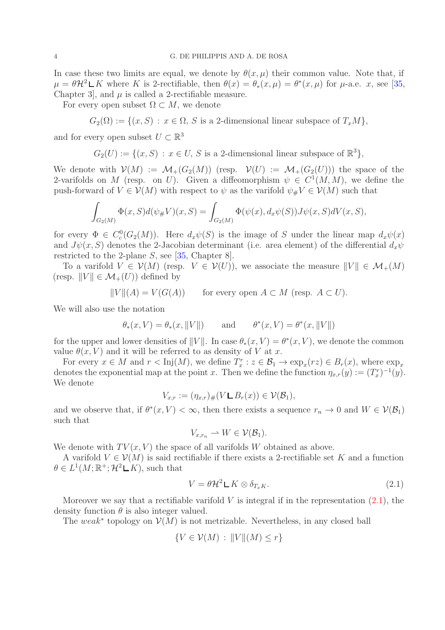In case these two limits are equal, we denote by  $\theta(x,\mu)$  their common value. Note that, if  $\mu = \theta \mathcal{H}^2 \Box K$  where K is 2-rectifiable, then  $\theta(x) = \theta_*(x, \mu) = \theta^*(x, \mu)$  for  $\mu$ -a.e. x, see [\[35,](#page-37-5) Chapter 3, and  $\mu$  is called a 2-rectifiable measure.

For every open subset  $\Omega \subset M$ , we denote

 $G_2(\Omega) := \{(x, S) : x \in \Omega, S \text{ is a 2-dimensional linear subspace of } T_xM\},\$ 

and for every open subset  $U \subset \mathbb{R}^3$ 

$$
G_2(U) := \{(x, S) : x \in U, S \text{ is a 2-dimensional linear subspace of } \mathbb{R}^3\},\
$$

We denote with  $\mathcal{V}(M) := \mathcal{M}_+(G_2(M))$  (resp.  $\mathcal{V}(U) := \mathcal{M}_+(G_2(U))$ ) the space of the 2-varifolds on M (resp. on U). Given a diffeomorphism  $\psi \in C^1(M, M)$ , we define the push-forward of  $V \in \mathcal{V}(M)$  with respect to  $\psi$  as the varifold  $\psi_{\#} V \in \mathcal{V}(M)$  such that

$$
\int_{G_2(M)} \Phi(x, S) d(\psi_{\#} V)(x, S) = \int_{G_2(M)} \Phi(\psi(x), d_x \psi(S)) J\psi(x, S) dV(x, S),
$$

for every  $\Phi \in C_c^0(G_2(M))$ . Here  $d_x\psi(S)$  is the image of S under the linear map  $d_x\psi(x)$ and  $J\psi(x, S)$  denotes the 2-Jacobian determinant (i.e. area element) of the differential  $d_x\psi$ restricted to the 2-plane S, see [\[35,](#page-37-5) Chapter 8].

To a varifold  $V \in \mathcal{V}(M)$  (resp.  $V \in \mathcal{V}(U)$ ), we associate the measure  $||V|| \in \mathcal{M}_+(M)$ (resp.  $||V|| \in \mathcal{M}_+(U)$ ) defined by

$$
||V||(A) = V(G(A)) \qquad \text{for every open } A \subset M \text{ (resp. } A \subset U).
$$

We will also use the notation

$$
\theta_*(x, V) = \theta_*(x, ||V||)
$$
 and  $\theta^*(x, V) = \theta^*(x, ||V||)$ 

for the upper and lower densities of  $||V||$ . In case  $\theta_*(x, V) = \theta^*(x, V)$ , we denote the common value  $\theta(x, V)$  and it will be referred to as density of V at x.

For every  $x \in M$  and  $r < Inj(M)$ , we define  $T_x^r : z \in \mathcal{B}_1 \to \exp_x(rz) \in B_r(x)$ , where  $\exp_x$ denotes the exponential map at the point x. Then we define the function  $\eta_{x,r}(y) := (T_x^r)^{-1}(y)$ . We denote

$$
V_{x,r} := (\eta_{x,r})_{\#}(V \sqcup B_r(x)) \in \mathcal{V}(\mathcal{B}_1),
$$

and we observe that, if  $\theta^*(x, V) < \infty$ , then there exists a sequence  $r_n \to 0$  and  $W \in V(\mathcal{B}_1)$ such that

$$
V_{x,r_n} \rightharpoonup W \in \mathcal{V}(\mathcal{B}_1).
$$

We denote with  $TV(x, V)$  the space of all varifolds W obtained as above.

A varifold  $V \in \mathcal{V}(M)$  is said rectifiable if there exists a 2-rectifiable set K and a function  $\theta \in L^1(M; \mathbb{R}^+; \mathcal{H}^2 \mathcal{L} K)$ , such that

<span id="page-3-0"></span>
$$
V = \theta \mathcal{H}^2 \mathsf{L} K \otimes \delta_{T_x K}.
$$
\n
$$
(2.1)
$$

Moreover we say that a rectifiable varifold  $V$  is integral if in the representation  $(2.1)$ , the density function  $\theta$  is also integer valued.

The weak<sup>\*</sup> topology on  $\mathcal{V}(M)$  is not metrizable. Nevertheless, in any closed ball

$$
\{V \in \mathcal{V}(M) : ||V||(M) \le r\}
$$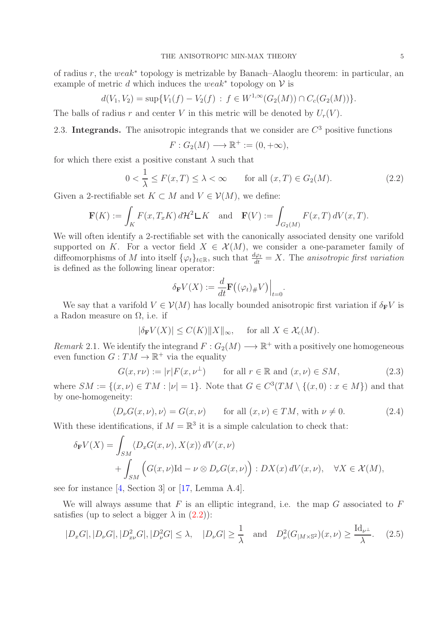of radius r, the weak<sup>∗</sup> topology is metrizable by Banach–Alaoglu theorem: in particular, an example of metric d which induces the weak<sup>\*</sup> topology on  $V$  is

$$
d(V_1, V_2) = \sup \{ V_1(f) - V_2(f) : f \in W^{1, \infty}(G_2(M)) \cap C_c(G_2(M)) \}.
$$

The balls of radius r and center V in this metric will be denoted by  $U_r(V)$ .

# 2.3. Integrands. The anisotropic integrands that we consider are  $C<sup>3</sup>$  positive functions

$$
F: G_2(M) \longrightarrow \mathbb{R}^+ := (0, +\infty),
$$

for which there exist a positive constant  $\lambda$  such that

<span id="page-4-0"></span>
$$
0 < \frac{1}{\lambda} \le F(x, T) \le \lambda < \infty \qquad \text{for all } (x, T) \in G_2(M). \tag{2.2}
$$

Given a 2-rectifiable set  $K \subset M$  and  $V \in \mathcal{V}(M)$ , we define:

$$
\mathbf{F}(K) := \int_K F(x, T_x K) d\mathcal{H}^2 \mathsf{L} K \text{ and } \mathbf{F}(V) := \int_{G_2(M)} F(x, T) dV(x, T).
$$

We will often identify a 2-rectifiable set with the canonically associated density one varifold supported on K. For a vector field  $X \in \mathcal{X}(M)$ , we consider a one-parameter family of diffeomorphisms of M into itself  $\{\varphi_t\}_{t\in\mathbb{R}}$ , such that  $\frac{d\varphi_t}{dt} = X$ . The anisotropic first variation is defined as the following linear operator:

$$
\delta_{\mathbf{F}} V(X) := \frac{d}{dt} \mathbf{F} \big( (\varphi_t)_{\#} V \big) \Big|_{t=0}
$$

We say that a varifold  $V \in \mathcal{V}(M)$  has locally bounded anisotropic first variation if  $\delta_{\mathbf{F}} V$  is a Radon measure on  $\Omega$ , i.e. if

$$
|\delta_{\mathbf{F}} V(X)| \le C(K) ||X||_{\infty}, \quad \text{ for all } X \in \mathcal{X}_c(M).
$$

<span id="page-4-3"></span>Remark 2.1. We identify the integrand  $F: G_2(M) \longrightarrow \mathbb{R}^+$  with a positively one homogeneous even function  $G: TM \to \mathbb{R}^+$  via the equality

$$
G(x, r\nu) := |r|F(x, \nu^{\perp}) \qquad \text{for all } r \in \mathbb{R} \text{ and } (x, \nu) \in SM,
$$
 (2.3)

.

where  $SM := \{(x, \nu) \in TM : |\nu| = 1\}$ . Note that  $G \in C^3(TM \setminus \{(x, 0) : x \in M\})$  and that by one-homogeneity:

<span id="page-4-2"></span>
$$
\langle D_{\nu}G(x,\nu),\nu\rangle = G(x,\nu) \qquad \text{for all } (x,\nu) \in TM, \text{ with } \nu \neq 0. \tag{2.4}
$$

With these identifications, if  $M = \mathbb{R}^3$  it is a simple calculation to check that:

$$
\delta_{\mathbf{F}}V(X) = \int_{SM} \langle D_x G(x,\nu), X(x) \rangle dV(x,\nu) + \int_{SM} \left( G(x,\nu) \mathrm{Id} - \nu \otimes D_{\nu} G(x,\nu) \right) : DX(x) dV(x,\nu), \quad \forall X \in \mathcal{X}(M),
$$

see for instance [\[4,](#page-35-5) Section 3] or [\[17,](#page-36-4) Lemma A.4].

We will always assume that  $F$  is an elliptic integrand, i.e. the map  $G$  associated to  $F$ satisfies (up to select a bigger  $\lambda$  in  $(2.2)$ ):

<span id="page-4-1"></span>
$$
|D_xG|, |D_\nu G|, |D_{x\nu}^2G|, |D_\nu^2G| \le \lambda, \quad |D_\nu G| \ge \frac{1}{\lambda} \quad \text{and} \quad D_\nu^2(G_{|M \times \mathbb{S}^2})(x,\nu) \ge \frac{\mathrm{Id}_{\nu^\perp}}{\lambda}.\tag{2.5}
$$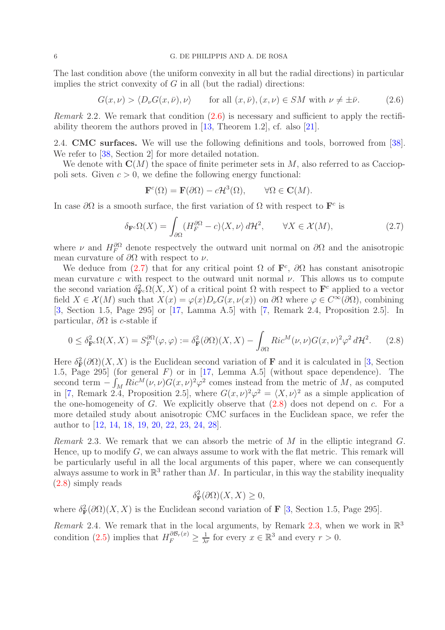The last condition above (the uniform convexity in all but the radial directions) in particular implies the strict convexity of  $G$  in all (but the radial) directions:

<span id="page-5-0"></span>
$$
G(x,\nu) > \langle D_{\nu}G(x,\bar{\nu}),\nu \rangle \quad \text{for all } (x,\bar{\nu}), (x,\nu) \in SM \text{ with } \nu \neq \pm \bar{\nu}. \tag{2.6}
$$

<span id="page-5-4"></span>*Remark* 2.2. We remark that condition  $(2.6)$  is necessary and sufficient to apply the rectifiability theorem the authors proved in [\[13,](#page-36-2) Theorem 1.2], cf. also [\[21\]](#page-36-5).

2.4. CMC surfaces. We will use the following definitions and tools, borrowed from [\[38\]](#page-37-4). We refer to  $[38, Section 2]$  for more detailed notation.

We denote with  $\mathbf{C}(M)$  the space of finite perimeter sets in M, also referred to as Caccioppoli sets. Given  $c > 0$ , we define the following energy functional:

$$
\mathbf{F}^c(\Omega) = \mathbf{F}(\partial\Omega) - c\mathcal{H}^3(\Omega), \qquad \forall \Omega \in \mathbf{C}(M).
$$

In case  $\partial\Omega$  is a smooth surface, the first variation of  $\Omega$  with respect to  $\mathbf{F}^c$  is

<span id="page-5-1"></span>
$$
\delta_{\mathbf{F}^c} \Omega(X) = \int_{\partial \Omega} (H_F^{\partial \Omega} - c) \langle X, \nu \rangle d\mathcal{H}^2, \qquad \forall X \in \mathcal{X}(M), \tag{2.7}
$$

where  $\nu$  and  $H_F^{\partial\Omega}$  denote respectively the outward unit normal on  $\partial\Omega$  and the anisotropic mean curvature of  $\partial\Omega$  with respect to  $\nu$ .

We deduce from [\(2.7\)](#page-5-1) that for any critical point  $\Omega$  of  $\mathbf{F}^c$ ,  $\partial\Omega$  has constant anisotropic mean curvature c with respect to the outward unit normal  $\nu$ . This allows us to compute the second variation  $\delta_{\mathbf{F}^c}^2 \Omega(X,X)$  of a critical point  $\Omega$  with respect to  $\mathbf{F}^c$  applied to a vector field  $X \in \mathcal{X}(M)$  such that  $X(x) = \varphi(x)D_{\nu}G(x,\nu(x))$  on  $\partial\Omega$  where  $\varphi \in C^{\infty}(\partial\Omega)$ , combining [\[3,](#page-35-0) Section 1.5, Page 295] or [\[17,](#page-36-4) Lamma A.5] with [\[7,](#page-35-6) Remark 2.4, Proposition 2.5]. In particular,  $\partial\Omega$  is c-stable if

<span id="page-5-2"></span>
$$
0 \le \delta_{\mathbf{F}^c}^2 \Omega(X, X) = S_F^{\partial\Omega}(\varphi, \varphi) := \delta_{\mathbf{F}}^2(\partial\Omega)(X, X) - \int_{\partial\Omega} Ric^M(\nu, \nu) G(x, \nu)^2 \varphi^2 d\mathcal{H}^2. \tag{2.8}
$$

Here  $\delta_{\mathbf{F}}^2(\partial\Omega)(X,X)$  is the Euclidean second variation of **F** and it is calculated in [\[3,](#page-35-0) Section 1.5, Page 295] (for general  $F$ ) or in [\[17,](#page-36-4) Lemma A.5] (without space dependence). The second term  $-\int_M Ric^M(\nu,\nu)G(x,\nu)^2\varphi^2$  comes instead from the metric of M, as computed in [\[7,](#page-35-6) Remark 2.4, Proposition 2.5], where  $G(x, \nu)^2 \varphi^2 = \langle X, \nu \rangle^2$  as a simple application of the one-homogeneity of  $G$ . We explicitly observe that  $(2.8)$  does not depend on c. For a more detailed study about anisotropic CMC surfaces in the Euclidean space, we refer the author to [\[12,](#page-36-6) [14,](#page-36-7) [18,](#page-36-8) [19,](#page-36-9) [20,](#page-36-10) [22,](#page-36-11) [23,](#page-36-12) [24,](#page-36-13) [28\]](#page-36-14).

<span id="page-5-3"></span>*Remark* 2.3. We remark that we can absorb the metric of  $M$  in the elliptic integrand  $G$ . Hence, up to modify  $G$ , we can always assume to work with the flat metric. This remark will be particularly useful in all the local arguments of this paper, where we can consequently always assume to work in  $\mathbb{R}^3$  rather than M. In particular, in this way the stability inequality [\(2.8\)](#page-5-2) simply reads

$$
\delta_{\mathbf{F}}^2(\partial\Omega)(X,X) \ge 0,
$$

where  $\delta_{\mathbf{F}}^2(\partial\Omega)(X,X)$  is the Euclidean second variation of **F** [\[3,](#page-35-0) Section 1.5, Page 295].

<span id="page-5-5"></span>Remark 2.4. We remark that in the local arguments, by Remark [2.3,](#page-5-3) when we work in  $\mathbb{R}^3$ condition [\(2.5\)](#page-4-1) implies that  $H_F^{\partial \mathcal{B}_r(x)} \geq \frac{1}{\lambda r}$  for every  $x \in \mathbb{R}^3$  and every  $r > 0$ .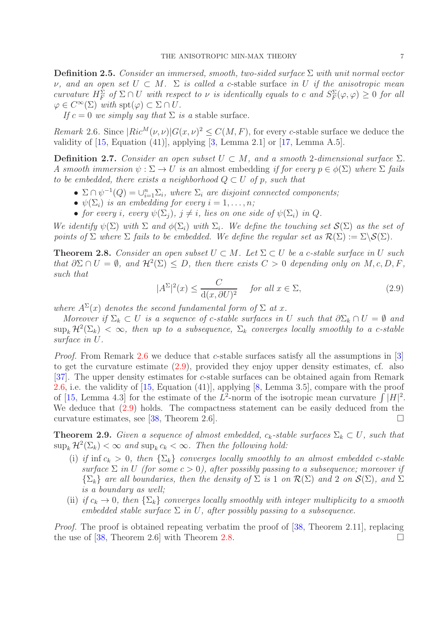**Definition 2.5.** Consider an immersed, smooth, two-sided surface  $\Sigma$  with unit normal vector  $ν$ , and an open set  $U \subset M$ .  $\Sigma$  is called a c-stable surface in U if the anisotropic mean curvature  $H_F^{\Sigma}$  of  $\Sigma \cap U$  with respect to  $\nu$  is identically equals to c and  $S_F^{\Sigma}(\varphi, \varphi) \geq 0$  for all  $\varphi \in C^{\infty}(\Sigma)$  with  $\text{spt}(\varphi) \subset \Sigma \cap U$ .

If  $c = 0$  we simply say that  $\Sigma$  is a stable surface.

<span id="page-6-0"></span>Remark 2.6. Since  $|Ric^M(\nu,\nu)|G(x,\nu)^2 \leq C(M,F)$ , for every c-stable surface we deduce the validity of  $[15, Equation (41)],$  applying  $[3, Lemma 2.1]$  or  $[17, Lemma A.5].$ 

**Definition 2.7.** Consider an open subset  $U \subset M$ , and a smooth 2-dimensional surface  $\Sigma$ . A smooth immersion  $\psi : \Sigma \to U$  is an almost embedding if for every  $p \in \phi(\Sigma)$  where  $\Sigma$  fails to be embedded, there exists a neighborhood  $Q \subset U$  of p, such that

- $\Sigma \cap \psi^{-1}(Q) = \bigcup_{i=1}^n \Sigma_i$ , where  $\Sigma_i$  are disjoint connected components;
- $\psi(\Sigma_i)$  is an embedding for every  $i = 1, \ldots, n;$
- for every i, every  $\psi(\Sigma_i)$ ,  $j \neq i$ , lies on one side of  $\psi(\Sigma_i)$  in Q.

We identify  $\psi(\Sigma)$  with  $\Sigma$  and  $\phi(\Sigma_i)$  with  $\Sigma_i$ . We define the touching set  $\mathcal{S}(\Sigma)$  as the set of points of  $\Sigma$  where  $\Sigma$  fails to be embedded. We define the regular set as  $\mathcal{R}(\Sigma) := \Sigma \backslash \mathcal{S}(\Sigma)$ .

<span id="page-6-2"></span>**Theorem 2.8.** Consider an open subset  $U \subset M$ . Let  $\Sigma \subset U$  be a c-stable surface in U such that  $\partial \Sigma \cap U = \emptyset$ , and  $\mathcal{H}^2(\Sigma) \leq D$ , then there exists  $C > 0$  depending only on  $M, c, D, F$ , such that

<span id="page-6-1"></span>
$$
|A^{\Sigma}|^2(x) \le \frac{C}{d(x,\partial U)^2} \quad \text{for all } x \in \Sigma,
$$
\n(2.9)

where  $A^{\Sigma}(x)$  denotes the second fundamental form of  $\Sigma$  at x.

Moreover if  $\Sigma_k \subset U$  is a sequence of c-stable surfaces in U such that  $\partial \Sigma_k \cap U = \emptyset$  and  $\sup_k \mathcal{H}^2(\Sigma_k) < \infty$ , then up to a subsequence,  $\Sigma_k$  converges locally smoothly to a c-stable surface in U.

*Proof.* From Remark [2.6](#page-6-0) we deduce that c-stable surfaces satisfy all the assumptions in  $\vert 3 \vert$ to get the curvature estimate [\(2.9\)](#page-6-1), provided they enjoy upper density estimates, cf. also [\[37\]](#page-37-6). The upper density estimates for c-stable surfaces can be obtained again from Remark [2.6,](#page-6-0) i.e. the validity of [\[15,](#page-36-3) Equation (41)], applying [\[8,](#page-36-15) Lemma 3.5], compare with the proof of [\[15,](#page-36-3) Lemma 4.3] for the estimate of the  $\hat{L}^2$ -norm of the isotropic mean curvature  $\int |H|^2$ . We deduce that  $(2.9)$  holds. The compactness statement can be easily deduced from the curvature estimates, see [\[38,](#page-37-4) Theorem 2.6].

<span id="page-6-3"></span>**Theorem 2.9.** Given a sequence of almost embedded,  $c_k$ -stable surfaces  $\Sigma_k \subset U$ , such that  $\sup_k \mathcal{H}^2(\Sigma_k) < \infty$  and  $\sup_k c_k < \infty$ . Then the following hold:

- (i) if inf  $c_k > 0$ , then  $\{\Sigma_k\}$  converges locally smoothly to an almost embedded c-stable surface  $\Sigma$  in U (for some  $c > 0$ ), after possibly passing to a subsequence; moreover if  $\{\Sigma_k\}$  are all boundaries, then the density of  $\Sigma$  is 1 on  $\mathcal{R}(\Sigma)$  and 2 on  $\mathcal{S}(\Sigma)$ , and  $\Sigma$ is a boundary as well;
- (ii) if  $c_k \to 0$ , then  $\{\Sigma_k\}$  converges locally smoothly with integer multiplicity to a smooth embedded stable surface  $\Sigma$  in U, after possibly passing to a subsequence.

Proof. The proof is obtained repeating verbatim the proof of [\[38,](#page-37-4) Theorem 2.11], replacing the use of [\[38,](#page-37-4) Theorem 2.6] with Theorem [2.8.](#page-6-2)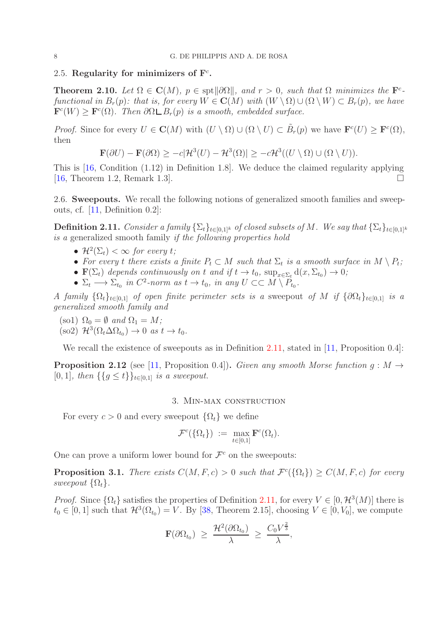# 2.5. Regularity for minimizers of  $\mathbf{F}^c$ .

**Theorem 2.10.** Let  $\Omega \in \mathbb{C}(M)$ ,  $p \in \text{spt} \|\partial \Omega\|$ , and  $r > 0$ , such that  $\Omega$  minimizes the  $\mathbf{F}^c$ functional in  $B_r(p)$ : that is, for every  $W \in \mathbf{C}(M)$  with  $(W \setminus \Omega) \cup (\Omega \setminus W) \subset B_r(p)$ , we have  $\mathbf{F}^{c}(W) \geq \mathbf{F}^{c}(\Omega)$ . Then  $\partial \Omega \square B_r(p)$  is a smooth, embedded surface.

*Proof.* Since for every  $U \in \mathbf{C}(M)$  with  $(U \setminus \Omega) \cup (\Omega \setminus U) \subset \tilde{B}_r(p)$  we have  $\mathbf{F}^c(U) \geq \mathbf{F}^c(\Omega)$ , then

$$
\mathbf{F}(\partial U) - \mathbf{F}(\partial \Omega) \ge -c|\mathcal{H}^{3}(U) - \mathcal{H}^{3}(\Omega)| \ge -c\mathcal{H}^{3}((U \setminus \Omega) \cup (\Omega \setminus U)).
$$

This is [\[16,](#page-36-16) Condition (1.12) in Definition 1.8]. We deduce the claimed regularity applying [\[16,](#page-36-16) Theorem 1.2, Remark 1.3].

2.6. Sweepouts. We recall the following notions of generalized smooth families and sweepouts, cf. [\[11,](#page-36-1) Definition 0.2]:

<span id="page-7-0"></span>**Definition 2.11.** Consider a family  $\{\Sigma_t\}_{t\in[0,1]^k}$  of closed subsets of M. We say that  $\{\Sigma_t\}_{t\in[0,1]^k}$ is a generalized smooth family if the following properties hold

- $\mathcal{H}^2(\Sigma_t) < \infty$  for every t;
- For every t there exists a finite  $P_t \subset M$  such that  $\Sigma_t$  is a smooth surface in  $M \setminus P_t$ ;
- $\mathbf{F}(\Sigma_t)$  depends continuously on t and if  $t \to t_0$ ,  $\sup_{x \in \Sigma_t} d(x, \Sigma_{t_0}) \to 0$ ;
- $\Sigma_t \longrightarrow \Sigma_{t_0}$  in  $C^2$ -norm as  $t \to t_0$ , in any  $U \subset\subset M \setminus P_{t_0}$ .

A family  $\{\Omega_t\}_{t\in[0,1]}$  of open finite perimeter sets is a sweepout of M if  $\{\partial\Omega_t\}_{t\in[0,1]}$  is a generalized smooth family and

(so1)  $\Omega_0 = \emptyset$  and  $\Omega_1 = M$ ; (so2)  $\mathcal{H}^3(\Omega_t \Delta \Omega_{t_0}) \to 0$  as  $t \to t_0$ .

We recall the existence of sweepouts as in Definition [2.11,](#page-7-0) stated in [\[11,](#page-36-1) Proposition 0.4]:

<span id="page-7-2"></span>**Proposition 2.12** (see [\[11,](#page-36-1) Proposition 0.4]). Given any smooth Morse function  $q : M \rightarrow$ [0, 1], then  $\{\{g \le t\}\}_{{t \in [0,1]} }$  is a sweepout.

### 3. Min-max construction

For every  $c > 0$  and every sweepout  $\{\Omega_t\}$  we define

$$
\mathcal{F}^c(\{\Omega_t\}) := \max_{t \in [0,1]} \mathbf{F}^c(\Omega_t).
$$

One can prove a uniform lower bound for  $\mathcal{F}^c$  on the sweepouts:

<span id="page-7-1"></span>**Proposition 3.1.** There exists  $C(M, F, c) > 0$  such that  $\mathcal{F}^c(\{\Omega_t\}) \geq C(M, F, c)$  for every sweepout  $\{\Omega_t\}.$ 

*Proof.* Since  $\{\Omega_t\}$  satisfies the properties of Definition [2.11,](#page-7-0) for every  $V \in [0, \mathcal{H}^3(M)]$  there is  $t_0 \in [0, 1]$  such that  $\mathcal{H}^3(\Omega_{t_0}) = V$ . By [\[38,](#page-37-4) Theorem 2.15], choosing  $V \in [0, V_0]$ , we compute

$$
\mathbf{F}(\partial\Omega_{t_0}) \ \geq \ \frac{\mathcal{H}^2(\partial\Omega_{t_0})}{\lambda} \ \geq \ \frac{C_0V^{\frac{2}{3}}}{\lambda},
$$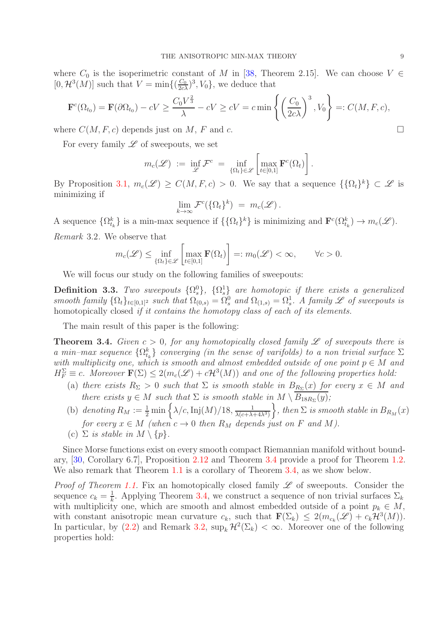where  $C_0$  is the isoperimetric constant of M in [\[38,](#page-37-4) Theorem 2.15]. We can choose  $V \in$  $[0, \mathcal{H}^3(M)]$  such that  $V = \min\{(\frac{C_0}{2c\lambda})^3, V_0\}$ , we deduce that

$$
\mathbf{F}^c(\Omega_{t_0}) = \mathbf{F}(\partial \Omega_{t_0}) - cV \ge \frac{C_0 V^{\frac{2}{3}}}{\lambda} - cV \ge cV = c \min\left\{ \left(\frac{C_0}{2c\lambda}\right)^3, V_0 \right\} =: C(M, F, c),
$$

where  $C(M, F, c)$  depends just on M, F and c.

For every family  $\mathscr L$  of sweepouts, we set

$$
m_c(\mathscr{L}) \ := \ \inf_{\mathscr{L}} \mathcal{F}^c \ = \ \inf_{\{\Omega_t\} \in \mathscr{L}} \left[ \max_{t \in [0,1]} \mathbf{F}^c(\Omega_t) \right].
$$

By Proposition [3.1,](#page-7-1)  $m_c(\mathscr{L}) \geq C(M, F, c) > 0$ . We say that a sequence  $\{\{\Omega_t\}^k\} \subset \mathscr{L}$  is minimizing if

$$
\lim_{k\to\infty}\mathcal{F}^c(\{\Omega_t\}^k) = m_c(\mathscr{L}).
$$

<span id="page-8-1"></span>A sequence  $\{\Omega_{t_k}^k\}$  is a min-max sequence if  $\{\{\Omega_t\}^k\}$  is minimizing and  $\mathbf{F}^c(\Omega_{t_k}^k) \to m_c(\mathscr{L})$ . Remark 3.2. We observe that

$$
m_c(\mathscr{L}) \le \inf_{\{\Omega_t\} \in \mathscr{L}} \left[ \max_{t \in [0,1]} \mathbf{F}(\Omega_t) \right] =: m_0(\mathscr{L}) < \infty, \qquad \forall c > 0.
$$

We will focus our study on the following families of sweepouts:

**Definition 3.3.** Two sweepouts  $\{\Omega_s^0\}$ ,  $\{\Omega_s^1\}$  are homotopic if there exists a generalized smooth family  $\{\Omega_t\}_{t\in[0,1]^2}$  such that  $\Omega_{(0,s)} = \Omega_s^0$  and  $\Omega_{(1,s)} = \Omega_s^1$ . A family  $\mathscr L$  of sweepouts is homotopically closed *if it contains the homotopy class of each of its elements*.

The main result of this paper is the following:

<span id="page-8-0"></span>**Theorem 3.4.** Given  $c > 0$ , for any homotopically closed family  $\mathscr L$  of sweepouts there is a min–max sequence  $\{\Omega_{t_k}^k\}$  converging (in the sense of varifolds) to a non trivial surface  $\Sigma$ with multiplicity one, which is smooth and almost embedded outside of one point  $p \in M$  and  $H_F^{\Sigma} \equiv c$ . Moreover  $\mathbf{F}(\Sigma) \leq 2(m_c(\mathscr{L}) + c\mathcal{H}^3(M))$  and one of the following properties hold:

- (a) there exists  $R_{\Sigma} > 0$  such that  $\Sigma$  is smooth stable in  $B_{R_{\Sigma}}(x)$  for every  $x \in M$  and there exists  $y \in M$  such that  $\Sigma$  is smooth stable in  $M \setminus B_{18R_{\Sigma}}(y)$ ;
- (b) denoting  $R_M := \frac{1}{2} \min \left\{ \frac{\lambda}{c}, \text{Inj}(M)/18, \frac{1}{\lambda(c+\lambda)} \right\}$  $\lambda(c+\lambda+4\lambda^3)$  $\},\, then\, \sum \, is\, smooth\, stable\, \, in\, \, B_{R_M}(x)$ for every  $x \in M$  (when  $c \to 0$  then  $R_M$  depends just on F and M).
- (c)  $\Sigma$  is stable in  $M \setminus \{p\}.$

Since Morse functions exist on every smooth compact Riemannian manifold without boundary, [\[30,](#page-36-17) Corollary 6.7], Proposition [2.12](#page-7-2) and Theorem [3.4](#page-8-0) provide a proof for Theorem [1.2.](#page-1-0) We also remark that Theorem [1.1](#page-0-0) is a corollary of Theorem [3.4,](#page-8-0) as we show below.

*Proof of Theorem [1.1.](#page-0-0)* Fix an homotopically closed family  $\mathscr L$  of sweepouts. Consider the sequence  $c_k = \frac{1}{k}$  $\frac{1}{k}$ . Applying Theorem [3.4,](#page-8-0) we construct a sequence of non trivial surfaces  $\Sigma_k$ with multiplicity one, which are smooth and almost embedded outside of a point  $p_k \in M$ , with constant anisotropic mean curvature  $c_k$ , such that  $\mathbf{F}(\Sigma_k) \leq 2(m_{c_k}(\mathscr{L}) + c_k \mathcal{H}^3(M)).$ In particular, by [\(2.2\)](#page-4-0) and Remark [3.2,](#page-8-1)  $\sup_k \mathcal{H}^2(\Sigma_k) < \infty$ . Moreover one of the following properties hold: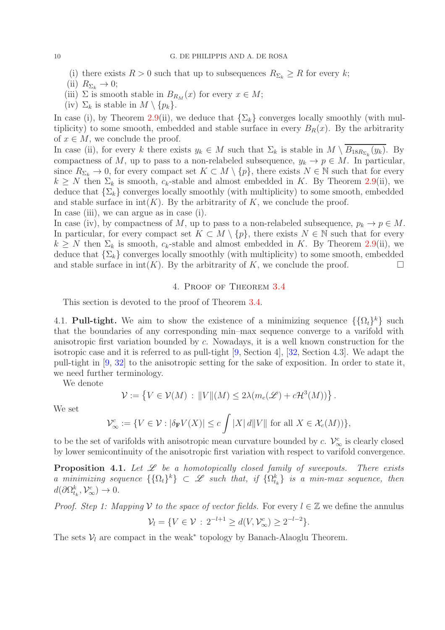(i) there exists  $R > 0$  such that up to subsequences  $R_{\Sigma_k} \geq R$  for every k;

(ii)  $R_{\Sigma_k} \to 0;$ 

- (iii)  $\Sigma$  is smooth stable in  $B_{R_M}(x)$  for every  $x \in M$ ;
- (iv)  $\Sigma_k$  is stable in  $M \setminus \{p_k\}.$

In case (i), by Theorem [2.9\(](#page-6-3)ii), we deduce that  $\{\Sigma_k\}$  converges locally smoothly (with multiplicity) to some smooth, embedded and stable surface in every  $B_R(x)$ . By the arbitrarity of  $x \in M$ , we conclude the proof.

In case (ii), for every k there exists  $y_k \in M$  such that  $\Sigma_k$  is stable in  $M \setminus B_{18R_{\Sigma_k}}(y_k)$ . By compactness of M, up to pass to a non-relabeled subsequence,  $y_k \to p \in M$ . In particular, since  $R_{\Sigma_k} \to 0$ , for every compact set  $K \subset M \setminus \{p\}$ , there exists  $N \in \mathbb{N}$  such that for every  $k \geq N$  then  $\Sigma_k$  is smooth,  $c_k$ -stable and almost embedded in K. By Theorem [2.9\(](#page-6-3)ii), we deduce that  $\{\Sigma_k\}$  converges locally smoothly (with multiplicity) to some smooth, embedded and stable surface in  $int(K)$ . By the arbitrarity of K, we conclude the proof.

In case (iii), we can argue as in case (i).

In case (iv), by compactness of M, up to pass to a non-relabeled subsequence,  $p_k \to p \in M$ . In particular, for every compact set  $K \subset M \setminus \{p\}$ , there exists  $N \in \mathbb{N}$  such that for every  $k \geq N$  then  $\Sigma_k$  is smooth,  $c_k$ -stable and almost embedded in K. By Theorem [2.9\(](#page-6-3)ii), we deduce that  $\{\Sigma_k\}$  converges locally smoothly (with multiplicity) to some smooth, embedded and stable surface in  $int(K)$ . By the arbitrarity of K, we conclude the proof.

## 4. Proof of Theorem [3.4](#page-8-0)

This section is devoted to the proof of Theorem [3.4.](#page-8-0)

<span id="page-9-0"></span>4.1. Pull-tight. We aim to show the existence of a minimizing sequence  $\{\{\Omega_t\}^k\}$  such that the boundaries of any corresponding min–max sequence converge to a varifold with anisotropic first variation bounded by c. Nowadays, it is a well known construction for the isotropic case and it is referred to as pull-tight [\[9,](#page-36-0) Section 4], [\[32,](#page-37-0) Section 4.3]. We adapt the pull-tight in [\[9,](#page-36-0) [32\]](#page-37-0) to the anisotropic setting for the sake of exposition. In order to state it, we need further terminology.

We denote

$$
\mathcal{V} := \left\{ V \in \mathcal{V}(M) : ||V||(M) \leq 2\lambda (m_c(\mathcal{L}) + c\mathcal{H}^3(M)) \right\}.
$$

We set

$$
\mathcal{V}^c_{\infty} := \{ V \in \mathcal{V} : |\delta_{\mathbf{F}} V(X)| \le c \int |X| \, d\|V\| \text{ for all } X \in \mathcal{X}_c(M)) \},
$$

to be the set of varifolds with anisotropic mean curvature bounded by c.  $\mathcal{V}_{\infty}^{c}$  is clearly closed by lower semicontinuity of the anisotropic first variation with respect to varifold convergence.

**Proposition 4.1.** Let  $\mathcal{L}$  be a homotopically closed family of sweepouts. There exists a minimizing sequence  $\{\{\Omega_t\}^k\} \subset \mathscr{L}$  such that, if  $\{\Omega_{t_k}^k\}$  is a min-max sequence, then  $d(\partial \Omega_{t_k}^k, \mathcal{V}_{\infty}^c) \to 0.$ 

*Proof. Step 1: Mapping V to the space of vector fields.* For every  $l \in \mathbb{Z}$  we define the annulus

$$
\mathcal{V}_l = \{ V \in \mathcal{V} : 2^{-l+1} \ge d(V, \mathcal{V}_{\infty}^c) \ge 2^{-l-2} \}.
$$

The sets  $V_l$  are compact in the weak<sup>\*</sup> topology by Banach-Alaoglu Theorem.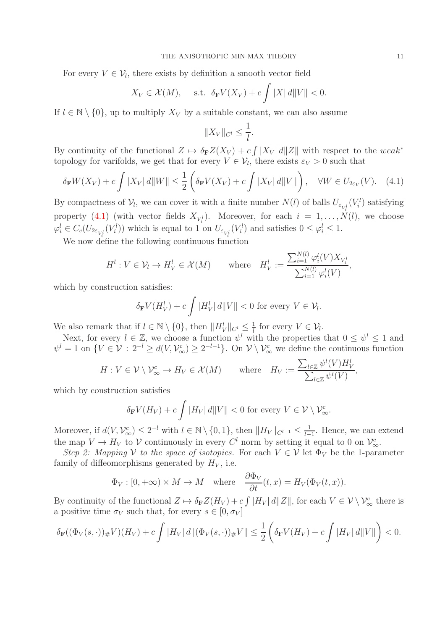For every  $V \in \mathcal{V}_l$ , there exists by definition a smooth vector field

$$
X_V \in \mathcal{X}(M)
$$
, s.t.  $\delta_{\mathbf{F}} V(X_V) + c \int |X| d||V|| < 0$ .

If  $l \in \mathbb{N} \setminus \{0\}$ , up to multiply  $X_V$  by a suitable constant, we can also assume

$$
||X_V||_{C^l} \le \frac{1}{l}.
$$

By continuity of the functional  $Z \mapsto \delta_{\mathbf{F}} Z(X_V) + c \int |X_V| d||Z||$  with respect to the weak<sup>\*</sup> topology for varifolds, we get that for every  $V \in \mathcal{V}_l$ , there exists  $\varepsilon_V > 0$  such that

<span id="page-10-0"></span>
$$
\delta_{\mathbf{F}}W(X_V) + c \int |X_V| \, d\|W\| \le \frac{1}{2} \left( \delta_{\mathbf{F}}V(X_V) + c \int |X_V| \, d\|V\| \right), \quad \forall W \in U_{2\varepsilon_V}(V). \tag{4.1}
$$

By compactness of  $V_l$ , we can cover it with a finite number  $N(l)$  of balls  $U_{\varepsilon_{V_i^l}}(V_i^l)$  satisfying property [\(4.1\)](#page-10-0) (with vector fields  $X_{V_i^l}$ ). Moreover, for each  $i = 1, ..., N(l)$ , we choose  $\varphi_i^l \in C_c(U_{2\varepsilon_{V_i^l}}(V_i^l))$  which is equal to 1 on  $U_{\varepsilon_{V_i^l}}(V_i^l)$  and satisfies  $0 \leq \varphi_i^l \leq 1$ .

We now define the following continuous function

$$
H^l: V \in \mathcal{V}_l \to H^l_V \in \mathcal{X}(M) \qquad \text{where} \quad H^l_V := \frac{\sum_{i=1}^{N(l)} \varphi_i^l(V) X_{V_i^l}}{\sum_{i=1}^{N(l)} \varphi_i^l(V)},
$$

which by construction satisfies:

$$
\delta_{\mathbf{F}} V(H_V^l) + c \int |H_V^l| \, d||V|| < 0 \text{ for every } V \in \mathcal{V}_l.
$$

We also remark that if  $l \in \mathbb{N} \setminus \{0\}$ , then  $\|H_V^l\|_{C^l} \leq \frac{1}{l}$  $\frac{1}{l}$  for every  $V \in \mathcal{V}_l$ .

Next, for every  $l \in \mathbb{Z}$ , we choose a function  $\psi^l$  with the properties that  $0 \leq \psi^l \leq 1$  and  $\psi^l = 1$  on  $\{V \in \mathcal{V} : 2^{-l} \ge d(V, \mathcal{V}_{\infty}^c) \ge 2^{-l-1}\}\.$  On  $\mathcal{V} \setminus \mathcal{V}_{\infty}^c$  we define the continuous function

$$
H: V \in \mathcal{V} \setminus \mathcal{V}_{\infty}^{c} \to H_{V} \in \mathcal{X}(M) \quad \text{where} \quad H_{V} := \frac{\sum_{l \in \mathbb{Z}} \psi^{l}(V) H_{V}^{l}}{\sum_{l \in \mathbb{Z}} \psi^{l}(V)},
$$

which by construction satisfies

$$
\delta_{\mathbf{F}} V(H_V) + c \int |H_V| \, d\|V\| < 0 \text{ for every } V \in \mathcal{V} \setminus \mathcal{V}^c_{\infty}.
$$

Moreover, if  $d(V, \mathcal{V}_{\infty}^c) \leq 2^{-l}$  with  $l \in \mathbb{N} \setminus \{0, 1\}$ , then  $||H_V||_{C^{l-1}} \leq \frac{1}{l-1}$  $\frac{1}{l-1}$ . Hence, we can extend the map  $V \to H_V$  to  $\mathcal V$  continuously in every  $C^l$  norm by setting it equal to 0 on  $\mathcal V^c_{\infty}$ .

Step 2: Mapping V to the space of isotopies. For each  $V \in V$  let  $\Phi_V$  be the 1-parameter family of diffeomorphisms generated by  $H_V$ , i.e.

$$
\Phi_V : [0, +\infty) \times M \to M
$$
 where  $\frac{\partial \Phi_V}{\partial t}(t, x) = H_V(\Phi_V(t, x)).$ 

By continuity of the functional  $Z \mapsto \delta_{\mathbf{F}} Z(H_V) + c \int |H_V| d||Z||$ , for each  $V \in \mathcal{V} \setminus \mathcal{V}^c_{\infty}$  there is a positive time  $\sigma_V$  such that, for every  $s \in [0, \sigma_V]$ 

$$
\delta_{\mathbf{F}}((\Phi_V(s,\cdot))_{\#}V)(H_V) + c \int |H_V| \, d\|(\Phi_V(s,\cdot))_{\#}V\| \leq \frac{1}{2} \left( \delta_{\mathbf{F}}V(H_V) + c \int |H_V| \, d\|V\| \right) < 0.
$$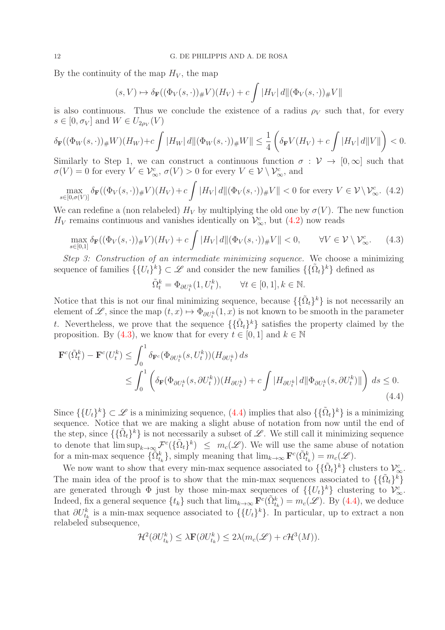By the continuity of the map  $H_V$ , the map

$$
(s, V) \mapsto \delta_{\mathbf{F}}((\Phi_V(s, \cdot))_{\#}V)(H_V) + c \int |H_V| d\|(\Phi_V(s, \cdot))_{\#}V\|
$$

is also continuous. Thus we conclude the existence of a radius  $\rho_V$  such that, for every  $s \in [0, \sigma_V]$  and  $W \in U_{2\rho_V}(V)$ 

$$
\delta_{\mathbf{F}}((\Phi_W(s,\cdot))_\# W)(H_W)+c\int |H_W|\,d\|(\Phi_W(s,\cdot))_\# W\|\leq \frac{1}{4}\left(\delta_{\mathbf{F}}V(H_V)+c\int |H_V|\,d\|V\|\right)<0.
$$

Similarly to Step 1, we can construct a continuous function  $\sigma : \mathcal{V} \to [0,\infty]$  such that  $\sigma(V) = 0$  for every  $V \in \mathcal{V}_{\infty}^c$ ,  $\sigma(V) > 0$  for every  $V \in \mathcal{V} \setminus \mathcal{V}_{\infty}^c$ , and

<span id="page-11-0"></span>
$$
\max_{s \in [0,\sigma(V)]} \delta_{\mathbf{F}}((\Phi_V(s,\cdot))_\# V)(H_V) + c \int |H_V| \, d\|(\Phi_V(s,\cdot))_\# V\| < 0 \text{ for every } V \in \mathcal{V} \setminus \mathcal{V}^c_\infty. \tag{4.2}
$$

We can redefine a (non relabeled)  $H_V$  by multiplying the old one by  $\sigma(V)$ . The new function  $H_V$  remains continuous and vanishes identically on  $\mathcal{V}^c_{\infty}$ , but [\(4.2\)](#page-11-0) now reads

<span id="page-11-1"></span>
$$
\max_{s \in [0,1]} \delta_{\mathbf{F}}((\Phi_V(s,\cdot))_\# V)(H_V) + c \int |H_V| \, d\|(\Phi_V(s,\cdot))_\# V\| < 0, \qquad \forall V \in \mathcal{V} \setminus \mathcal{V}^c_\infty. \tag{4.3}
$$

Step 3: Construction of an intermediate minimizing sequence. We choose a minimizing sequence of families  $\{\{U_t\}^k\}\subset\mathscr{L}$  and consider the new families  $\{\{\tilde{\Omega}_t\}^k\}$  defined as

$$
\tilde{\Omega}_t^k = \Phi_{\partial U_t^k}(1, U_t^k), \qquad \forall t \in [0, 1], k \in \mathbb{N}.
$$

Notice that this is not our final minimizing sequence, because  $\{\{\tilde{\Omega}_t\}^k\}$  is not necessarily an element of  $\mathscr{L}$ , since the map  $(t, x) \mapsto \Phi_{\partial U_t^k}(1, x)$  is not known to be smooth in the parameter t. Nevertheless, we prove that the sequence  $\{\{\tilde{\Omega}_t\}^k\}$  satisfies the property claimed by the proposition. By [\(4.3\)](#page-11-1), we know that for every  $t \in [0, 1]$  and  $k \in \mathbb{N}$ 

<span id="page-11-2"></span>
$$
\mathbf{F}^{c}(\tilde{\Omega}_{t}^{k}) - \mathbf{F}^{c}(U_{t}^{k}) \leq \int_{0}^{1} \delta_{\mathbf{F}^{c}}(\Phi_{\partial U_{t}^{k}}(s, U_{t}^{k}))(H_{\partial U_{t}^{k}}) ds
$$
\n
$$
\leq \int_{0}^{1} \left( \delta_{\mathbf{F}}(\Phi_{\partial U_{t}^{k}}(s, \partial U_{t}^{k}))(H_{\partial U_{t}^{k}}) + c \int |H_{\partial U_{t}^{k}}| d\|\Phi_{\partial U_{t}^{k}}(s, \partial U_{t}^{k})\| \right) ds \leq 0.
$$
\n(4.4)

Since  $\{\{U_t\}^k\}\subset\mathscr{L}$  is a minimizing sequence,  $(4.4)$  implies that also  $\{\{\tilde{\Omega}_t\}^k\}$  is a minimizing sequence. Notice that we are making a slight abuse of notation from now until the end of the step, since  $\{\{\tilde{\Omega}_t\}^k\}$  is not necessarily a subset of  $\mathscr{L}$ . We still call it minimizing sequence to denote that  $\limsup_{k\to\infty} \mathcal{F}^c(\{\tilde{\Omega}_t\}^k) \leq m_c(\mathcal{L})$ . We will use the same abuse of notation for a min-max sequence  $\{\tilde{\Omega}_{t_k}^k\}$ , simply meaning that  $\lim_{k\to\infty} \mathbf{F}^c(\tilde{\Omega}_{t_k}^k) = m_c(\mathscr{L})$ .

We now want to show that every min-max sequence associated to  $\{\{\tilde{\Omega}_t\}^k\}$  clusters to  $\mathcal{V}_{\infty}^c$ . The main idea of the proof is to show that the min-max sequences associated to  $\{\{\tilde{\Omega}_t\}^k\}$ are generated through  $\Phi$  just by those min-max sequences of  $\{\{U_t\}^k\}$  clustering to  $\mathcal{V}_{\infty}^c$ . Indeed, fix a general sequence  $\{t_k\}$  such that  $\lim_{k\to\infty} \mathbf{F}^c(\tilde{\Omega}_{t_k}^k) = m_c(\mathscr{L})$ . By [\(4.4\)](#page-11-2), we deduce that  $\partial U_{t_k}^k$  is a min-max sequence associated to  $\{\{U_t\}^k\}$ . In particular, up to extract a non relabeled subsequence,

$$
\mathcal{H}^{2}(\partial U_{t_{k}}^{k}) \leq \lambda \mathbf{F}(\partial U_{t_{k}}^{k}) \leq 2\lambda (m_{c}(\mathscr{L}) + c\mathcal{H}^{3}(M)).
$$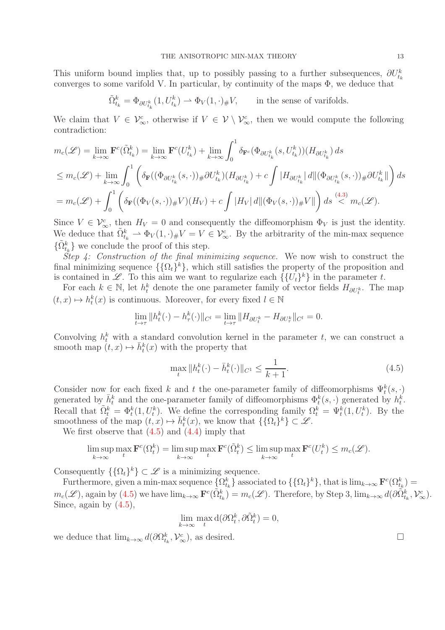This uniform bound implies that, up to possibly passing to a further subsequences,  $\partial U_{t_k}^k$ converges to some varifold V. In particular, by continuity of the maps  $\Phi$ , we deduce that

$$
\tilde{\Omega}_{t_k}^k = \Phi_{\partial U_{t_k}^k}(1, U_{t_k}^k) \to \Phi_V(1, \cdot)_{\#}V, \quad \text{in the sense of variables.}
$$

We claim that  $V \in \mathcal{V}_{\infty}^c$ , otherwise if  $V \in \mathcal{V} \setminus \mathcal{V}_{\infty}^c$ , then we would compute the following contradiction:

$$
m_c(\mathcal{L}) = \lim_{k \to \infty} \mathbf{F}^c(\tilde{\Omega}_{t_k}^k) = \lim_{k \to \infty} \mathbf{F}^c(U_{t_k}^k) + \lim_{k \to \infty} \int_0^1 \delta_{\mathbf{F}^c}(\Phi_{\partial U_{t_k}^k}(s, U_{t_k}^k))(H_{\partial U_{t_k}^k}) ds
$$
  
\n
$$
\leq m_c(\mathcal{L}) + \lim_{k \to \infty} \int_0^1 \left( \delta_{\mathbf{F}}((\Phi_{\partial U_{t_k}^k}(s, \cdot))_{\#} \partial U_{t_k}^k)(H_{\partial U_{t_k}^k}) + c \int |H_{\partial U_{t_k}^k}| d\|(\Phi_{\partial U_{t_k}^k}(s, \cdot))_{\#} \partial U_{t_k}^k\| \right) ds
$$
  
\n
$$
= m_c(\mathcal{L}) + \int_0^1 \left( \delta_{\mathbf{F}}((\Phi_V(s, \cdot))_{\#} V)(H_V) + c \int |H_V| d\|(\Phi_V(s, \cdot))_{\#} V\| \right) ds \stackrel{(4.3)}{<} m_c(\mathcal{L}).
$$

Since  $V \in \mathcal{V}_{\infty}^c$ , then  $H_V = 0$  and consequently the diffeomorphism  $\Phi_V$  is just the identity. We deduce that  $\tilde{\Omega}_{t_k}^k \rightharpoonup \Phi_V(1, \cdot)_{\#} V = V \in \mathcal{V}_{\infty}^c$ . By the arbitrarity of the min-max sequence  $\{\tilde{\Omega}_{t_k}^k\}$  we conclude the proof of this step.

Step 4: Construction of the final minimizing sequence. We now wish to construct the final minimizing sequence  $\{\{\Omega_t\}^k\}$ , which still satisfies the property of the proposition and is contained in  $\mathscr{L}$ . To this aim we want to regularize each  $\{\{U_t\}^k\}$  in the parameter t.

For each  $k \in \mathbb{N}$ , let  $h_t^k$  denote the one parameter family of vector fields  $H_{\partial U_t^k}$ . The map  $(t, x) \mapsto h_t^k(x)$  is continuous. Moreover, for every fixed  $l \in \mathbb{N}$ 

$$
\lim_{t \to \tau} ||h_t^k(\cdot) - h_\tau^k(\cdot)||_{C^l} = \lim_{t \to \tau} ||H_{\partial U_t^k} - H_{\partial U_\tau^k}||_{C^l} = 0.
$$

Convolving  $h_t^k$  with a standard convolution kernel in the parameter t, we can construct a smooth map  $(t, x) \mapsto \bar{h}_t^k(x)$  with the property that

<span id="page-12-0"></span>
$$
\max_{t} \|h_t^k(\cdot) - \bar{h}_t^k(\cdot)\|_{C^1} \le \frac{1}{k+1}.\tag{4.5}
$$

Consider now for each fixed k and t the one-parameter family of diffeomorphisms  $\Psi_t^k(s, \cdot)$ generated by  $\bar{h}_t^k$  and the one-parameter family of diffeomorphisms  $\Phi_t^k(s, \cdot)$  generated by  $h_t^k$ . Recall that  $\tilde{\Omega}_t^k = \Phi_t^k(1, U_t^k)$ . We define the corresponding family  $\Omega_t^k = \Psi_t^k(1, U_t^k)$ . By the smoothness of the map  $(t, x) \mapsto \bar{h}_t^k(x)$ , we know that  $\{\Omega_t\}^k\} \subset \mathscr{L}$ .

We first observe that  $(4.5)$  and  $(4.4)$  imply that

$$
\limsup_{k \to \infty} \max_{t} \mathbf{F}^{c}(\Omega_{t}^{k}) = \limsup_{k \to \infty} \max_{t} \mathbf{F}^{c}(\tilde{\Omega}_{t}^{k}) \le \limsup_{k \to \infty} \max_{t} \mathbf{F}^{c}(U_{t}^{k}) \le m_{c}(\mathcal{L}).
$$

Consequently  $\{\{\Omega_t\}^k\}\subset \mathscr{L}$  is a minimizing sequence.

Furthermore, given a min-max sequence  $\{\Omega^k_{t_k}\}$  associated to  $\{\{\Omega_t\}^k\}$ , that is  $\lim_{k\to\infty} \mathbf{F}^c(\Omega^k_{t_k})$  $m_c(\mathscr{L})$ , again by  $(4.5)$  we have  $\lim_{k\to\infty} \mathbf{F}^c(\tilde{\Omega}_{t_k}^k) = m_c(\mathscr{L})$ . Therefore, by Step 3,  $\lim_{k\to\infty} d(\partial \tilde{\Omega}_{t_k}^k, \mathcal{V}_{\infty}^c)$ . Since, again by  $(4.5)$ ,

$$
\lim_{k \to \infty} \max_t \mathrm{d}(\partial \Omega_t^k, \partial \tilde{\Omega}_t^k) = 0,
$$

we deduce that  $\lim_{k\to\infty} d(\partial\Omega_{t_k}^k, \mathcal{V}_{\infty}^c)$ , as desired.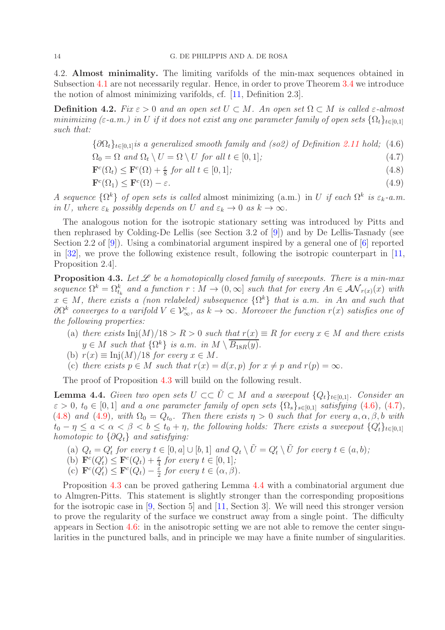4.2. Almost minimality. The limiting varifolds of the min-max sequences obtained in Subsection [4.1](#page-9-0) are not necessarily regular. Hence, in order to prove Theorem [3.4](#page-8-0) we introduce the notion of almost minimizing varifolds, cf. [\[11,](#page-36-1) Definition 2.3].

**Definition 4.2.** Fix  $\varepsilon > 0$  and an open set  $U \subset M$ . An open set  $\Omega \subset M$  is called  $\varepsilon$ -almost minimizing (ε-a.m.) in U if it does not exist any one parameter family of open sets  $\{\Omega_t\}_{t\in[0,1]}$ such that:

<span id="page-13-1"></span> ${\partial \Omega_t}_{t \in [0,1]}$  is a generalized smooth family and (so2) of Definition [2.11](#page-7-0) hold; (4.6)

 $\Omega_0 = \Omega$  and  $\Omega_t \setminus U = \Omega \setminus U$  for all  $t \in [0, 1]$ ; (4.7)

 $\mathbf{F}^c(\Omega_t) \leq \mathbf{F}^c(\Omega) + \frac{\varepsilon}{8}$  for all  $t \in [0, 1]$ ; (4.8)

$$
\mathbf{F}^c(\Omega_1) \le \mathbf{F}^c(\Omega) - \varepsilon. \tag{4.9}
$$

A sequence  $\{\Omega^k\}$  of open sets is called almost minimizing (a.m.) in U if each  $\Omega^k$  is  $\varepsilon_k$ -a.m. in U, where  $\varepsilon_k$  possibly depends on U and  $\varepsilon_k \to 0$  as  $k \to \infty$ .

The analogous notion for the isotropic stationary setting was introduced by Pitts and then rephrased by Colding-De Lellis (see Section 3.2 of [\[9\]](#page-36-0)) and by De Lellis-Tasnady (see Section 2.2 of [\[9\]](#page-36-0)). Using a combinatorial argument inspired by a general one of [\[6\]](#page-35-2) reported in [\[32\]](#page-37-0), we prove the following existence result, following the isotropic counterpart in [\[11,](#page-36-1) Proposition 2.4].

<span id="page-13-0"></span>**Proposition 4.3.** Let  $\mathscr L$  be a homotopically closed family of sweepouts. There is a min-max sequence  $\Omega^k = \Omega^k_{t_k}$  and a function  $r : M \to (0, \infty]$  such that for every  $An \in \mathcal{AN}_{r(x)}(x)$  with  $x \in M$ , there exists a (non relabeled) subsequence  $\{\Omega^k\}$  that is a.m. in An and such that  $\partial\Omega^k$  converges to a varifold  $V \in \mathcal{V}^c_{\infty}$ , as  $k \to \infty$ . Moreover the function  $r(x)$  satisfies one of the following properties:

- (a) there exists  $\text{Inj}(M)/18 > R > 0$  such that  $r(x) \equiv R$  for every  $x \in M$  and there exists  $y \in M$  such that  $\{\Omega^k\}$  is a.m. in  $M \setminus \overline{B_{18R}(y)}$ .
- (b)  $r(x) \equiv \text{Inj}(M)/18$  for every  $x \in M$ .
- (c) there exists  $p \in M$  such that  $r(x) = d(x, p)$  for  $x \neq p$  and  $r(p) = \infty$ .

The proof of Proposition [4.3](#page-13-0) will build on the following result.

<span id="page-13-2"></span>**Lemma 4.4.** Given two open sets  $U \subset\subset \tilde{U} \subset M$  and a sweepout  $\{Q_t\}_{t\in[0,1]}$ . Consider an  $\varepsilon > 0$ ,  $t_0 \in [0, 1]$  and a one parameter family of open sets  $\{\Omega_s\}_{s\in[0,1]}$  satisfying [\(4.6\)](#page-13-1), [\(4.7\)](#page-13-1), [\(4.8\)](#page-13-1) and [\(4.9\)](#page-13-1), with  $\Omega_0 = Q_{t_0}$ . Then there exists  $\eta > 0$  such that for every  $a, \alpha, \beta, b$  with  $t_0 - \eta \le a < \alpha < \beta < b \le t_0 + \eta$ , the following holds: There exists a sweepout  $\{Q'_t\}_{t \in [0,1]}$ homotopic to  $\{\partial Q_t\}$  and satisfying:

- (a)  $Q_t = Q'_t$  for every  $t \in [0, a] \cup [b, 1]$  and  $Q_t \setminus \tilde{U} = Q'_t \setminus \tilde{U}$  for every  $t \in (a, b)$ ;
- (b)  $\mathbf{F}^c(Q_t') \leq \mathbf{F}^c(Q_t) + \frac{\varepsilon}{4}$  for every  $t \in [0, 1]$ ;
- (c)  $\mathbf{F}^c(Q'_t) \leq \mathbf{F}^c(Q_t) \frac{\tilde{\varepsilon}}{2}$  $\frac{\varepsilon}{2}$  for every  $t \in (\alpha, \beta)$ .

Proposition [4.3](#page-13-0) can be proved gathering Lemma [4.4](#page-13-2) with a combinatorial argument due to Almgren-Pitts. This statement is slightly stronger than the corresponding propositions for the isotropic case in [\[9,](#page-36-0) Section 5] and [\[11,](#page-36-1) Section 3]. We will need this stronger version to prove the regularity of the surface we construct away from a single point. The difficulty appears in Section [4.6:](#page-22-0) in the anisotropic setting we are not able to remove the center singularities in the punctured balls, and in principle we may have a finite number of singularities.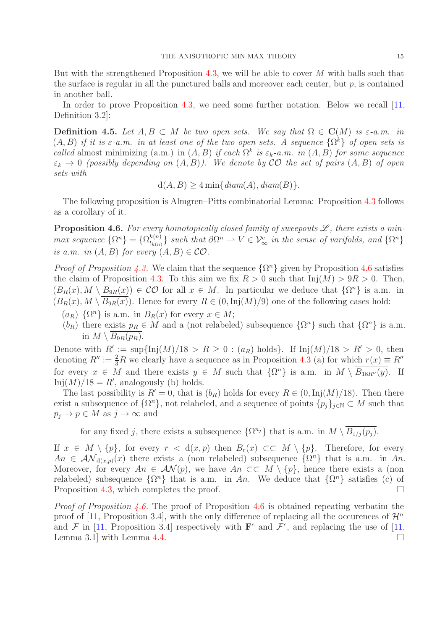But with the strengthened Proposition [4.3,](#page-13-0) we will be able to cover  $M$  with balls such that the surface is regular in all the punctured balls and moreover each center, but  $p$ , is contained in another ball.

In order to prove Proposition [4.3,](#page-13-0) we need some further notation. Below we recall [\[11,](#page-36-1) Definition 3.2]:

**Definition 4.5.** Let  $A, B \subset M$  be two open sets. We say that  $\Omega \in \mathbf{C}(M)$  is  $\varepsilon$ -a.m. in  $(A, B)$  if it is  $\varepsilon$ -a.m. in at least one of the two open sets. A sequence  $\{\Omega^k\}$  of open sets is called almost minimizing (a.m.) in  $(A, B)$  if each  $\Omega^k$  is  $\varepsilon_k$ -a.m. in  $(A, B)$  for some sequence  $\varepsilon_k \to 0$  (possibly depending on  $(A, B)$ ). We denote by CO the set of pairs  $(A, B)$  of open sets with

$$
d(A, B) \ge 4 \min\{diam(A), diam(B)\}.
$$

The following proposition is Almgren–Pitts combinatorial Lemma: Proposition [4.3](#page-13-0) follows as a corollary of it.

<span id="page-14-0"></span>**Proposition 4.6.** For every homotopically closed family of sweepouts  $\mathscr{L}$ , there exists a minmax sequence  $\{\Omega^n\} = \{\Omega^{k(n)}_{t_{k(n)}}\}$  $\{e^{(n)}_{t_{k(n)}}\}$  such that  $\partial \Omega^n \rightharpoonup V \in \mathcal{V}_{\infty}^c$  in the sense of varifolds, and  $\{\Omega^n\}$ is a.m. in  $(A, B)$  for every  $(A, B) \in \mathcal{CO}$ .

*Proof of Proposition [4.3.](#page-13-0)* We claim that the sequence  $\{\Omega^n\}$  given by Proposition [4.6](#page-14-0) satisfies the claim of Proposition [4.3.](#page-13-0) To this aim we fix  $R > 0$  such that  $\text{Inj}(M) > 9R > 0$ . Then,  $(B_R(x), M \setminus \overline{B_{9R}(x)}) \in \mathcal{CO}$  for all  $x \in M$ . In particular we deduce that  $\{\Omega^n\}$  is a.m. in  $(B_R(x), M \setminus B_{9R}(x))$ . Hence for every  $R \in (0, Inj(M)/9)$  one of the following cases hold:

- $(a_R) \{\Omega^n\}$  is a.m. in  $B_R(x)$  for every  $x \in M$ ;
- $(b_R)$  there exists  $p_R \in M$  and a (not relabeled) subsequence  $\{\Omega^n\}$  such that  $\{\Omega^n\}$  is a.m. in  $M \setminus B_{9R}(p_R)$ .

Denote with  $R' := \sup\{\text{Inj}(M)/18 > R \geq 0 : (a_R) \text{ holds}\}.$  If  $\text{Inj}(M)/18 > R' > 0$ , then denoting  $R'' := \frac{2}{3}R$  we clearly have a sequence as in Proposition [4.3](#page-13-0) (a) for which  $r(x) \equiv R''$ for every  $x \in M$  and there exists  $y \in M$  such that  $\{\Omega^n\}$  is a.m. in  $M \setminus \overline{B_{18R''}(y)}$ . If  $\text{Inj}(M)/18 = R'$ , analogously (b) holds.

The last possibility is  $R' = 0$ , that is  $(b_R)$  holds for every  $R \in (0, \text{Inj}(M)/18)$ . Then there exist a subsequence of  $\{\Omega^n\}$ , not relabeled, and a sequence of points  $\{p_j\}_{j\in\mathbb{N}}\subset M$  such that  $p_j \to p \in M$  as  $j \to \infty$  and

for any fixed j, there exists a subsequence  $\{\Omega^{n_j}\}\$  that is a.m. in  $M \setminus B_{1/j}(p_j)$ .

If  $x \in M \setminus \{p\}$ , for every  $r < d(x, p)$  then  $B_r(x) \subset\subset M \setminus \{p\}$ . Therefore, for every  $An \in \mathcal{AN}_{d(x,p)}(x)$  there exists a (non relabeled) subsequence  $\{\Omega^n\}$  that is a.m. in An. Moreover, for every  $An \in \mathcal{AN}(p)$ , we have  $An \subset\subset M\setminus\{p\}$ , hence there exists a (non relabeled) subsequence  $\{\Omega^n\}$  that is a.m. in An. We deduce that  $\{\Omega^n\}$  satisfies (c) of Proposition [4.3,](#page-13-0) which completes the proof.  $\Box$ 

*Proof of Proposition [4.6.](#page-14-0)* The proof of Proposition [4.6](#page-14-0) is obtained repeating verbatim the proof of [\[11,](#page-36-1) Proposition 3.4], with the only difference of replacing all the occurences of  $\mathcal{H}^n$ and F in [\[11,](#page-36-1) Proposition 3.4] respectively with  $\mathbf{F}^c$  and  $\mathcal{F}^c$ , and replacing the use of [11, Lemma 3.1 with Lemma [4.4.](#page-13-2)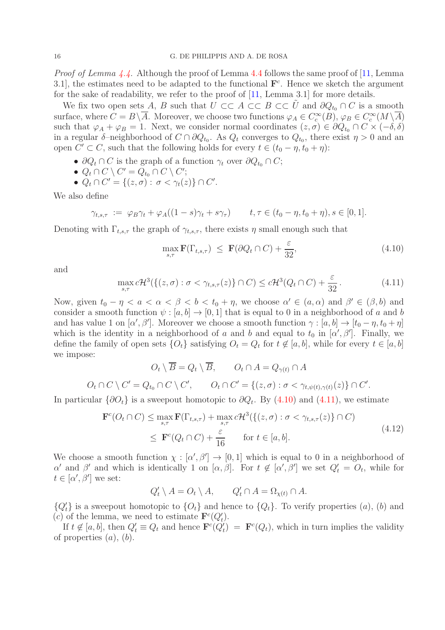Proof of Lemma [4.4.](#page-13-2) Although the proof of Lemma [4.4](#page-13-2) follows the same proof of [\[11,](#page-36-1) Lemma 3.1, the estimates need to be adapted to the functional  $\mathbf{F}^c$ . Hence we sketch the argument for the sake of readability, we refer to the proof of [\[11,](#page-36-1) Lemma 3.1] for more details.

We fix two open sets A, B such that  $U \subset\subset A \subset\subset B \subset\subset \tilde{U}$  and  $\partial Q_{t_0} \cap C$  is a smooth surface, where  $C = B \setminus A$ . Moreover, we choose two functions  $\varphi_A \in C_c^{\infty}(B)$ ,  $\varphi_B \in C_c^{\infty}(M \setminus A)$ such that  $\varphi_A + \varphi_B = 1$ . Next, we consider normal coordinates  $(z, \sigma) \in \partial Q_{t_0} \cap C \times (-\delta, \delta)$ in a regular  $\delta$ -neighborhood of  $C \cap \partial Q_{t_0}$ . As  $Q_t$  converges to  $Q_{t_0}$ , there exist  $\eta > 0$  and an open  $C' \subset C$ , such that the following holds for every  $t \in (t_0 - \eta, t_0 + \eta)$ :

- $\partial Q_t \cap C$  is the graph of a function  $\gamma_t$  over  $\partial Q_{t_0} \cap C$ ;
- $\bullet \ Q_t \cap C \setminus C' = Q_{t_0} \cap C \setminus C';$
- $Q_t \cap C' = \{(z, \sigma) : \sigma < \gamma_t(z)\} \cap C'.$

We also define

$$
\gamma_{t,s,\tau} := \varphi_B \gamma_t + \varphi_A((1-s)\gamma_t + s\gamma_\tau) \qquad t, \tau \in (t_0 - \eta, t_0 + \eta), s \in [0,1].
$$

Denoting with  $\Gamma_{t,s,\tau}$  the graph of  $\gamma_{t,s,\tau}$ , there exists  $\eta$  small enough such that

<span id="page-15-0"></span>
$$
\max_{s,\tau} \mathbf{F}(\Gamma_{t,s,\tau}) \le \mathbf{F}(\partial Q_t \cap C) + \frac{\varepsilon}{32},\tag{4.10}
$$

and

<span id="page-15-1"></span>
$$
\max_{s,\tau} c\mathcal{H}^3(\{(z,\sigma) : \sigma < \gamma_{t,s,\tau}(z)\} \cap C) \le c\mathcal{H}^3(Q_t \cap C) + \frac{\varepsilon}{32}.
$$
\n(4.11)

Now, given  $t_0 - \eta < a < \alpha < \beta < b < t_0 + \eta$ , we choose  $\alpha' \in (a, \alpha)$  and  $\beta' \in (\beta, b)$  and consider a smooth function  $\psi : [a, b] \to [0, 1]$  that is equal to 0 in a neighborhood of a and b and has value 1 on  $[\alpha', \beta']$ . Moreover we choose a smooth function  $\gamma : [a, b] \to [t_0 - \eta, t_0 + \eta]$ which is the identity in a neighborhood of a and b and equal to  $t_0$  in  $[\alpha', \beta']$ . Finally, we define the family of open sets  $\{O_t\}$  satisfying  $O_t = Q_t$  for  $t \notin [a, b]$ , while for every  $t \in [a, b]$ we impose:

$$
O_t \setminus \overline{B} = Q_t \setminus \overline{B}, \qquad O_t \cap A = Q_{\gamma(t)} \cap A
$$

$$
O_t \cap C \setminus C' = Q_{t_0} \cap C \setminus C', \qquad O_t \cap C' = \{(z, \sigma) : \sigma < \gamma_{t, \psi(t), \gamma(t)}(z)\} \cap C'.
$$

<span id="page-15-2"></span>In particular  $\{\partial O_t\}$  is a sweepout homotopic to  $\partial Q_t$ . By  $(4.10)$  and  $(4.11)$ , we estimate

$$
\mathbf{F}^{c}(O_{t} \cap C) \le \max_{s,\tau} \mathbf{F}(\Gamma_{t,s,\tau}) + \max_{s,\tau} c\mathcal{H}^{3}(\{(z,\sigma) : \sigma < \gamma_{t,s,\tau}(z)\} \cap C)
$$
  
\n
$$
\le \mathbf{F}^{c}(Q_{t} \cap C) + \frac{\varepsilon}{16} \quad \text{for } t \in [a,b].
$$
\n(4.12)

We choose a smooth function  $\chi : [\alpha', \beta'] \to [0,1]$  which is equal to 0 in a neighborhood of α' and β' and which is identically 1 on  $[\alpha, \beta]$ . For  $t \notin [\alpha', \beta']$  we set  $Q'_t = O_t$ , while for  $t \in [\alpha', \beta']$  we set:

$$
Q'_t \setminus A = O_t \setminus A, \qquad Q'_t \cap A = \Omega_{\chi(t)} \cap A.
$$

 ${Q'_t}$  is a sweepout homotopic to  ${O_t}$  and hence to  ${Q_t}$ . To verify properties  $(a)$ ,  $(b)$  and (c) of the lemma, we need to estimate  $\mathbf{F}^c(Q'_t)$ .

If  $t \notin [a, b]$ , then  $Q'_t \equiv Q_t$  and hence  $\mathbf{F}^c(Q'_t) = \mathbf{F}^c(Q_t)$ , which in turn implies the validity of properties  $(a)$ ,  $(b)$ .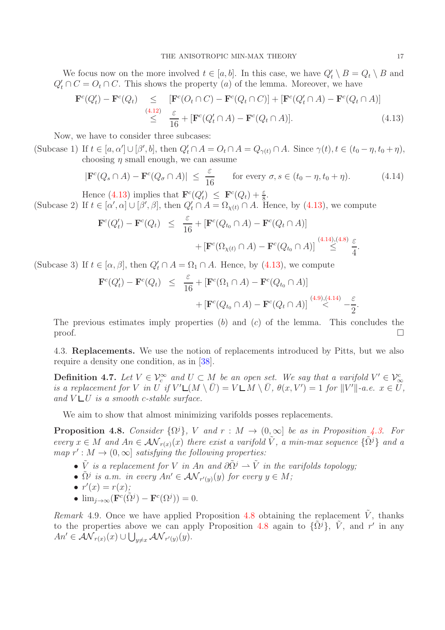We focus now on the more involved  $t \in [a, b]$ . In this case, we have  $Q'_t \setminus B = Q_t \setminus B$  and  $Q'_t \cap C = O_t \cap C$ . This shows the property (*a*) of the lemma. Moreover, we have

<span id="page-16-0"></span>
$$
\begin{array}{rcl}\n\mathbf{F}^c(Q'_t) - \mathbf{F}^c(Q_t) & \leq & [\mathbf{F}^c(O_t \cap C) - \mathbf{F}^c(Q_t \cap C)] + [\mathbf{F}^c(Q'_t \cap A) - \mathbf{F}^c(Q_t \cap A)] \\
& \leq & \frac{\varepsilon}{16} + [\mathbf{F}^c(Q'_t \cap A) - \mathbf{F}^c(Q_t \cap A)].\n\end{array} \tag{4.13}
$$

Now, we have to consider three subcases:

(Subcase 1) If  $t \in [a, \alpha'] \cup [\beta', b]$ , then  $Q'_t \cap A = O_t \cap A = Q_{\gamma(t)} \cap A$ . Since  $\gamma(t), t \in (t_0 - \eta, t_0 + \eta)$ , choosing  $\eta$  small enough, we can assume

<span id="page-16-1"></span>
$$
|\mathbf{F}^c(Q_s \cap A) - \mathbf{F}^c(Q_\sigma \cap A)| \leq \frac{\varepsilon}{16} \quad \text{for every } \sigma, s \in (t_0 - \eta, t_0 + \eta). \tag{4.14}
$$

Hence [\(4.13\)](#page-16-0) implies that  $\mathbf{F}^c(Q'_t) \leq \mathbf{F}^c(Q_t) + \frac{\varepsilon}{8}$ .

(Subcase 2) If  $t \in [\alpha', \alpha] \cup [\beta', \beta]$ , then  $Q'_t \cap A = \Omega_{\chi(t)} \cap A$ . Hence, by [\(4.13\)](#page-16-0), we compute

$$
\mathbf{F}^{c}(Q'_{t}) - \mathbf{F}^{c}(Q_{t}) \leq \frac{\varepsilon}{16} + [\mathbf{F}^{c}(Q_{t_{0}} \cap A) - \mathbf{F}^{c}(Q_{t} \cap A)] + [\mathbf{F}^{c}(\Omega_{\chi(t)} \cap A) - \mathbf{F}^{c}(Q_{t_{0}} \cap A)] \stackrel{(4.14),(4.8)}{\leq} \frac{\varepsilon}{4}
$$

(Subcase 3) If  $t \in [\alpha, \beta]$ , then  $Q'_t \cap A = \Omega_1 \cap A$ . Hence, by [\(4.13\)](#page-16-0), we compute

$$
\mathbf{F}^{c}(Q'_{t}) - \mathbf{F}^{c}(Q_{t}) \leq \frac{\varepsilon}{16} + [\mathbf{F}^{c}(\Omega_{1} \cap A) - \mathbf{F}^{c}(Q_{t_{0}} \cap A)] + [\mathbf{F}^{c}(Q_{t_{0}} \cap A) - \mathbf{F}^{c}(Q_{t} \cap A)] \stackrel{(4.9),(4.14)}{\leq} -\frac{\varepsilon}{2}
$$

The previous estimates imply properties  $(b)$  and  $(c)$  of the lemma. This concludes the  $\Box$ 

4.3. Replacements. We use the notion of replacements introduced by Pitts, but we also require a density one condition, as in [\[38\]](#page-37-4).

**Definition 4.7.** Let  $V \in V_c^{\infty}$  and  $U \subset M$  be an open set. We say that a varifold  $V' \in V_c^{\infty}$  $\overline{U}$  is a replacement for V in U if  $V' \mathsf{L}(M \setminus \overline{U}) = V \mathsf{L} M \setminus \overline{U}$ ,  $\theta(x, V') = 1$  for  $||V'||$ -a.e.  $x \in U$ , and  $V \cup U$  is a smooth c-stable surface.

We aim to show that almost minimizing varifolds posses replacements.

<span id="page-16-2"></span>**Proposition 4.8.** Consider  $\{\Omega^j\}$ , V and  $r : M \to (0,\infty]$  be as in Proposition [4.3.](#page-13-0) For every  $x \in M$  and  $An \in \mathcal{AN}_{r(x)}(x)$  there exist a varifold  $\tilde{V}$ , a min-max sequence  $\{\tilde{\Omega}^j\}$  and a map  $r': M \to (0, \infty]$  satisfying the following properties:

- $\tilde{V}$  is a replacement for V in An and  $\partial \tilde{\Omega}^j \rightharpoonup \tilde{V}$  in the varifolds topology;
- $\tilde{\Omega}^j$  is a.m. in every  $An' \in \mathcal{AN}_{r'(y)}(y)$  for every  $y \in M$ ;

$$
\bullet \ r'(x) = r(x);
$$

•  $\lim_{j \to \infty} (\mathbf{F}^c(\tilde{\Omega}^j) - \mathbf{F}^c(\Omega^j)) = 0.$ 

Remark 4.9. Once we have applied Proposition [4.8](#page-16-2) obtaining the replacement  $\tilde{V}$ , thanks to the properties above we can apply Proposition [4.8](#page-16-2) again to  $\{\tilde{\Omega}^j\}$ ,  $\tilde{V}$ , and r' in any  $An' \in \mathcal{AN}_{r(x)}(x) \cup \bigcup_{y \neq x} \mathcal{AN}_{r'(y)}(y).$ 

.

.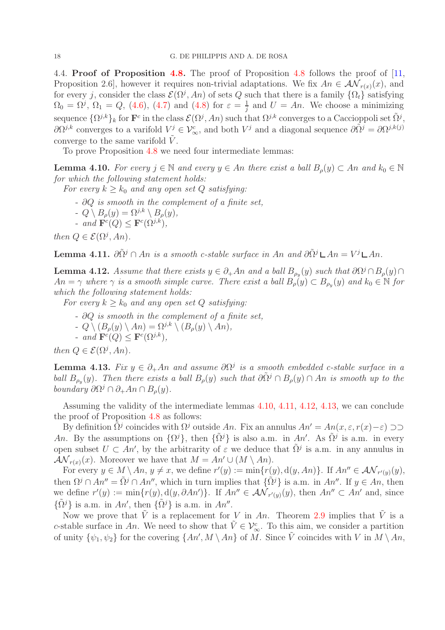4.4. Proof of Proposition [4.8.](#page-16-2) The proof of Proposition [4.8](#page-16-2) follows the proof of [\[11,](#page-36-1) Proposition 2.6], however it requires non-trivial adaptations. We fix  $An \in \mathcal{AN}_{r(x)}(x)$ , and for every j, consider the class  $\mathcal{E}(\Omega^j, An)$  of sets Q such that there is a family  $\{\Omega_t\}$  satisfying  $\Omega_0 = \Omega^j$ ,  $\Omega_1 = Q$ , [\(4.6\)](#page-13-1), [\(4.7\)](#page-13-1) and [\(4.8\)](#page-13-1) for  $\varepsilon = \frac{1}{i}$  $\frac{1}{j}$  and  $U = An$ . We choose a minimizing sequence  $\{\Omega^{j,k}\}_k$  for  $\mathbf{F}^c$  in the class  $\mathcal{E}(\Omega^j, An)$  such that  $\Omega^{j,k}$  converges to a Caccioppoli set  $\tilde{\Omega}^j$ ,  $\partial\Omega^{j,k}$  converges to a varifold  $V^j \in \mathcal{V}_{\infty}^c$ , and both  $V^j$  and a diagonal sequence  $\partial\tilde{\Omega}^j = \partial\Omega^{j,k}(j)$ converge to the same varifold  $V$ .

To prove Proposition [4.8](#page-16-2) we need four intermediate lemmas:

<span id="page-17-0"></span>**Lemma 4.10.** For every  $j \in \mathbb{N}$  and every  $y \in An$  there exist a ball  $B_{\rho}(y) \subset An$  and  $k_0 \in \mathbb{N}$ for which the following statement holds:

For every  $k \geq k_0$  and any open set Q satisfying:

- $\partial Q$  is smooth in the complement of a finite set,
- $-Q \setminus B_{\rho}(y) = \Omega^{j,k} \setminus B_{\rho}(y),$
- and  $\mathbf{F}^c(Q) \leq \mathbf{F}^c(\Omega^{j,k}),$

then  $Q \in \mathcal{E}(\Omega^j, An)$ .

<span id="page-17-1"></span>**Lemma 4.11.**  $\partial \tilde{\Omega}^j \cap An$  is a smooth c-stable surface in An and  $\partial \tilde{\Omega}^j \mathsf{L} An = V^j \mathsf{L} An$ .

<span id="page-17-2"></span>**Lemma 4.12.** Assume that there exists  $y \in \partial_{+} A_n$  and a ball  $B_{\rho_y}(y)$  such that  $\partial \Omega^j \cap B_{\rho}(y) \cap$  $An = \gamma$  where  $\gamma$  is a smooth simple curve. There exist a ball  $B_{\rho}(y) \subset B_{\rho_y}(y)$  and  $k_0 \in \mathbb{N}$  for which the following statement holds:

For every  $k \geq k_0$  and any open set Q satisfying:

- $\partial Q$  is smooth in the complement of a finite set,
- $-Q \setminus (B_o(y) \setminus An) = \Omega^{j,k} \setminus (B_o(y) \setminus An),$
- and  $\mathbf{F}^c(Q) \leq \mathbf{F}^c(\Omega^{j,k}),$

then  $Q \in \mathcal{E}(\Omega^j, An)$ .

<span id="page-17-3"></span>**Lemma 4.13.** Fix  $y \in \partial_+ An$  and assume  $\partial \Omega^j$  is a smooth embedded c-stable surface in a ball  $B_{\rho_y}(y)$ . Then there exists a ball  $B_{\rho}(y)$  such that  $\partial \tilde{\Omega}^j \cap B_{\rho}(y) \cap An$  is smooth up to the boundary  $\partial \Omega^j \cap \partial_+ An \cap B_{\rho}(y)$ .

Assuming the validity of the intermediate lemmas [4.10,](#page-17-0) [4.11,](#page-17-1) [4.12,](#page-17-2) [4.13,](#page-17-3) we can conclude the proof of Proposition [4.8](#page-16-2) as follows:

By definition  $\tilde{\Omega}^j$  coincides with  $\Omega^j$  outside An. Fix an annulus  $An' = An(x, \varepsilon, r(x)-\varepsilon) \supset$ An. By the assumptions on  $\{\Omega^j\}$ , then  $\{\tilde{\Omega}^j\}$  is also a.m. in An'. As  $\tilde{\Omega}^j$  is a.m. in every open subset  $U \subset An'$ , by the arbitrarity of  $\varepsilon$  we deduce that  $\tilde{\Omega}^j$  is a.m. in any annulus in  $\mathcal{AN}_{r(x)}(x)$ . Moreover we have that  $M = An' \cup (M \setminus An)$ .

For every  $y \in M \setminus An$ ,  $y \neq x$ , we define  $r'(y) := \min\{r(y), d(y, An)\}\$ . If  $An'' \in \mathcal{AN}_{r'(y)}(y)$ , then  $\Omega^j \cap An'' = \tilde{\Omega}^j \cap An''$ , which in turn implies that  $\{\tilde{\Omega}^j\}$  is a.m. in  $An''$ . If  $y \in An$ , then we define  $r'(y) := \min\{r(y), d(y, \partial An')\}$ . If  $An'' \in \mathcal{AN}_{r'(y)}(y)$ , then  $An'' \subset An'$  and, since  $\{\tilde{\Omega}^j\}$  is a.m. in An', then  $\{\tilde{\Omega}^j\}$  is a.m. in An''.

Now we prove that  $\tilde{V}$  is a replacement for V in An. Theorem [2.9](#page-6-3) implies that  $\tilde{V}$  is a c-stable surface in An. We need to show that  $\tilde{V} \in V^c_{\infty}$ . To this aim, we consider a partition of unity  $\{\psi_1,\psi_2\}$  for the covering  $\{An',M\setminus An\}$  of M. Since  $\tilde{V}$  coincides with V in  $M\setminus An$ ,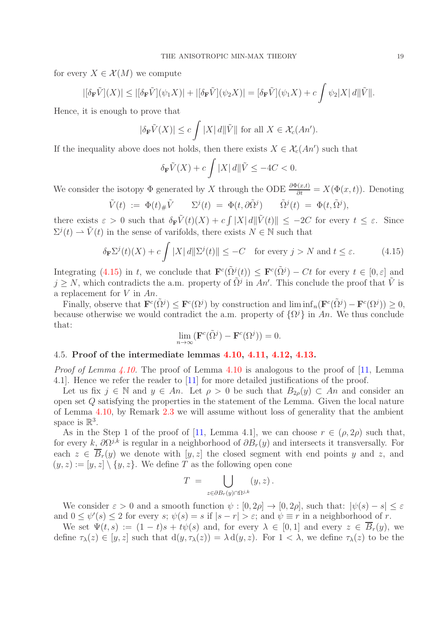for every  $X \in \mathcal{X}(M)$  we compute

$$
|[\delta_{\mathbf{F}}\tilde{V}](X)| \leq |[\delta_{\mathbf{F}}\tilde{V}](\psi_1 X)| + |[\delta_{\mathbf{F}}\tilde{V}](\psi_2 X)| = [\delta_{\mathbf{F}}\tilde{V}](\psi_1 X) + c \int \psi_2 |X| d\|\tilde{V}\|.
$$

Hence, it is enough to prove that

$$
|\delta_{\mathbf{F}}\tilde{V}(X)| \le c \int |X| \, d\|\tilde{V}\| \text{ for all } X \in \mathcal{X}_c(An').
$$

If the inequality above does not holds, then there exists  $X \in \mathcal{X}_c(An')$  such that

$$
\delta_{\mathbf{F}}\tilde{V}(X) + c \int |X| \, d\|\tilde{V} \le -4C < 0.
$$

We consider the isotopy  $\Phi$  generated by X through the ODE  $\frac{\partial \Phi(x,t)}{\partial t} = X(\Phi(x,t))$ . Denoting

$$
\tilde{V}(t) := \Phi(t)_{\#}\tilde{V} \qquad \Sigma^{j}(t) = \Phi(t, \partial \tilde{\Omega}^{j}) \qquad \tilde{\Omega}^{j}(t) = \Phi(t, \tilde{\Omega}^{j}),
$$

there exists  $\varepsilon > 0$  such that  $\delta_{\mathbf{F}} \tilde{V}(t)(X) + c \int |X| d\|\tilde{V}(t)\| \leq -2C$  for every  $t \leq \varepsilon$ . Since  $\Sigma^{j}(t) \rightharpoonup \tilde{V}(t)$  in the sense of varifolds, there exists  $N \in \mathbb{N}$  such that

<span id="page-18-0"></span>
$$
\delta_{\mathbf{F}} \Sigma^{j}(t)(X) + c \int |X| \, d\|\Sigma^{j}(t)\| \le -C \quad \text{for every } j > N \text{ and } t \le \varepsilon. \tag{4.15}
$$

Integrating [\(4.15\)](#page-18-0) in t, we conclude that  $\mathbf{F}^c(\tilde{\Omega}^j(t)) \leq \mathbf{F}^c(\tilde{\Omega}^j) - Ct$  for every  $t \in [0, \varepsilon]$  and  $j \geq N$ , which contradicts the a.m. property of  $\tilde{\Omega}^j$  in  $An'$ . This conclude the proof that  $\tilde{V}$  is a replacement for  $V$  in  $An$ .

Finally, observe that  $\mathbf{F}^c(\tilde{\Omega}^j) \leq \mathbf{F}^c(\Omega^j)$  by construction and  $\liminf_n(\mathbf{F}^c(\tilde{\Omega}^j) - \mathbf{F}^c(\Omega^j)) \geq 0$ , because otherwise we would contradict the a.m. property of  $\{\Omega^j\}$  in An. We thus conclude that:

$$
\lim_{n \to \infty} (\mathbf{F}^c(\tilde{\Omega}^j) - \mathbf{F}^c(\Omega^j)) = 0.
$$

# 4.5. Proof of the intermediate lemmas [4.10,](#page-17-0) [4.11,](#page-17-1) [4.12,](#page-17-2) [4.13.](#page-17-3)

*Proof of Lemma [4.10.](#page-17-0)* The proof of Lemma [4.10](#page-17-0) is analogous to the proof of  $[11]$ , Lemma 4.1]. Hence we refer the reader to [\[11\]](#page-36-1) for more detailed justifications of the proof.

Let us fix  $j \in \mathbb{N}$  and  $y \in An$ . Let  $\rho > 0$  be such that  $B_{2\rho}(y) \subset An$  and consider an open set Q satisfying the properties in the statement of the Lemma. Given the local nature of Lemma [4.10,](#page-17-0) by Remark [2.3](#page-5-3) we will assume without loss of generality that the ambient space is  $\mathbb{R}^3$ .

As in the Step 1 of the proof of [\[11,](#page-36-1) Lemma 4.1], we can choose  $r \in (\rho, 2\rho)$  such that, for every k,  $\partial \Omega^{j,k}$  is regular in a neighborhood of  $\partial B_r(y)$  and intersects it transversally. For each  $z \in \overline{B}_r(y)$  we denote with  $[y, z]$  the closed segment with end points y and z, and  $(y, z) := [y, z] \setminus \{y, z\}.$  We define T as the following open cone

$$
T = \bigcup_{z \in \partial B_r(y) \cap \Omega^{j,k}} (y, z) .
$$

We consider  $\varepsilon > 0$  and a smooth function  $\psi : [0, 2\rho] \to [0, 2\rho]$ , such that:  $|\psi(s) - s| \leq \varepsilon$ and  $0 \leq \psi'(s) \leq 2$  for every  $s; \psi(s) = s$  if  $|s - r| > \varepsilon$ ; and  $\psi \equiv r$  in a neighborhood of r.

We set  $\Psi(t,s) := (1-t)s + t\psi(s)$  and, for every  $\lambda \in [0,1]$  and every  $z \in \overline{B}_r(y)$ , we define  $\tau_{\lambda}(z) \in [y, z]$  such that  $d(y, \tau_{\lambda}(z)) = \lambda d(y, z)$ . For  $1 < \lambda$ , we define  $\tau_{\lambda}(z)$  to be the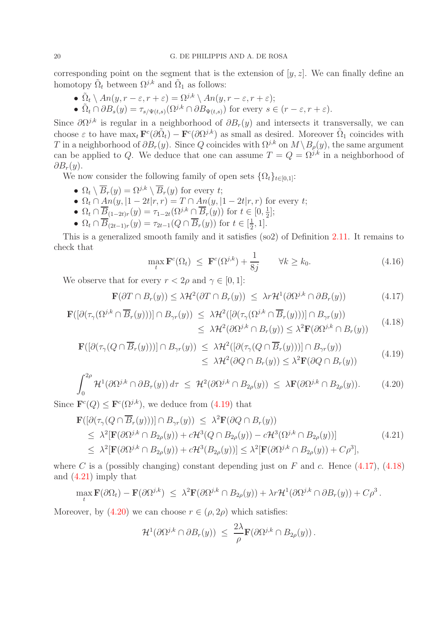corresponding point on the segment that is the extension of  $[y, z]$ . We can finally define an homotopy  $\tilde{\Omega}_t$  between  $\Omega^{j,k}$  and  $\tilde{\Omega}_1$  as follows:

•  $\tilde{\Omega}_t \setminus An(y, r - \varepsilon, r + \varepsilon) = \Omega^{j,k} \setminus An(y, r - \varepsilon, r + \varepsilon);$ 

• 
$$
\tilde{\Omega}_t \cap \partial B_s(y) = \tau_{s/\Psi(t,s)}(\Omega^{j,k} \cap \partial B_{\Psi(t,s)})
$$
 for every  $s \in (r - \varepsilon, r + \varepsilon)$ .

Since  $\partial\Omega^{j,k}$  is regular in a neighborhood of  $\partial B_r(y)$  and intersects it transversally, we can choose  $\varepsilon$  to have  $\max_t \mathbf{F}^c(\partial \tilde{\Omega}_t) - \mathbf{F}^c(\partial \Omega^{j,k})$  as small as desired. Moreover  $\tilde{\Omega}_1$  coincides with T in a neighborhood of  $\partial \dot{B}_r(y)$ . Since Q coincides with  $\Omega^{j,k}$  on  $M \setminus B_\rho(y)$ , the same argument can be applied to Q. We deduce that one can assume  $T = Q = \Omega^{j,k}$  in a neighborhood of  $\partial B_r(y)$ .

We now consider the following family of open sets  $\{\Omega_t\}_{t\in[0,1]}\colon$ 

- $\Omega_t \setminus \overline{B}_r(y) = \Omega^{j,k} \setminus \overline{B}_r(y)$  for every t;
- $\Omega_t \cap An(y, |1-2t|r, r) = T \cap An(y, |1-2t|r, r)$  for every t;
- $\Omega_t \cap \overline{\underline{B}}_{(1-2t)r}(y) = \tau_{1-2t}(\Omega^{j,k} \cap \overline{B}_r(y))$  for  $t \in [0, \frac{1}{2}]$  $\frac{1}{2}$ ];
- $\Omega_t \cap \overline{B}_{(2t-1)r}(y) = \tau_{2t-1}(Q \cap \overline{B}_r(y))$  for  $t \in [\frac{1}{2}]$  $\frac{1}{2}, 1].$

This is a generalized smooth family and it satisfies (so2) of Definition [2.11.](#page-7-0) It remains to check that

<span id="page-19-5"></span>
$$
\max_{t} \mathbf{F}^{c}(\Omega_{t}) \leq \mathbf{F}^{c}(\Omega^{j,k}) + \frac{1}{8j} \qquad \forall k \geq k_{0}.
$$
\n(4.16)

We observe that for every  $r < 2\rho$  and  $\gamma \in [0, 1]$ :

<span id="page-19-1"></span>
$$
\mathbf{F}(\partial T \cap B_r(y)) \le \lambda \mathcal{H}^2(\partial T \cap B_r(y)) \le \lambda r \mathcal{H}^1(\partial \Omega^{j,k} \cap \partial B_r(y)) \tag{4.17}
$$

<span id="page-19-2"></span>
$$
\mathbf{F}([\partial(\tau_{\gamma}(\Omega^{j,k} \cap \overline{B}_r(y)))] \cap B_{\gamma r}(y)) \leq \lambda \mathcal{H}^2([\partial(\tau_{\gamma}(\Omega^{j,k} \cap \overline{B}_r(y)))] \cap B_{\gamma r}(y))
$$
\n
$$
\leq \lambda \mathcal{H}^2(\partial \Omega^{j,k} \cap B_r(y)) \leq \lambda^2 \mathbf{F}(\partial \Omega^{j,k} \cap B_r(y)) \qquad (4.18)
$$

<span id="page-19-0"></span>
$$
\mathbf{F}([\partial(\tau_{\gamma}(Q \cap \overline{B}_r(y)))] \cap B_{\gamma r}(y)) \leq \lambda \mathcal{H}^2([\partial(\tau_{\gamma}(Q \cap \overline{B}_r(y)))] \cap B_{\gamma r}(y))
$$
\n
$$
\leq \lambda \mathcal{H}^2(\partial Q \cap B_r(y)) \leq \lambda^2 \mathbf{F}(\partial Q \cap B_r(y)) \tag{4.19}
$$

<span id="page-19-4"></span>
$$
\int_0^{2\rho} \mathcal{H}^1(\partial \Omega^{j,k} \cap \partial B_{\tau}(y)) d\tau \leq \mathcal{H}^2(\partial \Omega^{j,k} \cap B_{2\rho}(y)) \leq \lambda \mathbf{F}(\partial \Omega^{j,k} \cap B_{2\rho}(y)). \tag{4.20}
$$

Since  $\mathbf{F}^{c}(Q) \leq \mathbf{F}^{c}(\Omega^{j,k})$ , we deduce from [\(4.19\)](#page-19-0) that

<span id="page-19-3"></span>
$$
\mathbf{F}([\partial(\tau_{\gamma}(Q \cap \overline{B}_r(y)))] \cap B_{\gamma r}(y)) \leq \lambda^2 \mathbf{F}(\partial Q \cap B_r(y)) \n\leq \lambda^2 [\mathbf{F}(\partial \Omega^{j,k} \cap B_{2\rho}(y)) + c\mathcal{H}^3(Q \cap B_{2\rho}(y)) - c\mathcal{H}^3(\Omega^{j,k} \cap B_{2\rho}(y))] \n\leq \lambda^2 [\mathbf{F}(\partial \Omega^{j,k} \cap B_{2\rho}(y)) + c\mathcal{H}^3(B_{2\rho}(y))] \leq \lambda^2 [\mathbf{F}(\partial \Omega^{j,k} \cap B_{2\rho}(y)) + C\rho^3],
$$
\n(4.21)

where C is a (possibly changing) constant depending just on F and c. Hence  $(4.17)$ ,  $(4.18)$ and [\(4.21\)](#page-19-3) imply that

$$
\max_{t} \mathbf{F}(\partial \Omega_t) - \mathbf{F}(\partial \Omega^{j,k}) \leq \lambda^2 \mathbf{F}(\partial \Omega^{j,k} \cap B_{2\rho}(y)) + \lambda r \mathcal{H}^1(\partial \Omega^{j,k} \cap \partial B_r(y)) + C \rho^3.
$$

Moreover, by  $(4.20)$  we can choose  $r \in (\rho, 2\rho)$  which satisfies:

$$
\mathcal{H}^1(\partial \Omega^{j,k} \cap \partial B_r(y)) \ \leq \ \frac{2\lambda}{\rho} \mathbf{F}(\partial \Omega^{j,k} \cap B_{2\rho}(y)).
$$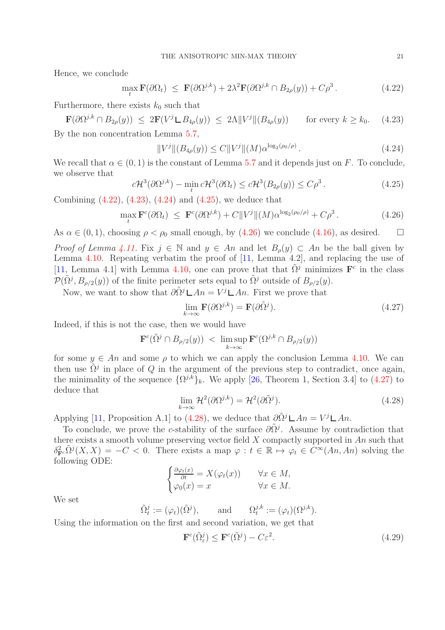Hence, we conclude

<span id="page-20-0"></span>
$$
\max_{t} \mathbf{F}(\partial \Omega_t) \leq \mathbf{F}(\partial \Omega^{j,k}) + 2\lambda^2 \mathbf{F}(\partial \Omega^{j,k} \cap B_{2\rho}(y)) + C\rho^3. \tag{4.22}
$$

Furthermore, there exists  $k_0$  such that

<span id="page-20-1"></span> $\mathbf{F}(\partial \Omega^{j,k} \cap B_{2\rho}(y)) \leq 2\mathbf{F}(V^j \mathbf{L} B_{4\rho}(y)) \leq 2\Lambda \|V^j\| (B_{4\rho}(y))$  for every  $k \geq k_0$ . (4.23) By the non concentration Lemma [5.7,](#page-32-0)

<span id="page-20-2"></span>
$$
||V^j||(B_{4\rho}(y)) \leq C||V^j||(M)\alpha^{\log_2(\rho_0/\rho)}.
$$

We recall that  $\alpha \in (0,1)$  is the constant of Lemma [5.7](#page-32-0) and it depends just on F. To conclude, we observe that

<span id="page-20-3"></span>
$$
c\mathcal{H}^3(\partial\Omega^{j,k}) - \min_t c\mathcal{H}^3(\partial\Omega_t) \leq c\mathcal{H}^3(B_{2\rho}(y)) \leq C\rho^3.
$$
 (4.25)

Combining [\(4.22\)](#page-20-0), [\(4.23\)](#page-20-1), [\(4.24\)](#page-20-2) and [\(4.25\)](#page-20-3), we deduce that

<span id="page-20-4"></span>
$$
\max_{t} \mathbf{F}^{c}(\partial \Omega_{t}) \leq \mathbf{F}^{c}(\partial \Omega^{j,k}) + C \|V^{j}\|(M)\alpha^{\log_{2}(\rho_{0}/\rho)} + C\rho^{3}.
$$
\n(4.26)

As  $\alpha \in (0, 1)$ , choosing  $\rho < \rho_0$  small enough, by [\(4.26\)](#page-20-4) we conclude [\(4.16\)](#page-19-5), as desired.  $\square$ 

*Proof of Lemma [4.11.](#page-17-1)* Fix  $j \in \mathbb{N}$  and  $y \in An$  and let  $B_{\rho}(y) \subset An$  be the ball given by Lemma [4.10.](#page-17-0) Repeating verbatim the proof of [\[11,](#page-36-1) Lemma 4.2], and replacing the use of [\[11,](#page-36-1) Lemma 4.1] with Lemma [4.10,](#page-17-0) one can prove that that  $\tilde{\Omega}^j$  minimizes  $\mathbf{F}^c$  in the class  $\mathcal{P}(\tilde{\Omega}^j, B_{\rho/2}(y))$  of the finite perimeter sets equal to  $\tilde{\Omega}^j$  outside of  $B_{\rho/2}(y)$ .

Now, we want to show that  $\partial \tilde{\Omega}^j \mathsf{L} An = V^j \mathsf{L} An$ . First we prove that

<span id="page-20-5"></span>
$$
\lim_{k \to \infty} \mathbf{F}(\partial \Omega^{j,k}) = \mathbf{F}(\partial \tilde{\Omega}^j). \tag{4.27}
$$

Indeed, if this is not the case, then we would have

$$
\mathbf{F}^c(\tilde{\Omega}^j \cap B_{\rho/2}(y)) \ < \ \limsup_{k \to \infty} \mathbf{F}^c(\Omega^{j,k} \cap B_{\rho/2}(y))
$$

for some  $y \in An$  and some  $\rho$  to which we can apply the conclusion Lemma [4.10.](#page-17-0) We can then use  $\tilde{\Omega}^j$  in place of Q in the argument of the previous step to contradict, once again, the minimality of the sequence  $\{\Omega^{j,k}\}_k$ . We apply [\[26,](#page-36-18) Theorem 1, Section 3.4] to [\(4.27\)](#page-20-5) to deduce that

<span id="page-20-6"></span>
$$
\lim_{k \to \infty} \mathcal{H}^2(\partial \Omega^{j,k}) = \mathcal{H}^2(\partial \tilde{\Omega}^j).
$$
\n(4.28)

Applying [\[11,](#page-36-1) Proposition A.1] to [\(4.28\)](#page-20-6), we deduce that  $\partial \tilde{\Omega}^j \mathsf{L} An = V^j \mathsf{L} An$ .

To conclude, we prove the c-stability of the surface  $\partial \tilde{\Omega}^j$ . Assume by contradiction that there exists a smooth volume preserving vector field  $X$  compactly supported in An such that  $\delta_{\mathbf{F}^c}^2 \tilde{\Omega}^j(X,X) = -C < 0$ . There exists a map  $\varphi : t \in \mathbb{R} \mapsto \varphi_t \in C^{\infty}(An, An)$  solving the following ODE:

$$
\begin{cases} \frac{\partial \varphi_t(x)}{\partial t} = X(\varphi_t(x)) & \forall x \in M, \\ \varphi_0(x) = x & \forall x \in M. \end{cases}
$$

We set

$$
\tilde{\Omega}_t^j := (\varphi_t)(\tilde{\Omega}^j), \quad \text{and} \quad \Omega_t^{j,k} := (\varphi_t)(\Omega^{j,k}).
$$
  
Using the information on the first and second variation, we get that

c c

$$
\mathbf{F}^c(\tilde{\Omega}^j_{\varepsilon}) \le \mathbf{F}^c(\tilde{\Omega}^j) - C\varepsilon^2. \tag{4.29}
$$

 $(4.24)$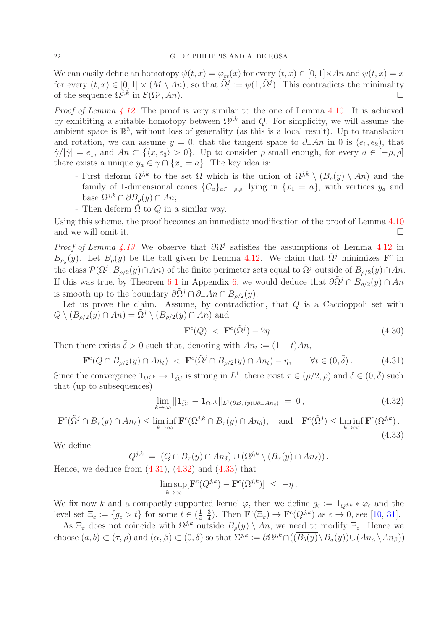We can easily define an homotopy  $\psi(t, x) = \varphi_{\varepsilon t}(x)$  for every  $(t, x) \in [0, 1] \times An$  and  $\psi(t, x) = x$ for every  $(t, x) \in [0, 1] \times (M \setminus An)$ , so that  $\tilde{\Omega}_{\varepsilon}^{j} := \psi(1, \tilde{\Omega}^{j})$ . This contradicts the minimality of the sequence  $\Omega^{j,k}$  in  $\mathcal{E}(\Omega^j, An)$ .  $, An$ ).

Proof of Lemma [4.12.](#page-17-2) The proof is very similar to the one of Lemma [4.10.](#page-17-0) It is achieved by exhibiting a suitable homotopy between  $\Omega^{j,k}$  and Q. For simplicity, we will assume the ambient space is  $\mathbb{R}^3$ , without loss of generality (as this is a local result). Up to translation and rotation, we can assume  $y = 0$ , that the tangent space to  $\partial_+ An$  in 0 is  $(e_1, e_2)$ , that  $\dot{\gamma}/|\dot{\gamma}| = e_1$ , and  $An \in \{\langle x, e_3 \rangle > 0\}$ . Up to consider  $\rho$  small enough, for every  $a \in [-\rho, \rho]$ there exists a unique  $y_a \in \gamma \cap \{x_1 = a\}$ . The key idea is:

- First deform  $\Omega^{j,k}$  to the set  $\tilde{\Omega}$  which is the union of  $\Omega^{j,k} \setminus (B_{\rho}(y) \setminus An)$  and the family of 1-dimensional cones  $\{C_a\}_{a \in [-\rho,\rho]}$  lying in  $\{x_1 = a\}$ , with vertices  $y_a$  and base  $\Omega^{j,k} \cap \partial B_{\rho}(y) \cap An;$
- Then deform  $\tilde{\Omega}$  to  $Q$  in a similar way.

Using this scheme, the proof becomes an immediate modification of the proof of Lemma [4.10](#page-17-0) and we will omit it.  $\Box$ 

*Proof of Lemma [4.13.](#page-17-3)* We observe that  $\partial \Omega^j$  satisfies the assumptions of Lemma [4.12](#page-17-2) in  $B_{\rho_y}(y)$ . Let  $B_{\rho}(y)$  be the ball given by Lemma [4.12.](#page-17-2) We claim that  $\tilde{\Omega}^j$  minimizes  $\mathbf{F}^c$  in the class  $\mathcal{P}(\tilde{\Omega}^j, B_{\rho/2}(y) \cap An)$  of the finite perimeter sets equal to  $\tilde{\Omega}^j$  outside of  $B_{\rho/2}(y) \cap An$ . If this was true, by Theorem [6.1](#page-33-0) in Appendix [6,](#page-33-1) we would deduce that  $\partial \tilde{\Omega}^{j} \cap B_{o/2}(y) \cap An$ is smooth up to the boundary  $\partial \tilde{\Omega}^j \cap \partial_+ An \cap B_{\rho/2}(y)$ .

Let us prove the claim. Assume, by contradiction, that  $Q$  is a Caccioppoli set with  $Q \setminus (B_{\rho/2}(y) \cap An) = \Omega^j \setminus (B_{\rho/2}(y) \cap An)$  and

$$
\mathbf{F}^c(Q) < \mathbf{F}^c(\tilde{\Omega}^j) - 2\eta \,. \tag{4.30}
$$

Then there exists  $\bar{\delta} > 0$  such that, denoting with  $An_t := (1 - t)An$ ,

<span id="page-21-0"></span>
$$
\mathbf{F}^c(Q \cap B_{\rho/2}(y) \cap An_t) < \mathbf{F}^c(\tilde{\Omega}^j \cap B_{\rho/2}(y) \cap An_t) - \eta, \qquad \forall t \in (0, \bar{\delta}).\tag{4.31}
$$

Since the convergence  $\mathbf{1}_{\Omega^{j,k}} \to \mathbf{1}_{\tilde{\Omega}^j}$  is strong in  $L^1$ , there exist  $\tau \in (\rho/2, \rho)$  and  $\delta \in (0, \bar{\delta})$  such that (up to subsequences)

<span id="page-21-1"></span>
$$
\lim_{k \to \infty} \| \mathbf{1}_{\tilde{\Omega}^j} - \mathbf{1}_{\Omega^{j,k}} \|_{L^1(\partial B_\tau(y) \cup \partial_+ An_\delta)} = 0, \qquad (4.32)
$$

<span id="page-21-2"></span>
$$
\mathbf{F}^c(\tilde{\Omega}^j \cap B_{\tau}(y) \cap An_{\delta}) \le \liminf_{k \to \infty} \mathbf{F}^c(\Omega^{j,k} \cap B_{\tau}(y) \cap An_{\delta}), \text{ and } \mathbf{F}^c(\tilde{\Omega}^j) \le \liminf_{k \to \infty} \mathbf{F}^c(\Omega^{j,k}).
$$
\n(4.33)

We define

$$
Q^{j,k} = (Q \cap B_{\tau}(y) \cap An_{\delta}) \cup (\Omega^{j,k} \setminus (B_{\tau}(y) \cap An_{\delta})).
$$

Hence, we deduce from  $(4.31)$ ,  $(4.32)$  and  $(4.33)$  that

$$
\limsup_{k\to\infty} [\mathbf{F}^c(Q^{j,k}) - \mathbf{F}^c(\Omega^{j,k})] \leq -\eta.
$$

We fix now k and a compactly supported kernel  $\varphi$ , then we define  $g_{\varepsilon} := \mathbf{1}_{Q^{j,k}} * \varphi_{\varepsilon}$  and the level set  $\Xi_{\varepsilon} := \{ g_{\varepsilon} > t \}$  for some  $t \in (\frac{1}{4})$  $\frac{1}{4}$ ,  $\frac{3}{4}$  $\frac{3}{4}$ ). Then  $\mathbf{F}^c(\Xi_\varepsilon) \to \mathbf{F}^c(Q^{j,k})$  as  $\varepsilon \to 0$ , see [\[10,](#page-36-19) [31\]](#page-37-7).

As  $\Xi_{\varepsilon}$  does not coincide with  $\Omega^{j,k}$  outside  $B_{\rho}(y) \setminus An$ , we need to modify  $\Xi_{\varepsilon}$ . Hence we choose  $(a, b) \subset (\tau, \rho)$  and  $(\alpha, \beta) \subset (0, \delta)$  so that  $\Sigma^{j,k} := \partial \Omega^{j,k} \cap ((\overline{B_b(y)} \setminus B_a(y)) \cup (\overline{An_{\alpha}} \setminus An_{\beta}))$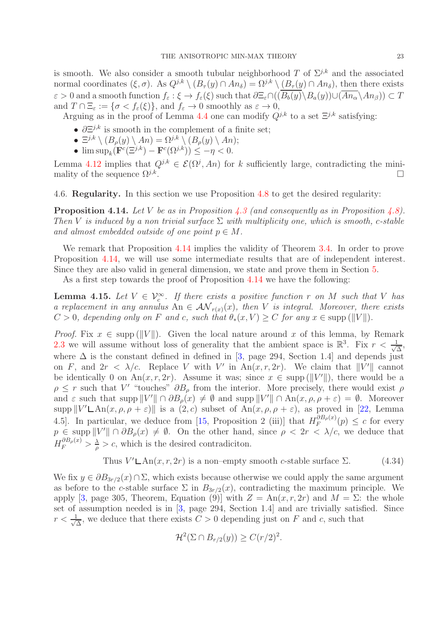is smooth. We also consider a smooth tubular neighborhood T of  $\Sigma^{j,k}$  and the associated normal coordinates  $(\xi, \sigma)$ . As  $Q^{j,k} \setminus (B_{\tau}(y) \cap An_{\delta}) = \Omega^{j,k} \setminus (B_{\tau}(y) \cap An_{\delta})$ , then there exists  $\varepsilon > 0$  and a smooth function  $f_{\varepsilon} : \xi \to f_{\varepsilon}(\xi)$  such that  $\partial \Xi_{\varepsilon} \cap (\overline{(B_b(y)} \setminus B_a(y)) \cup (\overline{An_{\alpha}} \setminus An_{\beta})) \subset T$ and  $T \cap \Xi_{\varepsilon} := \{ \sigma < f_{\varepsilon}(\xi) \},\$ and  $f_{\varepsilon} \to 0$  smoothly as  $\varepsilon \to 0$ ,

Arguing as in the proof of Lemma [4.4](#page-13-2) one can modify  $Q^{j,k}$  to a set  $\Xi^{j,k}$  satisfying:

- $\partial \Xi^{j,k}$  is smooth in the complement of a finite set;
- $\Xi^{j,k}\setminus (B_\rho(y)\setminus An)=\Omega^{j,k}\setminus (B_\rho(y)\setminus An);$
- $\limsup_k (\mathbf{F}^c(\Xi^{j,k}) \mathbf{F}^c(\Omega^{j,k})) \leq -\eta < 0.$

Lemma [4.12](#page-17-2) implies that  $Q^{j,k} \in \mathcal{E}(\Omega^j, An)$  for k sufficiently large, contradicting the minimality of the sequence  $\Omega^{j,k}$ . .

<span id="page-22-0"></span>4.6. Regularity. In this section we use Proposition [4.8](#page-16-2) to get the desired regularity:

<span id="page-22-1"></span>**Proposition 4.14.** Let V be as in Proposition [4.3](#page-13-0) (and consequently as in Proposition [4.8\)](#page-16-2). Then V is induced by a non trivial surface  $\Sigma$  with multiplicity one, which is smooth, c-stable and almost embedded outside of one point  $p \in M$ .

We remark that Proposition [4.14](#page-22-1) implies the validity of Theorem [3.4.](#page-8-0) In order to prove Proposition [4.14,](#page-22-1) we will use some intermediate results that are of independent interest. Since they are also valid in general dimension, we state and prove them in Section [5.](#page-28-0)

As a first step towards the proof of Proposition [4.14](#page-22-1) we have the following:

<span id="page-22-3"></span>**Lemma 4.15.** Let  $V \in V_c^{\infty}$ . If there exists a positive function r on M such that V has a replacement in any annulus An  $\in A\mathcal{N}_{r(x)}(x)$ , then V is integral. Moreover, there exists  $C > 0$ , depending only on F and c, such that  $\theta_*(x, V) > C$  for any  $x \in \text{supp} (||V||)$ .

*Proof.* Fix  $x \in \text{supp} (||V||)$ . Given the local nature around x of this lemma, by Remark [2.3](#page-5-3) we will assume without loss of generality that the ambient space is  $\mathbb{R}^3$ . Fix  $r < \frac{1}{\sqrt{2}}$  $\frac{L}{\Delta}$ where  $\Delta$  is the constant defined in defined in [\[3,](#page-35-0) page 294, Section 1.4] and depends just on F, and  $2r < \lambda/c$ . Replace V with V' in An $(x, r, 2r)$ . We claim that  $||V'||$  cannot be identically 0 on An $(x, r, 2r)$ . Assume it was; since  $x \in \text{supp} (||V'||)$ , there would be a  $\rho \leq r$  such that V' "touches"  $\partial B_{\rho}$  from the interior. More precisely, there would exist  $\rho$ and  $\varepsilon$  such that supp  $||V'|| \cap \partial B_{\rho}(x) \neq \emptyset$  and supp  $||V'|| \cap \text{An}(x, \rho, \rho + \varepsilon) = \emptyset$ . Moreover  $\supp ||V' \mathsf{L} \text{An}(x, \rho, \rho + \varepsilon) ||$  is a  $(2, c)$  subset of  $\text{An}(x, \rho, \rho + \varepsilon)$ , as proved in [\[22,](#page-36-11) Lemma 4.5]. In particular, we deduce from [\[15,](#page-36-3) Proposition 2 (iii)] that  $H_F^{\partial B_\rho(x)}$  $F_F^{^{(1)}(p)}$   $\leq c$  for every  $p \in \text{supp } ||V'|| \cap \partial B_{\rho}(x) \neq \emptyset$ . On the other hand, since  $\rho < 2r < \lambda/c$ , we deduce that  $H_{F}^{\partial B_{\rho}(x)} > \frac{\lambda}{\rho}$  $\frac{\lambda}{\rho} > c$ , which is the desired contradiciton.

<span id="page-22-2"></span>Thus 
$$
V' \text{LAn}(x, r, 2r)
$$
 is a non-empty smooth c-stable surface  $\Sigma$ . (4.34)

We fix  $y \in \partial B_{3r/2}(x) \cap \Sigma$ , which exists because otherwise we could apply the same argument as before to the c-stable surface  $\Sigma$  in  $B_{3r/2}(x)$ , contradicting the maximum principle. We apply [\[3,](#page-35-0) page 305, Theorem, Equation (9)] with  $Z = An(x, r, 2r)$  and  $M = \Sigma$ : the whole set of assumption needed is in [\[3,](#page-35-0) page 294, Section 1.4] and are trivially satisfied. Since  $r < \frac{1}{\sqrt{2}}$  $\frac{1}{\Delta}$ , we deduce that there exists  $C > 0$  depending just on F and c, such that

$$
\mathcal{H}^2(\Sigma \cap B_{r/2}(y)) \ge C(r/2)^2.
$$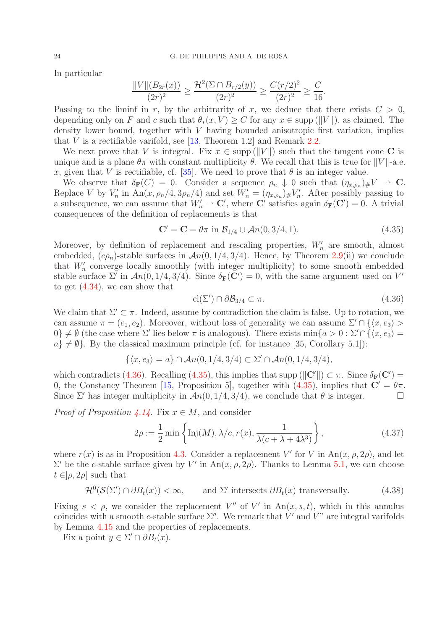In particular

$$
\frac{\|V\|(B_{2r}(x))}{(2r)^2} \ge \frac{\mathcal{H}^2(\Sigma \cap B_{r/2}(y))}{(2r)^2} \ge \frac{C(r/2)^2}{(2r)^2} \ge \frac{C}{16}.
$$

Passing to the liminf in r, by the arbitrarity of x, we deduce that there exists  $C > 0$ , depending only on F and c such that  $\theta_*(x, V) \geq C$  for any  $x \in \text{supp} (||V||)$ , as claimed. The density lower bound, together with V having bounded anisotropic first variation, implies that  $V$  is a rectifiable varifold, see [\[13,](#page-36-2) Theorem 1.2] and Remark [2.2.](#page-5-4)

We next prove that V is integral. Fix  $x \in \text{supp} (||V||)$  such that the tangent cone C is unique and is a plane  $\theta\pi$  with constant multiplicity  $\theta$ . We recall that this is true for  $||V||$ -a.e. x, given that V is rectifiable, cf. [\[35\]](#page-37-5). We need to prove that  $\theta$  is an integer value.

We observe that  $\delta_{\mathbf{F}}(C) = 0$ . Consider a sequence  $\rho_n \downarrow 0$  such that  $(\eta_{x,\rho_n})_{\#} V \to \mathbf{C}$ . Replace V by  $V'_n$  in  $An(x, \rho_n/4, 3\rho_n/4)$  and set  $W'_n = (\eta_{x,\rho_n})_{\#} V'_n$ . After possibly passing to a subsequence, we can assume that  $W'_n \to \mathbb{C}'$ , where  $\mathbb{C}'$  satisfies again  $\delta_{\mathbf{F}}(\mathbb{C}') = 0$ . A trivial consequences of the definition of replacements is that

<span id="page-23-1"></span>
$$
\mathbf{C}' = \mathbf{C} = \theta \pi \text{ in } \mathcal{B}_{1/4} \cup \mathcal{A}n(0, 3/4, 1). \tag{4.35}
$$

Moreover, by definition of replacement and rescaling properties,  $W'_n$  are smooth, almost embedded,  $(c\rho_n)$ -stable surfaces in  $\mathcal{A}n(0, 1/4, 3/4)$ . Hence, by Theorem [2.9\(](#page-6-3)ii) we conclude that  $W'_n$  converge locally smoothly (with integer multiplicity) to some smooth embedded stable surface  $\Sigma'$  in  $\mathcal{A}n(0,1/4,3/4)$ . Since  $\delta_{\mathbf{F}}(\mathbf{C}')=0$ , with the same argument used on  $V'$ to get [\(4.34\)](#page-22-2), we can show that

<span id="page-23-0"></span>
$$
\operatorname{cl}(\Sigma') \cap \partial \mathcal{B}_{3/4} \subset \pi. \tag{4.36}
$$

We claim that  $\Sigma' \subset \pi$ . Indeed, assume by contradiction the claim is false. Up to rotation, we can assume  $\pi = (e_1, e_2)$ . Moreover, without loss of generality we can assume  $\Sigma' \cap \{\langle x, e_3 \rangle \ge \}$  $0\} \neq \emptyset$  (the case where  $\Sigma'$  lies below  $\pi$  is analogous). There exists  $\min\{a > 0 : \Sigma' \cap \{\langle x, e_3 \rangle = 0\}$  $a\} \neq \emptyset$ . By the classical maximum principle (cf. for instance [35, Corollary 5.1]):

$$
\{ \langle x, e_3 \rangle = a \} \cap \mathcal{A}n(0, 1/4, 3/4) \subset \Sigma' \cap \mathcal{A}n(0, 1/4, 3/4),
$$

which contradicts [\(4.36\)](#page-23-0). Recalling [\(4.35\)](#page-23-1), this implies that supp ( $||\mathbf{C}'||$ )  $\subset \pi$ . Since  $\delta_{\mathbf{F}}(\mathbf{C}')$  = 0, the Constancy Theorem [\[15,](#page-36-3) Proposition 5], together with  $(4.35)$ , implies that  $C' = \theta \pi$ . Since  $\Sigma'$  has integer multiplicity in  $\mathcal{A}n(0, 1/4, 3/4)$ , we conclude that  $\theta$  is integer.

*Proof of Proposition [4.14.](#page-22-1)* Fix  $x \in M$ , and consider

<span id="page-23-3"></span>
$$
2\rho := \frac{1}{2} \min \left\{ \text{Inj}(M), \lambda/c, r(x), \frac{1}{\lambda(c + \lambda + 4\lambda^3)} \right\},\tag{4.37}
$$

where  $r(x)$  is as in Proposition [4.3.](#page-13-0) Consider a replacement V' for V in  $An(x, \rho, 2\rho)$ , and let  $\Sigma'$  be the *c*-stable surface given by V' in An(x, ρ, 2ρ). Thanks to Lemma [5.1,](#page-29-0) we can choose  $t \in ]\rho, 2\rho[$  such that

<span id="page-23-2"></span>
$$
\mathcal{H}^0(\mathcal{S}(\Sigma') \cap \partial B_t(x)) < \infty, \qquad \text{and } \Sigma' \text{ intersects } \partial B_t(x) \text{ transversally.} \tag{4.38}
$$

Fixing  $s < \rho$ , we consider the replacement V'' of V' in An $(x, s, t)$ , which in this annulus coincides with a smooth c-stable surface  $\Sigma''$ . We remark that  $V'$  and  $V''$  are integral varifolds by Lemma [4.15](#page-22-3) and the properties of replacements.

Fix a point  $y \in \Sigma' \cap \partial B_t(x)$ .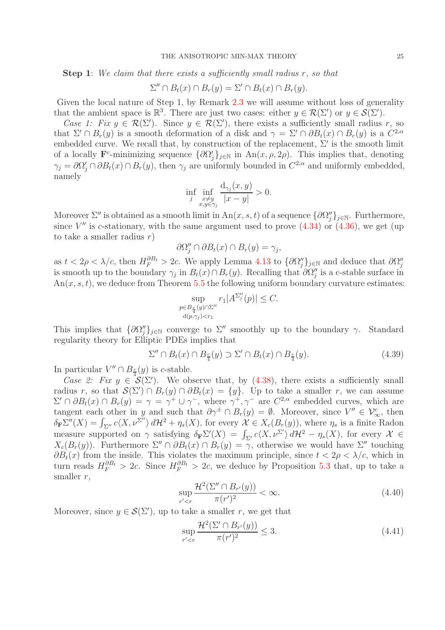Step 1: We claim that there exists a sufficiently small radius r, so that

$$
\Sigma'' \cap B_t(x) \cap B_r(y) = \Sigma' \cap B_t(x) \cap B_r(y).
$$

Given the local nature of Step 1, by Remark [2.3](#page-5-3) we will assume without loss of generality that the ambient space is  $\mathbb{R}^3$ . There are just two cases: either  $y \in \mathcal{R}(\Sigma')$  or  $y \in \mathcal{S}(\Sigma')$ .

Case 1: Fix  $y \in \mathcal{R}(\Sigma')$ . Since  $y \in \mathcal{R}(\Sigma')$ , there exists a sufficiently small radius r, so that  $\Sigma' \cap B_r(y)$  is a smooth deformation of a disk and  $\gamma = \Sigma' \cap \partial B_t(x) \cap B_r(y)$  is a  $C^{2,\alpha}$ embedded curve. We recall that, by construction of the replacement,  $\Sigma'$  is the smooth limit of a locally  $\mathbf{F}^c$ -minimizing sequence  $\{\partial \Omega'_j\}_{j\in\mathbb{N}}$  in  $\text{An}(x,\rho,2\rho)$ . This implies that, denoting  $\gamma_j = \partial \Omega'_j \cap \partial B_t(x) \cap B_r(y)$ , then  $\gamma_j$  are uniformly bounded in  $C^{2,\alpha}$  and uniformly embedded, namely

$$
\inf_{j} \inf_{\substack{x \neq y \\ x, y \in \gamma_j}} \frac{d_{\gamma_j}(x, y)}{|x - y|} > 0.
$$

Moreover  $\Sigma''$  is obtained as a smooth limit in  $\text{An}(x, s, t)$  of a sequence  $\{\partial \Omega''_j\}_{j\in\mathbb{N}}$ . Furthermore, since  $V''$  is c-stationary, with the same argument used to prove  $(4.34)$  or  $(4.36)$ , we get (up to take a smaller radius  $r$ )

$$
\partial\Omega_j'' \cap \partial B_t(x) \cap B_r(y) = \gamma_j,
$$

as  $t < 2\rho < \lambda/c$ , then  $H_F^{\partial B_t} > 2c$ . We apply Lemma [4.13](#page-17-3) to  $\{\partial \Omega_j''\}_{j\in\mathbb{N}}$  and deduce that  $\partial \Omega_j''$ is smooth up to the boundary  $\gamma_j$  in  $B_t(x) \cap B_r(y)$ . Recalling that  $\partial \Omega''_j$  is a c-stable surface in  $An(x, s, t)$ , we deduce from Theorem [5.5](#page-31-0) the following uniform boundary curvature estimates:

$$
\sup_{\substack{p \in B_{\frac{r}{4}}(y) \cap \Sigma'' \\ d(p,\gamma_j) < r_1}} r_1 |A^{\Sigma''_j}(p)| \leq C.
$$

This implies that  $\{\partial \Omega''_j\}_{j\in\mathbb{N}}$  converge to  $\Sigma''$  smoothly up to the boundary  $\gamma$ . Standard regularity theory for Elliptic PDEs implies that

<span id="page-24-2"></span>
$$
\Sigma'' \cap B_t(x) \cap B_{\frac{r}{4}}(y) \supset \Sigma' \cap B_t(x) \cap B_{\frac{r}{4}}(y). \tag{4.39}
$$

In particular  $V'' \cap B_{\frac{r}{4}}(y)$  is c-stable.

Case 2: Fix  $y \in \mathcal{S}(\Sigma')$ . We observe that, by [\(4.38\)](#page-23-2), there exists a sufficiently small radius r, so that  $\mathcal{S}(\Sigma') \cap B_r(y) \cap \partial B_t(x) = \{y\}$ . Up to take a smaller r, we can assume  $\Sigma' \cap \partial B_t(x) \cap B_r(y) = \gamma = \gamma^+ \cup \gamma^-,$  where  $\gamma^+, \gamma^-$  are  $C^{2,\alpha}$  embedded curves, which are tangent each other in y and such that  $\partial \gamma^{\pm} \cap B_r(y) = \emptyset$ . Moreover, since  $V'' \in \mathcal{V}_{\infty}^c$ , then  $\delta_{\mathbf{F}} \Sigma''(X) = \int_{\Sigma''} c \langle X, \nu^{\Sigma''} \rangle d\mathcal{H}^2 + \eta_s(X)$ , for every  $\mathcal{X} \in X_c(B_r(y))$ , where  $\eta_s$  is a finite Radon measure supported on  $\gamma$  satisfying  $\delta_{\mathbf{F}}\Sigma'(X) = \int_{\Sigma'} c\langle X, \nu^{\Sigma'}\rangle d\mathcal{H}^2 - \eta_s(X)$ , for every  $\mathcal{X} \in$  $X_c(B_r(y))$ . Furthermore  $\Sigma'' \cap \partial B_t(x) \cap B_r(y) = \gamma$ , otherwise we would have  $\Sigma''$  touching  $\partial B_t(x)$  from the inside. This violates the maximum principle, since  $t < 2\rho < \lambda/c$ , which in turn reads  $H_F^{\partial B_t} > 2c$ . Since  $H_F^{\partial B_t} > 2c$ , we deduce by Proposition [5.3](#page-29-1) that, up to take a smaller  $r$ ,

<span id="page-24-0"></span>
$$
\sup_{r' < r} \frac{\mathcal{H}^2(\Sigma'' \cap B_{r'}(y))}{\pi (r')^2} < \infty. \tag{4.40}
$$

Moreover, since  $y \in \mathcal{S}(\Sigma')$ , up to take a smaller r, we get that

<span id="page-24-1"></span>
$$
\sup_{r' < r} \frac{\mathcal{H}^2(\Sigma' \cap B_{r'}(y))}{\pi(r')^2} \le 3. \tag{4.41}
$$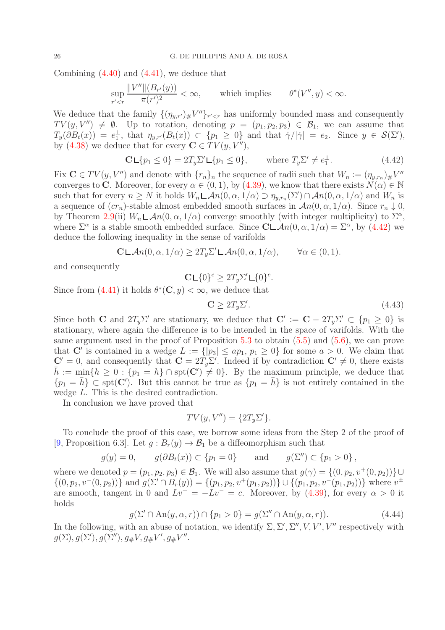Combining  $(4.40)$  and  $(4.41)$ , we deduce that

$$
\sup_{r' < r} \frac{\|V''\| (B_{r'}(y))}{\pi (r')^2} < \infty, \qquad \text{which implies} \qquad \theta^*(V'', y) < \infty.
$$

We deduce that the family  ${(\eta_{y,r'})_{\#}}V''\}_{r' has uniformly bounded mass and consequently$  $TV(y, V'') \neq \emptyset$ . Up to rotation, denoting  $p = (p_1, p_2, p_3) \in \mathcal{B}_1$ , we can assume that  $T_y(\partial B_t(x)) = e_1^{\perp}$ , that  $\eta_{y,r'}(B_t(x)) \subset \{p_1 \geq 0\}$  and that  $\dot{\gamma}/|\dot{\gamma}| = e_2$ . Since  $y \in \mathcal{S}(\Sigma')$ , by [\(4.38\)](#page-23-2) we deduce that for every  $\mathbf{C} \in TV(y, V'')$ ,

<span id="page-25-0"></span>
$$
\mathbf{C} \mathsf{L} \{ p_1 \le 0 \} = 2T_y \Sigma' \mathsf{L} \{ p_1 \le 0 \}, \qquad \text{where } T_y \Sigma' \ne e_1^\perp. \tag{4.42}
$$

Fix  $\mathbf{C} \in TV(y, V'')$  and denote with  $\{r_n\}_n$  the sequence of radii such that  $W_n := (\eta_{y,r_n})_{\#} V''$ converges to C. Moreover, for every  $\alpha \in (0,1)$ , by  $(4.39)$ , we know that there exists  $N(\alpha) \in \mathbb{N}$ such that for every  $n \geq N$  it holds  $W_n \mathsf{L} \mathcal{A}n(0, \alpha, 1/\alpha) \supset \eta_{y,r_n}(\Sigma') \cap \mathcal{A}n(0, \alpha, 1/\alpha)$  and  $W_n$  is a sequence of  $(cr_n)$ -stable almost embedded smooth surfaces in  $\mathcal{A}n(0, \alpha, 1/\alpha)$ . Since  $r_n \downarrow 0$ , by Theorem [2.9\(](#page-6-3)ii)  $W_n \mathcal{L} \mathcal{A}n(0, \alpha, 1/\alpha)$  converge smoothly (with integer multiplicity) to  $\Sigma^{\alpha}$ , where  $\Sigma^{\alpha}$  is a stable smooth embedded surface. Since  $\mathbb{C} \mathsf{L} \mathcal{A}n(0, \alpha, 1/\alpha) = \Sigma^{\alpha}$ , by [\(4.42\)](#page-25-0) we deduce the following inequality in the sense of varifolds

$$
\mathbf{CLAn}(0, \alpha, 1/\alpha) \ge 2T_y \Sigma' \mathbf{LA}n(0, \alpha, 1/\alpha), \qquad \forall \alpha \in (0, 1).
$$

and consequently

$$
\mathbf{C} \mathsf{L}\{0\}^c \ge 2T_y \Sigma' \mathsf{L}\{0\}^c.
$$

Since from  $(4.41)$  it holds  $\theta^*(\mathbb{C}, y) < \infty$ , we deduce that

$$
\mathbf{C} \ge 2T_y \Sigma'.\tag{4.43}
$$

Since both **C** and  $2T_y\Sigma'$  are stationary, we deduce that  $\mathbf{C}' := \mathbf{C} - 2T_y\Sigma' \subset \{p_1 \geq 0\}$  is stationary, where again the difference is to be intended in the space of varifolds. With the same argument used in the proof of Proposition [5.3](#page-29-1) to obtain [\(5.5\)](#page-31-1) and [\(5.6\)](#page-31-2), we can prove that C' is contained in a wedge  $L := \{ |p_3| \le ap_1, p_1 \ge 0 \}$  for some  $a > 0$ . We claim that  $\mathbf{C}' = 0$ , and consequently that  $\mathbf{C} = 2T_y \Sigma'$ . Indeed if by contradiction  $\mathbf{C}' \neq 0$ , there exists  $\bar{h} := \min\{h \geq 0 : \{p_1 = h\} \cap \text{spt}(\mathbb{C}') \neq 0\}.$  By the maximum principle, we deduce that  $\{p_1 = \bar{h}\}\subset \text{spt}(\mathbf{C}')$ . But this cannot be true as  $\{p_1 = \bar{h}\}$  is not entirely contained in the wedge L. This is the desired contradiction.

In conclusion we have proved that

$$
TV(y, V'') = \{2T_y \Sigma'\}.
$$

To conclude the proof of this case, we borrow some ideas from the Step 2 of the proof of [\[9,](#page-36-0) Proposition 6.3]. Let  $g: B_r(y) \to B_1$  be a diffeomorphism such that

$$
g(y) = 0
$$
,  $g(\partial B_t(x)) \subset \{p_1 = 0\}$  and  $g(\Sigma'') \subset \{p_1 > 0\}$ ,

where we denoted  $p = (p_1, p_2, p_3) \in \mathcal{B}_1$ . We will also assume that  $g(\gamma) = \{(0, p_2, v^+(0, p_2))\} \cup$  $\{(0, p_2, v^-(0, p_2))\}$  and  $g(\Sigma' \cap B_r(y)) = \{(p_1, p_2, v^+(p_1, p_2))\} \cup \{(p_1, p_2, v^-(p_1, p_2))\}$  where  $v^{\pm}$ are smooth, tangent in 0 and  $Lv^+ = -Lv^- = c$ . Moreover, by [\(4.39\)](#page-24-2), for every  $\alpha > 0$  it holds

<span id="page-25-1"></span>
$$
g(\Sigma' \cap \text{An}(y,\alpha,r)) \cap \{p_1 > 0\} = g(\Sigma'' \cap \text{An}(y,\alpha,r)).\tag{4.44}
$$

In the following, with an abuse of notation, we identify  $\Sigma$ ,  $\Sigma'$ ,  $\Sigma''$ ,  $V$ ,  $V'$ ,  $V''$  respectively with  $g(\Sigma), g(\Sigma'), g(\Sigma''), g_{\#}V, g_{\#}V', g_{\#}V''.$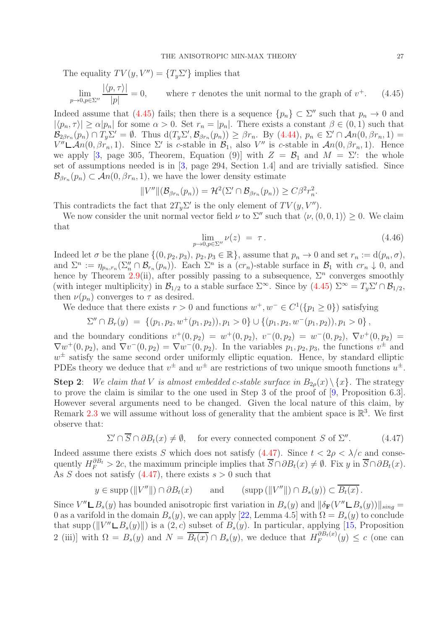The equality  $TV(y, V'') = \{T_y \Sigma'\}$  implies that

<span id="page-26-0"></span>
$$
\lim_{p \to 0, p \in \Sigma''} \frac{|\langle p, \tau \rangle|}{|p|} = 0, \quad \text{where } \tau \text{ denotes the unit normal to the graph of } v^+.
$$
 (4.45)

Indeed assume that [\(4.45\)](#page-26-0) fails; then there is a sequence  ${p_n} \subset \Sigma''$  such that  $p_n \to 0$  and  $|\langle p_n, \tau \rangle| \ge \alpha |p_n|$  for some  $\alpha > 0$ . Set  $r_n = |p_n|$ . There exists a constant  $\beta \in (0, 1)$  such that  $\mathcal{B}_{2\beta r_n}(p_n) \cap T_y \Sigma' = \emptyset$ . Thus  $d(T_y \Sigma', \mathcal{B}_{\beta r_n}(p_n)) \geq \beta r_n$ . By  $(4.44)$ ,  $p_n \in \Sigma' \cap \mathcal{A}_n(0, \beta r_n, 1) =$  $V'' \mathcal{L}An(0, \beta r_n, 1)$ . Since  $\Sigma'$  is c-stable in  $\mathcal{B}_1$ , also  $V''$  is c-stable in  $An(0, \beta r_n, 1)$ . Hence we apply [\[3,](#page-35-0) page 305, Theorem, Equation (9)] with  $Z = \mathcal{B}_1$  and  $M = \Sigma'$ : the whole set of assumptions needed is in [\[3,](#page-35-0) page 294, Section 1.4] and are trivially satisfied. Since  $\mathcal{B}_{\beta r_n}(p_n) \subset \mathcal{A}_n(0, \beta r_n, 1)$ , we have the lower density estimate

$$
||V''||(\mathcal{B}_{\beta r_n}(p_n)) = \mathcal{H}^2(\Sigma' \cap \mathcal{B}_{\beta r_n}(p_n)) \geq C\beta^2 r_n^2.
$$

This contradicts the fact that  $2T_y\Sigma'$  is the only element of  $TV(y, V'')$ .

We now consider the unit normal vector field  $\nu$  to  $\Sigma''$  such that  $\langle \nu, (0, 0, 1) \rangle \geq 0$ . We claim that

$$
\lim_{p \to 0, p \in \Sigma''} \nu(z) = \tau. \tag{4.46}
$$

Indeed let  $\sigma$  be the plane  $\{(0, p_2, p_3), p_2, p_3 \in \mathbb{R}\},$  assume that  $p_n \to 0$  and set  $r_n := d(p_n, \sigma),$ and  $\Sigma^n := \eta_{p_n,r_n}(\Sigma''_n \cap \mathcal{B}_{r_n}(p_n)).$  Each  $\Sigma^n$  is a  $(cr_n)$ -stable surface in  $\mathcal{B}_1$  with  $cr_n \downarrow 0$ , and hence by Theorem [2.9\(](#page-6-3)ii), after possibly passing to a subsequence,  $\Sigma^n$  converges smoothly (with integer multiplicity) in  $\mathcal{B}_{1/2}$  to a stable surface  $\Sigma^{\infty}$ . Since by  $(4.45) \Sigma^{\infty} = T_y \Sigma' \cap \mathcal{B}_{1/2}$ , then  $\nu(p_n)$  converges to  $\tau$  as desired.

We deduce that there exists  $r > 0$  and functions  $w^+, w^- \in C^1({p_1 \ge 0})$  satisfying

$$
\Sigma'' \cap B_r(y) = \{ (p_1, p_2, w^+(p_1, p_2)), p_1 > 0 \} \cup \{ (p_1, p_2, w^-(p_1, p_2)), p_1 > 0 \},
$$

and the boundary conditions  $v^+(0, p_2) = w^+(0, p_2)$ ,  $v^-(0, p_2) = w^-(0, p_2)$ ,  $\nabla v^+(0, p_2) =$  $\nabla w^+(0, p_2)$ , and  $\nabla v^-(0, p_2) = \nabla w^-(0, p_2)$ . In the variables  $p_1, p_2, p_3$ , the functions  $v^{\pm}$  and  $w^{\pm}$  satisfy the same second order uniformly elliptic equation. Hence, by standard elliptic PDEs theory we deduce that  $v^{\pm}$  and  $w^{\pm}$  are restrictions of two unique smooth functions  $u^{\pm}$ .

**Step 2:** We claim that V is almost embedded c-stable surface in  $B_{2\rho}(x) \setminus \{x\}$ . The strategy to prove the claim is similar to the one used in Step 3 of the proof of [\[9,](#page-36-0) Proposition 6.3]. However several arguments need to be changed. Given the local nature of this claim, by Remark [2.3](#page-5-3) we will assume without loss of generality that the ambient space is  $\mathbb{R}^3$ . We first observe that:

<span id="page-26-1"></span>
$$
\Sigma' \cap \overline{S} \cap \partial B_t(x) \neq \emptyset, \quad \text{for every connected component } S \text{ of } \Sigma''. \tag{4.47}
$$

Indeed assume there exists S which does not satisfy [\(4.47\)](#page-26-1). Since  $t < 2\rho < \lambda/c$  and consequently  $H_F^{\partial B_t} > 2c$ , the maximum principle implies that  $\overline{S} \cap \partial B_t(x) \neq \emptyset$ . Fix y in  $\overline{S} \cap \partial B_t(x)$ . As S does not satisfy  $(4.47)$ , there exists  $s > 0$  such that

$$
y \in \text{supp} (||V''||) \cap \partial B_t(x)
$$
 and  $(\text{supp} (||V''||) \cap B_s(y)) \subset \overline{B_t(x)}$ .

Since  $V'' \mathbf{\perp} B_s(y)$  has bounded anisotropic first variation in  $B_s(y)$  and  $\|\delta_{\mathbf{F}}(V'' \mathbf{\perp} B_s(y))\|_{sing} =$ 0 as a varifold in the domain  $B_s(y)$ , we can apply [\[22,](#page-36-11) Lemma 4.5] with  $\Omega = B_s(y)$  to conclude that supp ( $||V'' \mathsf{L}B_s(y)||$ ) is a  $(2, c)$  subset of  $B_s(y)$ . In particular, applying [\[15,](#page-36-3) Proposition 2 (iii)] with  $\Omega = B_s(y)$  and  $N = \overline{B_t(x)} \cap B_s(y)$ , we deduce that  $H_F^{\partial B_t(x)}$  $\binom{OD_t(x)}{F}(y) \leq c$  (one can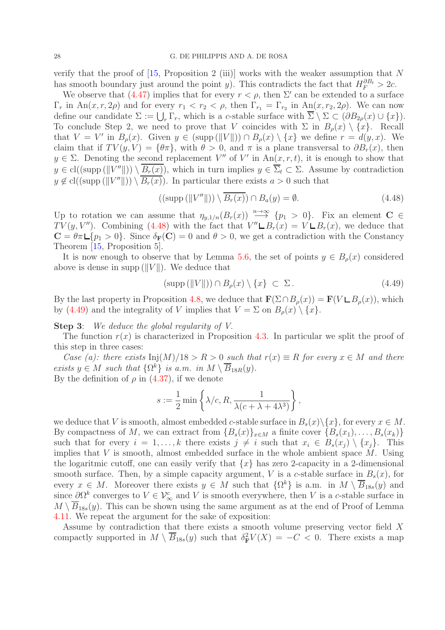verify that the proof of  $[15,$  Proposition 2 (iii)] works with the weaker assumption that N has smooth boundary just around the point y). This contradicts the fact that  $H_F^{\partial B_t} > 2c$ .

We observe that [\(4.47\)](#page-26-1) implies that for every  $r < \rho$ , then  $\Sigma'$  can be extended to a surface  $\Gamma_r$  in  $\text{An}(x, r, 2\rho)$  and for every  $r_1 < r_2 < \rho$ , then  $\Gamma_{r_1} = \Gamma_{r_2}$  in  $\text{An}(x, r_2, 2\rho)$ . We can now define our candidate  $\Sigma := \bigcup_r \Gamma_r$ , which is a c-stable surface with  $\overline{\Sigma} \setminus \Sigma \subset (\partial B_{2\rho}(x) \cup \{x\})$ . To conclude Step 2, we need to prove that V coincides with  $\Sigma$  in  $B_{\rho}(x) \setminus \{x\}$ . Recall that  $V = V'$  in  $B_{\rho}(x)$ . Given  $y \in (\text{supp}(\Vert V \Vert)) \cap B_{\rho}(x) \setminus \{x\}$  we define  $r = d(y, x)$ . We claim that if  $TV(y, V) = {\theta \pi}$ , with  $\theta > 0$ , and  $\pi$  is a plane transversal to  $\partial B_r(x)$ , then  $y \in \Sigma$ . Denoting the second replacement V'' of V' in An $(x, r, t)$ , it is enough to show that  $y \in \text{cl}((\text{supp }(\|V''\|)) \setminus B_r(x)),$  which in turn implies  $y \in \Sigma_t \subset \Sigma$ . Assume by contradiction  $y \notin \text{cl}((\text{supp }(\|V''\|)) \setminus B_r(x)).$  In particular there exists  $a > 0$  such that

<span id="page-27-0"></span>
$$
((\text{supp }(\|V''\|)) \setminus \overline{B_r(x)}) \cap B_a(y) = \emptyset. \tag{4.48}
$$

Up to rotation we can assume that  $\eta_{y,1/n}(B_r(x)) \stackrel{n\to\infty}{\longrightarrow} \{p_1 > 0\}$ . Fix an element  $C \in$  $TV(y, V'')$ . Combining [\(4.48\)](#page-27-0) with the fact that  $V'' \mathsf{L} B_r(x) = V \mathsf{L} B_r(x)$ , we deduce that  $C = \theta \pi L \{p_1 > 0\}$ . Since  $\delta_F(C) = 0$  and  $\theta > 0$ , we get a contradiction with the Constancy Theorem [\[15,](#page-36-3) Proposition 5].

It is now enough to observe that by Lemma [5.6,](#page-31-3) the set of points  $y \in B_{\rho}(x)$  considered above is dense in supp ( $||V||$ ). We deduce that

<span id="page-27-1"></span>
$$
(\text{supp }(\|V\|)) \cap B_{\rho}(x) \setminus \{x\} \subset \Sigma. \tag{4.49}
$$

By the last property in Proposition [4.8,](#page-16-2) we deduce that  $\mathbf{F}(\Sigma \cap B_{\rho}(x)) = \mathbf{F}(V \sqcup B_{\rho}(x))$ , which by [\(4.49\)](#page-27-1) and the integrality of V implies that  $V = \Sigma$  on  $B_{\rho}(x) \setminus \{x\}.$ 

Step 3: We deduce the global regularity of V.

The function  $r(x)$  is characterized in Proposition [4.3.](#page-13-0) In particular we split the proof of this step in three cases:

Case (a): there exists  $\text{Inj}(M)/18 > R > 0$  such that  $r(x) \equiv R$  for every  $x \in M$  and there exists  $y \in M$  such that  $\{\Omega^k\}$  is a.m. in  $M \setminus \overline{B}_{18R}(y)$ . By the definition of  $\rho$  in [\(4.37\)](#page-23-3), if we denote

$$
s:=\frac{1}{2}\min\left\{\lambda/c,R,\frac{1}{\lambda(c+\lambda+4\lambda^3)}\right\},
$$

we deduce that V is smooth, almost embedded c-stable surface in  $B_s(x)\setminus\{x\}$ , for every  $x \in M$ . By compactness of M, we can extract from  ${B_s(x)}_{x\in M}$  a finite cover  ${B_s(x_1), \ldots, B_s(x_k)}$ such that for every  $i = 1, ..., k$  there exists  $j \neq i$  such that  $x_i \in B_s(x_i) \setminus \{x_i\}$ . This implies that  $V$  is smooth, almost embedded surface in the whole ambient space  $M$ . Using the logaritmic cutoff, one can easily verify that  $\{x\}$  has zero 2-capacity in a 2-dimensional smooth surface. Then, by a simple capacity argument, V is a c-stable surface in  $B_s(x)$ , for every  $x \in M$ . Moreover there exists  $y \in M$  such that  $\{\Omega^k\}$  is a.m. in  $M \setminus \overline{B}_{18s}(y)$  and since  $\partial \Omega^k$  converges to  $V \in \mathcal{V}_{\infty}^c$  and V is smooth everywhere, then V is a c-stable surface in  $M \setminus \overline{B}_{18s}(y)$ . This can be shown using the same argument as at the end of Proof of Lemma [4.11.](#page-17-1) We repeat the argument for the sake of exposition:

Assume by contradiction that there exists a smooth volume preserving vector field X compactly supported in  $M \setminus \overline{B}_{18s}(y)$  such that  $\delta_{\mathbf{F}}^2 V(X) = -C < 0$ . There exists a map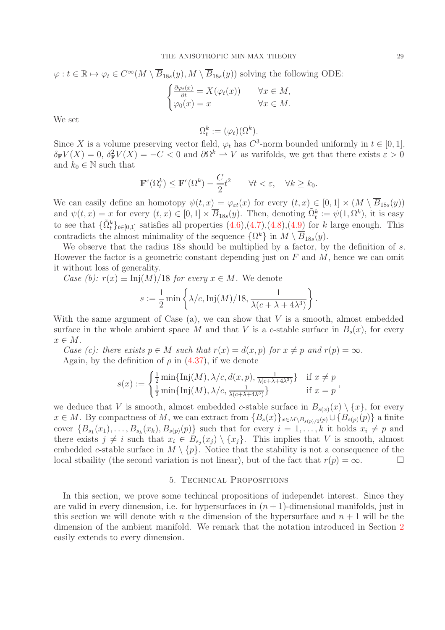$$
\varphi: t \in \mathbb{R} \mapsto \varphi_t \in C^{\infty}(M \setminus \overline{B}_{18s}(y), M \setminus \overline{B}_{18s}(y)) \text{ solving the following ODE:}
$$

$$
\begin{cases} \frac{\partial \varphi_t(x)}{\partial t} = X(\varphi_t(x)) & \forall x \in M, \\ \varphi_0(x) = x & \forall x \in M. \end{cases}
$$

We set

$$
\Omega_t^k := (\varphi_t)(\Omega^k).
$$

Since X is a volume preserving vector field,  $\varphi_t$  has  $C^3$ -norm bounded uniformly in  $t \in [0,1]$ ,  $\delta_{\mathbf{F}}V(X) = 0, \delta_{\mathbf{F}}^2V(X) = -C < 0$  and  $\partial \Omega^k \to V$  as varifolds, we get that there exists  $\varepsilon > 0$ and  $k_0 \in \mathbb{N}$  such that

$$
\mathbf{F}^c(\Omega_t^k) \le \mathbf{F}^c(\Omega^k) - \frac{C}{2}t^2 \qquad \forall t < \varepsilon, \quad \forall k \ge k_0.
$$

We can easily define an homotopy  $\psi(t, x) = \varphi_{\varepsilon t}(x)$  for every  $(t, x) \in [0, 1] \times (M \setminus \overline{B}_{18s}(y))$ and  $\psi(t,x) = x$  for every  $(t,x) \in [0,1] \times \overline{B}_{18s}(y)$ . Then, denoting  $\tilde{\Omega}_t^k := \psi(1,\Omega^k)$ , it is easy to see that  $\{\tilde{\Omega}_t^k\}_{t\in[0,1]}$  satisfies all properties  $(4.6),(4.7),(4.8),(4.9)$  $(4.6),(4.7),(4.8),(4.9)$  $(4.6),(4.7),(4.8),(4.9)$  $(4.6),(4.7),(4.8),(4.9)$  $(4.6),(4.7),(4.8),(4.9)$  $(4.6),(4.7),(4.8),(4.9)$  for k large enough. This contradicts the almost minimality of the sequence  $\{\Omega^k\}$  in  $M \setminus \overline{B}_{18s}(y)$ .

We observe that the radius 18s should be multiplied by a factor, by the definition of s. However the factor is a geometric constant depending just on  $F$  and  $M$ , hence we can omit it without loss of generality.

Case (b):  $r(x) \equiv \text{Inj}(M)/18$  for every  $x \in M$ . We denote

$$
s := \frac{1}{2} \min \left\{ \frac{\lambda}{c}, \text{Inj}(M)/18, \frac{1}{\lambda(c + \lambda + 4\lambda^3)} \right\}.
$$

With the same argument of Case  $(a)$ , we can show that V is a smooth, almost embedded surface in the whole ambient space M and that V is a c-stable surface in  $B_s(x)$ , for every  $x \in M$ .

Case (c): there exists  $p \in M$  such that  $r(x) = d(x, p)$  for  $x \neq p$  and  $r(p) = \infty$ . Again, by the definition of  $\rho$  in [\(4.37\)](#page-23-3), if we denote

$$
s(x) := \begin{cases} \frac{1}{2} \min\{\text{Inj}(M), \lambda/c, d(x, p), \frac{1}{\lambda(c + \lambda + 4\lambda^3)}\} & \text{if } x \neq p \\ \frac{1}{2} \min\{\text{Inj}(M), \lambda/c, \frac{1}{\lambda(c + \lambda + 4\lambda^3)}\} & \text{if } x = p \end{cases}
$$

we deduce that V is smooth, almost embedded c-stable surface in  $B_{s(x)}(x) \setminus \{x\}$ , for every  $x \in M$ . By compactness of M, we can extract from  $\{B_s(x)\}_{x \in M \setminus B_{s(p)/2}(p)} \cup \{B_{s(p)}(p)\}\$ a finite cover  $\{B_{s_1}(x_1),\ldots,B_{s_k}(x_k),B_{s(p)}(p)\}\$  such that for every  $i=1,\ldots,k$  it holds  $x_i\neq p$  and there exists  $j \neq i$  such that  $x_i \in B_{s_j}(x_j) \setminus \{x_j\}$ . This implies that V is smooth, almost embedded c-stable surface in  $M \setminus \{p\}$ . Notice that the stability is not a consequence of the local stbaility (the second variation is not linear), but of the fact that  $r(p) = \infty$ .

### 5. Technical Propositions

<span id="page-28-0"></span>In this section, we prove some techincal propositions of independet interest. Since they are valid in every dimension, i.e. for hypersurfaces in  $(n + 1)$ -dimensional manifolds, just in this section we will denote with n the dimension of the hypersurface and  $n + 1$  will be the dimension of the ambient manifold. We remark that the notation introduced in Section [2](#page-2-0) easily extends to every dimension.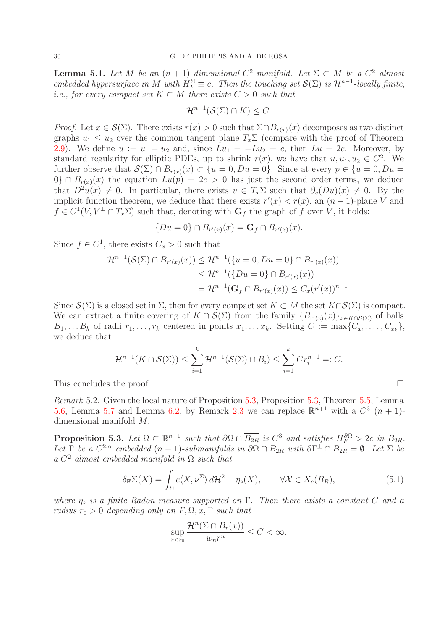<span id="page-29-0"></span>**Lemma 5.1.** Let M be an  $(n + 1)$  dimensional  $C^2$  manifold. Let  $\Sigma \subset M$  be a  $C^2$  almost embedded hypersurface in M with  $H_F^{\Sigma} \equiv c$ . Then the touching set  $\mathcal{S}(\Sigma)$  is  $\mathcal{H}^{n-1}$ -locally finite, i.e., for every compact set  $K \subset M$  there exists  $C > 0$  such that

$$
\mathcal{H}^{n-1}(\mathcal{S}(\Sigma)\cap K)\leq C.
$$

*Proof.* Let  $x \in \mathcal{S}(\Sigma)$ . There exists  $r(x) > 0$  such that  $\Sigma \cap B_{r(x)}(x)$  decomposes as two distinct graphs  $u_1 \leq u_2$  over the common tangent plane  $T_x \Sigma$  (compare with the proof of Theorem [2.9\)](#page-6-3). We define  $u := u_1 - u_2$  and, since  $Lu_1 = -Lu_2 = c$ , then  $Lu = 2c$ . Moreover, by standard regularity for elliptic PDEs, up to shrink  $r(x)$ , we have that  $u, u_1, u_2 \in C^2$ . We further observe that  $\mathcal{S}(\Sigma) \cap B_{r(x)}(x) \subset \{u = 0, Du = 0\}$ . Since at every  $p \in \{u = 0, Du = 0\}$ . 0} ∩  $B_{r(x)}(x)$  the equation  $Lu(p) = 2c > 0$  has just the second order terms, we deduce that  $D^2u(x) \neq 0$ . In particular, there exists  $v \in T_x\Sigma$  such that  $\partial_v(Du)(x) \neq 0$ . By the implicit function theorem, we deduce that there exists  $r'(x) < r(x)$ , an  $(n-1)$ -plane V and  $f \in C^1(V, V^{\perp} \cap T_x \Sigma)$  such that, denoting with  $G_f$  the graph of f over V, it holds:

$$
\{Du=0\} \cap B_{r'(x)}(x) = \mathbf{G}_f \cap B_{r'(x)}(x).
$$

Since  $f \in C^1$ , there exists  $C_x > 0$  such that

$$
\mathcal{H}^{n-1}(\mathcal{S}(\Sigma) \cap B_{r'(x)}(x)) \leq \mathcal{H}^{n-1}(\{u = 0, Du = 0\} \cap B_{r'(x)}(x))
$$
  
\n
$$
\leq \mathcal{H}^{n-1}(\{Du = 0\} \cap B_{r'(x)}(x))
$$
  
\n
$$
= \mathcal{H}^{n-1}(\mathbf{G}_f \cap B_{r'(x)}(x)) \leq C_x(r'(x))^{n-1}.
$$

Since  $\mathcal{S}(\Sigma)$  is a closed set in  $\Sigma$ , then for every compact set  $K \subset M$  the set  $K \cap \mathcal{S}(\Sigma)$  is compact. We can extract a finite covering of  $K \cap \mathcal{S}(\Sigma)$  from the family  $\{B_{r'(x)}(x)\}_{x \in K \cap \mathcal{S}(\Sigma)}$  of balls  $B_1, \ldots, B_k$  of radii  $r_1, \ldots, r_k$  centered in points  $x_1, \ldots, x_k$ . Setting  $C := \max\{C_{x_1}, \ldots, C_{x_k}\},$ we deduce that

$$
\mathcal{H}^{n-1}(K \cap \mathcal{S}(\Sigma)) \leq \sum_{i=1}^{k} \mathcal{H}^{n-1}(\mathcal{S}(\Sigma) \cap B_i) \leq \sum_{i=1}^{k} Cr_i^{n-1}=:C.
$$

This concludes the proof.

Remark 5.2. Given the local nature of Proposition [5.3,](#page-29-1) Proposition [5.3,](#page-29-1) Theorem [5.5,](#page-31-0) Lemma [5.6,](#page-31-3) Lemma [5.7](#page-32-0) and Lemma [6.2,](#page-33-2) by Remark [2.3](#page-5-3) we can replace  $\mathbb{R}^{n+1}$  with a  $C^3$   $(n+1)$ dimensional manifold M.

<span id="page-29-1"></span>**Proposition 5.3.** Let  $\Omega \subset \mathbb{R}^{n+1}$  such that  $\partial \Omega \cap \overline{B_{2R}}$  is  $C^3$  and satisfies  $H_F^{\partial\Omega} > 2c$  in  $B_{2R}$ . Let  $\Gamma$  be a  $C^{2,\alpha}$  embedded  $(n-1)$ -submanifolds in  $\partial\Omega \cap B_{2R}$  with  $\partial\Gamma^{\pm} \cap B_{2R} = \emptyset$ . Let  $\Sigma$  be a  $C^2$  almost embedded manifold in  $\Omega$  such that

<span id="page-29-2"></span>
$$
\delta_{\mathbf{F}} \Sigma(X) = \int_{\Sigma} c \langle X, \nu^{\Sigma} \rangle d\mathcal{H}^2 + \eta_s(X), \qquad \forall \mathcal{X} \in X_c(B_R), \tag{5.1}
$$

where  $\eta_s$  is a finite Radon measure supported on  $\Gamma$ . Then there exists a constant C and a radius  $r_0 > 0$  depending only on  $F, \Omega, x, \Gamma$  such that

$$
\sup_{r
$$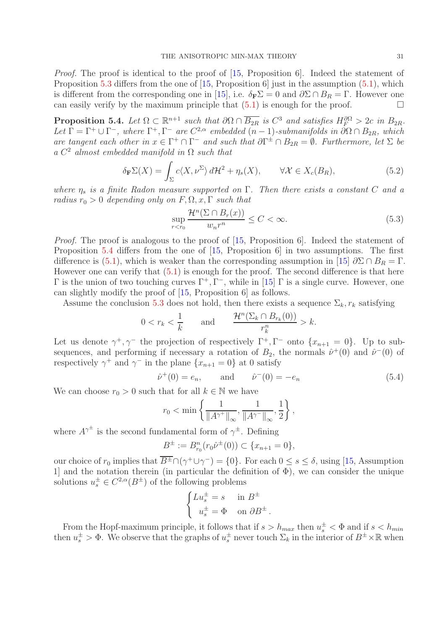Proof. The proof is identical to the proof of [\[15,](#page-36-3) Proposition 6]. Indeed the statement of Proposition [5.3](#page-29-1) differs from the one of [\[15,](#page-36-3) Proposition 6] just in the assumption  $(5.1)$ , which is different from the corresponding one in [\[15\]](#page-36-3), i.e.  $\delta_{\mathbf{F}}\Sigma = 0$  and  $\partial \Sigma \cap B_R = \Gamma$ . However one can easily verify by the maximum principle that  $(5.1)$  is enough for the proof.

<span id="page-30-0"></span>**Proposition 5.4.** Let  $\Omega \subset \mathbb{R}^{n+1}$  such that  $\partial \Omega \cap \overline{B_{2R}}$  is  $C^3$  and satisfies  $H_F^{\partial\Omega} > 2c$  in  $B_{2R}$ . Let  $\Gamma = \Gamma^+ \cup \Gamma^-$ , where  $\Gamma^+, \Gamma^-$  are  $C^{2,\alpha}$  embedded  $(n-1)$ -submanifolds in  $\partial \Omega \cap B_{2R}$ , which are tangent each other in  $x \in \Gamma^+ \cap \Gamma^-$  and such that  $\partial \Gamma^{\pm} \cap B_{2R} = \emptyset$ . Furthermore, let  $\Sigma$  be  $a C<sup>2</sup>$  almost embedded manifold in  $\Omega$  such that

$$
\delta_{\mathbf{F}} \Sigma(X) = \int_{\Sigma} c \langle X, \nu^{\Sigma} \rangle d\mathcal{H}^2 + \eta_s(X), \qquad \forall \mathcal{X} \in X_c(B_R), \tag{5.2}
$$

where  $\eta_s$  is a finite Radon measure supported on  $\Gamma$ . Then there exists a constant C and a radius  $r_0 > 0$  depending only on  $F, \Omega, x, \Gamma$  such that

<span id="page-30-1"></span>
$$
\sup_{r < r_0} \frac{\mathcal{H}^n(\Sigma \cap B_r(x))}{w_n r^n} \le C < \infty. \tag{5.3}
$$

Proof. The proof is analogous to the proof of [\[15,](#page-36-3) Proposition 6]. Indeed the statement of Proposition [5.4](#page-30-0) differs from the one of [\[15,](#page-36-3) Proposition 6] in two assumptions. The first difference is [\(5.1\)](#page-29-2), which is weaker than the corresponding assumption in [\[15\]](#page-36-3)  $\partial \Sigma \cap B_R = \Gamma$ . However one can verify that  $(5.1)$  is enough for the proof. The second difference is that here  $Γ$  is the union of two touching curves  $Γ<sup>+</sup>, Γ<sup>-</sup>,$  while in [\[15\]](#page-36-3) Γ is a single curve. However, one can slightly modify the proof of [\[15,](#page-36-3) Proposition 6] as follows.

Assume the conclusion [5.3](#page-30-1) does not hold, then there exists a sequence  $\Sigma_k$ ,  $r_k$  satisfying

$$
0 < r_k < \frac{1}{k} \qquad \text{and} \qquad \frac{\mathcal{H}^n(\Sigma_k \cap B_{r_k}(0))}{r_k^n} > k.
$$

Let us denote  $\gamma^+$ ,  $\gamma^-$  the projection of respectively  $\Gamma^+$ ,  $\Gamma^-$  onto  $\{x_{n+1} = 0\}$ . Up to subsequences, and performing if necessary a rotation of  $B_2$ , the normals  $\hat{\nu}^+(0)$  and  $\hat{\nu}^-(0)$  of respectively  $\gamma^+$  and  $\gamma^-$  in the plane  $\{x_{n+1} = 0\}$  at 0 satisfy

<span id="page-30-2"></span>
$$
\hat{\nu}^+(0) = e_n
$$
, and  $\hat{\nu}^-(0) = -e_n$  (5.4)

We can choose  $r_0 > 0$  such that for all  $k \in \mathbb{N}$  we have

$$
r_0 < \min \left\{ \frac{1}{\|A^{\gamma^+}\|_{\infty}}, \frac{1}{\|A^{\gamma^-}\|_{\infty}}, \frac{1}{2} \right\},\,
$$

where  $A^{\gamma^{\pm}}$  is the second fundamental form of  $\gamma^{\pm}$ . Defining

$$
B^{\pm} := B_{r_0}^n(r_0\hat{\nu}^{\pm}(0)) \subset \{x_{n+1} = 0\},\
$$

our choice of  $r_0$  implies that  $\overline{B^{\pm}} \cap (\gamma^+ \cup \gamma^-) = \{0\}$ . For each  $0 \le s \le \delta$ , using [\[15,](#page-36-3) Assumption 1] and the notation therein (in particular the definition of  $\Phi$ ), we can consider the unique solutions  $u_s^{\pm} \in C^{2,\alpha}(B^{\pm})$  of the following problems

$$
\begin{cases} Lu_s^{\pm} = s & \text{in } B^{\pm} \\ u_s^{\pm} = \Phi & \text{on } \partial B^{\pm} \end{cases}
$$

From the Hopf-maximum principle, it follows that if  $s > h_{max}$  then  $u_s^{\pm} < \Phi$  and if  $s < h_{min}$ then  $u_s^{\pm} > \Phi$ . We observe that the graphs of  $u_s^{\pm}$  never touch  $\Sigma_k$  in the interior of  $B^{\pm} \times \mathbb{R}$  when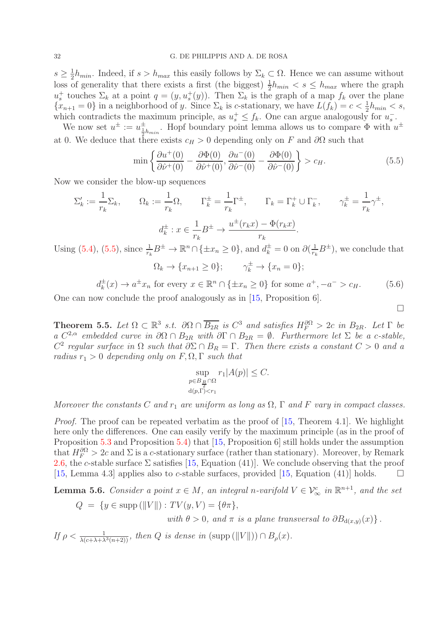$s\geq \frac{1}{2}$  $\frac{1}{2}h_{min}$ . Indeed, if  $s > h_{max}$  this easily follows by  $\Sigma_k \subset \Omega$ . Hence we can assume without loss of generality that there exists a first (the biggest)  $\frac{1}{2}h_{min} < s \leq h_{max}$  where the graph  $u_s^+$  touches  $\Sigma_k$  at a point  $q = (y, u_s^+(y))$ . Then  $\Sigma_k$  is the graph of a map  $f_k$  over the plane  ${x_{n+1}=0}$  in a neighborhood of y. Since  $\Sigma_k$  is c-stationary, we have  $L(f_k) = c < \frac{1}{2}h_{min} < s$ , which contradicts the maximum principle, as  $u_s^+ \leq f_k$ . One can argue analogously for  $u_s^-$ .

We now set  $u^{\pm} := u^{\pm}_{\frac{1}{2}h_{min}}$ . Hopf boundary point lemma allows us to compare  $\Phi$  with  $u^{\pm}$ at 0. We deduce that there exists  $c_H > 0$  depending only on F and  $\partial\Omega$  such that

<span id="page-31-1"></span>
$$
\min\left\{\frac{\partial u^+(0)}{\partial \hat{\nu}^+(0)} - \frac{\partial \Phi(0)}{\partial \hat{\nu}^+(0)}, \frac{\partial u^-(0)}{\partial \hat{\nu}^-(0)} - \frac{\partial \Phi(0)}{\partial \hat{\nu}^-(0)}\right\} > c_H.
$$
\n(5.5)

Now we consider the blow-up sequences

$$
\Sigma'_{k} := \frac{1}{r_{k}} \Sigma_{k}, \qquad \Omega_{k} := \frac{1}{r_{k}} \Omega, \qquad \Gamma_{k}^{\pm} = \frac{1}{r_{k}} \Gamma^{\pm}, \qquad \Gamma_{k} = \Gamma_{k}^{+} \cup \Gamma_{k}^{-}, \qquad \gamma_{k}^{\pm} = \frac{1}{r_{k}} \gamma^{\pm},
$$

$$
d_{k}^{\pm} : x \in \frac{1}{r_{k}} B^{\pm} \to \frac{u^{\pm}(r_{k}x) - \Phi(r_{k}x)}{r_{k}}.
$$

$$
\mathfrak{g} \quad (5.4) \quad (5.5) \text{ since } \frac{1}{r_{k}} B^{\pm} \to \mathbb{R}^{n} \cap \{+x \to 0\} \text{ and } d^{\pm} = 0 \text{ on } \partial(\frac{1}{r_{k}} B^{\pm}) \text{ we conclude that}
$$

Using [\(5.4\)](#page-30-2), [\(5.5\)](#page-31-1), since  $\frac{1}{r_k}B^{\pm} \to \mathbb{R}^n \cap {\{\pm x_n \geq 0\}}$ , and  $d_k^{\pm} = 0$  on  $\partial(\frac{1}{r_k})$  $\frac{1}{r_k}B^{\pm}$ ), we conclude that  $\Omega_k \to \{x_{n+1} \geq 0\}; \qquad \gamma_k^{\pm} \to \{x_n = 0\};$ 

<span id="page-31-2"></span>
$$
d_k^{\pm}(x) \to a^{\pm}x_n \text{ for every } x \in \mathbb{R}^n \cap \{\pm x_n \ge 0\} \text{ for some } a^+, -a^- > c_H. \tag{5.6}
$$

 $\Box$ 

One can now conclude the proof analogously as in [\[15,](#page-36-3) Proposition 6].

<span id="page-31-0"></span>**Theorem 5.5.** Let  $\Omega \subset \mathbb{R}^3$  s.t.  $\partial \Omega \cap \overline{B_{2R}}$  is  $C^3$  and satisfies  $H_F^{\partial\Omega} > 2c$  in  $B_{2R}$ . Let  $\Gamma$  be a  $C^{2,\alpha}$  embedded curve in  $\partial\Omega \cap B_{2R}$  with  $\partial \Gamma \cap B_{2R} = \emptyset$ . Furthermore let  $\Sigma$  be a c-stable,  $C^2$  regular surface in  $\Omega$  such that  $\partial \Sigma \cap B_R = \Gamma$ . Then there exists a constant  $C > 0$  and a radius  $r_1 > 0$  depending only on  $F, \Omega, \Gamma$  such that

$$
\sup_{\substack{p \in B_{\frac{R}{2}} \cap \Omega \\ d(p,\Gamma) < r_1}} r_1 |A(p)| \leq C.
$$

Moreover the constants C and  $r_1$  are uniform as long as  $\Omega$ ,  $\Gamma$  and F vary in compact classes.

Proof. The proof can be repeated verbatim as the proof of [\[15,](#page-36-3) Theorem 4.1]. We highlight here only the differences. One can easily verify by the maximum principle (as in the proof of Proposition [5.3](#page-29-1) and Proposition [5.4\)](#page-30-0) that [\[15,](#page-36-3) Proposition 6] still holds under the assumption that  $H_F^{\partial\Omega} > 2c$  and  $\Sigma$  is a c-stationary surface (rather than stationary). Moreover, by Remark [2.6,](#page-6-0) the c-stable surface  $\Sigma$  satisfies [\[15,](#page-36-3) Equation (41)]. We conclude observing that the proof [\[15,](#page-36-3) Lemma 4.3] applies also to c-stable surfaces, provided [\[15,](#page-36-3) Equation (41)] holds.  $\square$ 

<span id="page-31-3"></span>**Lemma 5.6.** Consider a point  $x \in M$ , an integral n-varifold  $V \in \mathcal{V}_{\infty}^c$  in  $\mathbb{R}^{n+1}$ , and the set

$$
Q = \{ y \in \text{supp}(\|V\|) : TV(y, V) = \{\theta \pi\},
$$
  
with  $\theta > 0$ , and  $\pi$  is a plane transversal to  $\partial B_{d(x,y)}(x) \}.$ 

If 
$$
\rho < \frac{1}{\lambda(c + \lambda + \lambda^3(n+2))}
$$
, then Q is dense in (supp ( $||V||$ ))  $\cap$   $B_{\rho}(x)$ .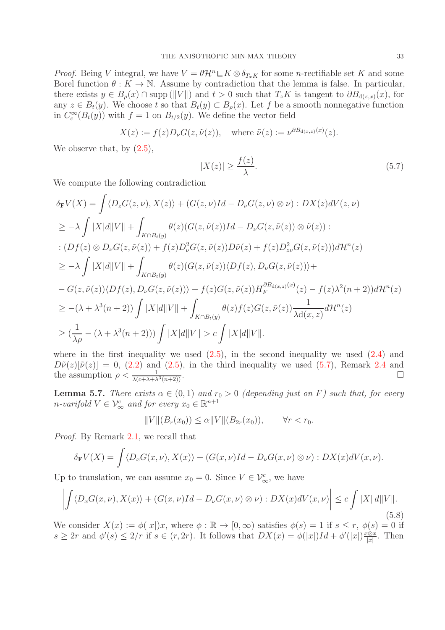*Proof.* Being V integral, we have  $V = \theta \mathcal{H}^n \mathcal{L} K \otimes \delta_{T_x K}$  for some *n*-rectifiable set K and some Borel function  $\theta : K \to \mathbb{N}$ . Assume by contradiction that the lemma is false. In particular, there exists  $y \in B_o(x) \cap \text{supp} (||V||)$  and  $t > 0$  such that  $T_zK$  is tangent to  $\partial B_{d(z,x)}(x)$ , for any  $z \in B_t(y)$ . We choose t so that  $B_t(y) \subset B_\rho(x)$ . Let f be a smooth nonnegative function in  $C_c^{\infty}(B_t(y))$  with  $f = 1$  on  $B_{t/2}(y)$ . We define the vector field

$$
X(z) := f(z)D_{\nu}G(z, \tilde{\nu}(z)), \quad \text{where } \tilde{\nu}(z) := \nu^{\partial B_{\mathrm{d}(x,z)}(x)}(z).
$$

We observe that, by  $(2.5)$ ,

<span id="page-32-1"></span>
$$
|X(z)| \ge \frac{f(z)}{\lambda}.\tag{5.7}
$$

We compute the following contradiction

$$
\delta_{\mathbf{F}}V(X) = \int \langle D_{z}G(z,\nu), X(z) \rangle + (G(z,\nu)Id - D_{\nu}G(z,\nu) \otimes \nu) : DX(z)dV(z,\nu)
$$
  
\n
$$
\geq -\lambda \int |X|d||V|| + \int_{K \cap B_{t}(y)} \theta(z)(G(z,\tilde{\nu}(z))Id - D_{\nu}G(z,\tilde{\nu}(z)) \otimes \tilde{\nu}(z)) :
$$
  
\n
$$
\therefore (Df(z) \otimes D_{\nu}G(z,\tilde{\nu}(z)) + f(z)D_{\nu}^{2}G(z,\tilde{\nu}(z))D\tilde{\nu}(z) + f(z)D_{z\nu}^{2}G(z,\tilde{\nu}(z)))d\mathcal{H}^{n}(z)
$$
  
\n
$$
\geq -\lambda \int |X|d||V|| + \int_{K \cap B_{t}(y)} \theta(z)(G(z,\tilde{\nu}(z))\langle Df(z), D_{\nu}G(z,\tilde{\nu}(z))) +
$$
  
\n
$$
-G(z,\tilde{\nu}(z))\langle Df(z), D_{\nu}G(z,\tilde{\nu}(z))) + f(z)G(z,\tilde{\nu}(z))H_{F}^{\partial B_{d(x,z)}(x)}(z) - f(z)\lambda^{2}(n+2))d\mathcal{H}^{n}(z)
$$
  
\n
$$
\geq -(\lambda + \lambda^{3}(n+2)) \int |X|d||V|| + \int_{K \cap B_{t}(y)} \theta(z)f(z)G(z,\tilde{\nu}(z)) \frac{1}{\lambda d(x,z)}d\mathcal{H}^{n}(z)
$$
  
\n
$$
\geq (\frac{1}{\lambda\rho} - (\lambda + \lambda^{3}(n+2))) \int |X|d||V|| > c \int |X|d||V||.
$$

where in the first inequality we used  $(2.5)$ , in the second inequality we used  $(2.4)$  and  $D\tilde{\nu}(z)[\tilde{\nu}(z)] = 0$ , [\(2.2\)](#page-4-0) and [\(2.5\)](#page-4-1), in the third inequality we used [\(5.7\)](#page-32-1), Remark [2.4](#page-5-5) and the assumption  $\rho < \frac{1}{\lambda(c+\lambda+\lambda^3(n+2))}$ .

<span id="page-32-0"></span>**Lemma 5.7.** There exists  $\alpha \in (0,1)$  and  $r_0 > 0$  (depending just on F) such that, for every *n*-varifold  $V \in \mathcal{V}_{\infty}^c$  and for every  $x_0 \in \mathbb{R}^{n+1}$ 

$$
||V||(B_r(x_0)) \le \alpha ||V||(B_{2r}(x_0)), \qquad \forall r < r_0.
$$

Proof. By Remark [2.1,](#page-4-3) we recall that

$$
\delta_{\mathbf{F}}V(X) = \int \langle D_x G(x,\nu), X(x) \rangle + (G(x,\nu)Id - D_{\nu}G(x,\nu) \otimes \nu) : DX(x)dV(x,\nu).
$$

Up to translation, we can assume  $x_0 = 0$ . Since  $V \in \mathcal{V}^c_{\infty}$ , we have

<span id="page-32-2"></span>
$$
\left| \int \langle D_x G(x,\nu), X(x) \rangle + (G(x,\nu)Id - D_\nu G(x,\nu) \otimes \nu) : DX(x)dV(x,\nu) \right| \le c \int |X| d||V||. \tag{5.8}
$$

We consider  $X(x) := \phi(|x|)x$ , where  $\phi : \mathbb{R} \to [0, \infty)$  satisfies  $\phi(s) = 1$  if  $s \leq r$ ,  $\phi(s) = 0$  if  $s \geq 2r$  and  $\phi'(s) \leq 2/r$  if  $s \in (r, 2r)$ . It follows that  $DX(x) = \phi(|x|)Id + \phi'(|x|) \frac{x \otimes x}{|x|}$  $\frac{c \otimes x}{|x|}$ . Then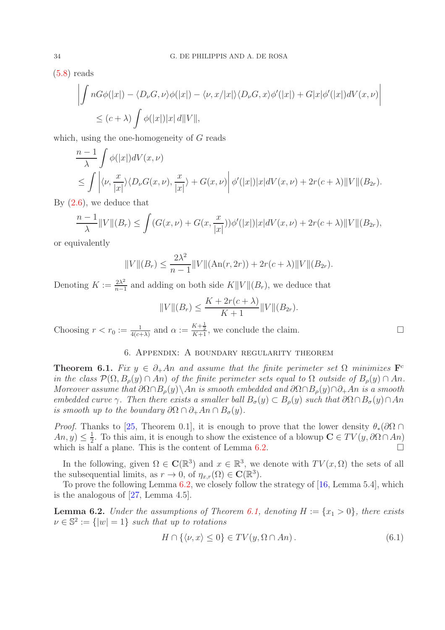[\(5.8\)](#page-32-2) reads

$$
\left| \int nG\phi(|x|) - \langle D_{\nu}G, \nu \rangle \phi(|x|) - \langle \nu, x/|x| \rangle \langle D_{\nu}G, x \rangle \phi'(|x|) + G|x| \phi'(|x|) dV(x, \nu) \right|
$$
  
 
$$
\leq (c + \lambda) \int \phi(|x|) |x| d||V||,
$$

which, using the one-homogeneity of G reads

$$
\frac{n-1}{\lambda} \int \phi(|x|) dV(x, \nu) \n\leq \int \left| \langle \nu, \frac{x}{|x|} \rangle \langle D_{\nu}G(x, \nu), \frac{x}{|x|} \rangle + G(x, \nu) \right| \phi'(|x|) |x| dV(x, \nu) + 2r(c + \lambda) ||V|| (B_{2r}).
$$

By [\(2.6\)](#page-5-0), we deduce that

$$
\frac{n-1}{\lambda} ||V||(B_r) \le \int (G(x,\nu) + G(x,\frac{x}{|x|}))\phi'(|x|)|x|dV(x,\nu) + 2r(c+\lambda) ||V||(B_{2r}),
$$

or equivalently

$$
||V||(B_r) \le \frac{2\lambda^2}{n-1} ||V||(\text{An}(r, 2r)) + 2r(c+\lambda) ||V|| (B_{2r}).
$$

Denoting  $K := \frac{2\lambda^2}{n-1}$  $\frac{2\lambda^2}{n-1}$  and adding on both side  $K||V||(B_r)$ , we deduce that

$$
||V||(B_r) \le \frac{K + 2r(c+\lambda)}{K+1}||V||(B_{2r}).
$$

<span id="page-33-1"></span>Choosing  $r < r_0 := \frac{1}{4(c+\lambda)}$  and  $\alpha := \frac{K+\frac{1}{2}}{K+1}$ , we conclude the claim.

# 6. Appendix: A boundary regularity theorem

<span id="page-33-0"></span>**Theorem 6.1.** Fix  $y \in \partial_{+} A n$  and assume that the finite perimeter set  $\Omega$  minimizes  $\mathbf{F}^c$ in the class  $\mathcal{P}(\Omega, B_o(y) \cap An)$  of the finite perimeter sets equal to  $\Omega$  outside of  $B_o(y) \cap An$ . Moreover assume that  $\partial \Omega \cap B_o(y) \setminus An$  is smooth embedded and  $\partial \Omega \cap B_o(y) \cap \partial_+ An$  is a smooth embedded curve γ. Then there exists a smaller ball  $B_{\sigma}(y) \subset B_{\rho}(y)$  such that  $\partial \Omega \cap B_{\sigma}(y) \cap An$ is smooth up to the boundary  $\partial\Omega \cap \partial_+ An \cap B_{\sigma}(y)$ .

*Proof.* Thanks to [\[25,](#page-36-20) Theorem 0.1], it is enough to prove that the lower density  $\theta_*(\partial\Omega \cap$  $An, y) \leq \frac{1}{2}$  $\frac{1}{2}$ . To this aim, it is enough to show the existence of a blowup  $\mathbf{C} \in TV(y, \partial \Omega \cap An)$ which is half a plane. This is the content of Lemma  $6.2$ .

In the following, given  $\Omega \in \mathbb{C}(\mathbb{R}^3)$  and  $x \in \mathbb{R}^3$ , we denote with  $TV(x, \Omega)$  the sets of all the subsequential limits, as  $r \to 0$ , of  $\eta_{x,r}(\Omega) \in \mathbb{C}(\mathbb{R}^3)$ .

To prove the following Lemma [6.2,](#page-33-2) we closely follow the strategy of [\[16,](#page-36-16) Lemma 5.4], which is the analogous of [\[27,](#page-36-21) Lemma 4.5].

<span id="page-33-2"></span>**Lemma 6.2.** Under the assumptions of Theorem [6.1,](#page-33-0) denoting  $H := \{x_1 > 0\}$ , there exists  $\nu \in \mathbb{S}^2 := \{ |w| = 1 \}$  such that up to rotations

<span id="page-33-3"></span>
$$
H \cap \{ \langle \nu, x \rangle \le 0 \} \in TV(y, \Omega \cap An). \tag{6.1}
$$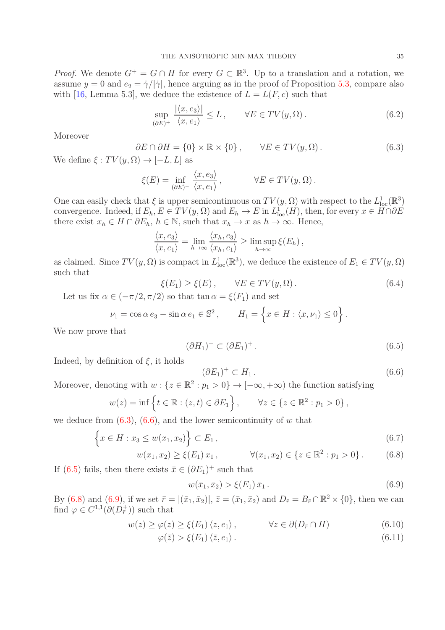*Proof.* We denote  $G^+ = G \cap H$  for every  $G \subset \mathbb{R}^3$ . Up to a translation and a rotation, we assume  $y = 0$  and  $e_2 = \dot{\gamma}/|\dot{\gamma}|$ , hence arguing as in the proof of Proposition [5.3,](#page-29-1) compare also with [\[16,](#page-36-16) Lemma 5.3], we deduce the existence of  $L = L(F, c)$  such that

<span id="page-34-7"></span>
$$
\sup_{(\partial E)^+} \frac{|\langle x, e_3 \rangle|}{\langle x, e_1 \rangle} \le L, \qquad \forall E \in TV(y, \Omega).
$$
 (6.2)

Moreover

<span id="page-34-0"></span>
$$
\partial E \cap \partial H = \{0\} \times \mathbb{R} \times \{0\}, \qquad \forall E \in TV(y, \Omega).
$$
\n(6.3)

We define  $\xi : TV(y, \Omega) \rightarrow [-L, L]$  as

$$
\xi(E) = \inf_{(\partial E)^+} \frac{\langle x, e_3 \rangle}{\langle x, e_1 \rangle}, \qquad \forall E \in TV(y, \Omega).
$$

One can easily check that  $\xi$  is upper semicontinuous on  $TV(y, \Omega)$  with respect to the  $L^1_{loc}(\mathbb{R}^3)$ convergence. Indeed, if  $E_h, E \in TV(y, \Omega)$  and  $E_h \to E$  in  $L^1_{loc}(H)$ , then, for every  $x \in H \cap \partial E$ there exist  $x_h \in H \cap \partial E_h$ ,  $h \in \mathbb{N}$ , such that  $x_h \to x$  as  $h \to \infty$ . Hence,

$$
\frac{\langle x, e_3 \rangle}{\langle x, e_1 \rangle} = \lim_{h \to \infty} \frac{\langle x_h, e_3 \rangle}{\langle x_h, e_1 \rangle} \ge \limsup_{h \to \infty} \xi(E_h),
$$

as claimed. Since  $TV(y, \Omega)$  is compact in  $L^1_{loc}(\mathbb{R}^3)$ , we deduce the existence of  $E_1 \in TV(y, \Omega)$ such that

<span id="page-34-6"></span>
$$
\xi(E_1) \ge \xi(E), \qquad \forall E \in TV(y, \Omega). \tag{6.4}
$$

Let us fix  $\alpha \in (-\pi/2, \pi/2)$  so that  $\tan \alpha = \xi(F_1)$  and set

$$
\nu_1 = \cos \alpha \, e_3 - \sin \alpha \, e_1 \in \mathbb{S}^2 \,, \qquad H_1 = \left\{ x \in H : \langle x, \nu_1 \rangle \le 0 \right\}.
$$

We now prove that

<span id="page-34-2"></span>
$$
(\partial H_1)^+ \subset (\partial E_1)^+ \,. \tag{6.5}
$$

Indeed, by definition of  $\xi$ , it holds

<span id="page-34-1"></span>
$$
(\partial E_1)^+ \subset H_1. \tag{6.6}
$$

Moreover, denoting with  $w: \{z \in \mathbb{R}^2 : p_1 > 0\} \to [-\infty, +\infty)$  the function satisfying

$$
w(z) = \inf \left\{ t \in \mathbb{R} : (z, t) \in \partial E_1 \right\}, \qquad \forall z \in \left\{ z \in \mathbb{R}^2 : p_1 > 0 \right\},\
$$

we deduce from  $(6.3)$ ,  $(6.6)$ , and the lower semicontinuity of w that

<span id="page-34-3"></span>
$$
\{x \in H : x_3 \le w(x_1, x_2)\} \subset E_1,
$$
\n(6.7)

$$
w(x_1, x_2) \ge \xi(E_1) x_1, \qquad \forall (x_1, x_2) \in \{z \in \mathbb{R}^2 : p_1 > 0\}.
$$
 (6.8)

If [\(6.5\)](#page-34-2) fails, then there exists  $\bar{x} \in (\partial E_1)^+$  such that

<span id="page-34-4"></span>
$$
w(\bar{x}_1, \bar{x}_2) > \xi(E_1) \bar{x}_1.
$$
\n(6.9)

By [\(6.8\)](#page-34-3) and [\(6.9\)](#page-34-4), if we set  $\bar{r} = |(\bar{x}_1, \bar{x}_2)|$ ,  $\bar{z} = (\bar{x}_1, \bar{x}_2)$  and  $D_{\bar{r}} = B_{\bar{r}} \cap \mathbb{R}^2 \times \{0\}$ , then we can find  $\varphi \in C^{1,1}(\partial (D^+_{\overline{r}}))$  such that

<span id="page-34-5"></span>
$$
w(z) \ge \varphi(z) \ge \xi(E_1) \langle z, e_1 \rangle, \qquad \forall z \in \partial(D_{\bar{r}} \cap H) \tag{6.10}
$$

$$
\varphi(\bar{z}) > \xi(E_1) \langle \bar{z}, e_1 \rangle. \tag{6.11}
$$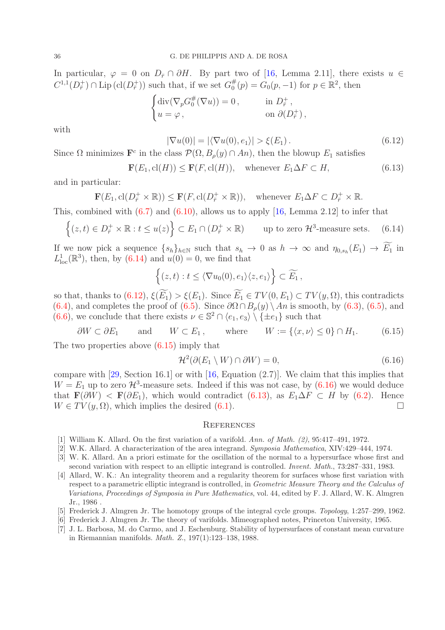In particular,  $\varphi = 0$  on  $D_{\bar{r}} \cap \partial H$ . By part two of [\[16,](#page-36-16) Lemma 2.11], there exists  $u \in$  $C^{1,1}(D^+_{\overline{r}}) \cap \text{Lip}\left(\text{cl}(D^+_{\overline{r}})\right)$  such that, if we set  $G_0^{\#}$  $_{0}^{\#}(p) = G_{0}(p, -1)$  for  $p \in \mathbb{R}^{2}$ , then

$$
\begin{cases} \operatorname{div}(\nabla_p G_0^{\#}(\nabla u)) = 0, & \text{in } D^+_{\bar{r}}, \\ u = \varphi, & \text{on } \partial(D^+_{\bar{r}}), \end{cases}
$$

with

<span id="page-35-8"></span>
$$
|\nabla u(0)| = |\langle \nabla u(0), e_1 \rangle| > \xi(E_1).
$$
\n(6.12)

Since  $\Omega$  minimizes  $\mathbf{F}^c$  in the class  $\mathcal{P}(\Omega, B_\rho(y) \cap An)$ , then the blowup  $E_1$  satisfies

<span id="page-35-11"></span>
$$
\mathbf{F}(E_1, \text{cl}(H)) \le \mathbf{F}(F, \text{cl}(H)), \quad \text{whenever } E_1 \Delta F \subset H,
$$
\n(6.13)

and in particular:

$$
\mathbf{F}(E_1, \text{cl}(D^+_{\overline{r}} \times \mathbb{R})) \leq \mathbf{F}(F, \text{cl}(D^+_{\overline{r}} \times \mathbb{R})), \text{ whenever } E_1 \Delta F \subset D^+_{\overline{r}} \times \mathbb{R}.
$$

This, combined with  $(6.7)$  and  $(6.10)$ , allows us to apply [\[16,](#page-36-16) Lemma 2.12] to infer that

<span id="page-35-7"></span>
$$
\left\{ (z,t) \in D_{\bar{r}}^{+} \times \mathbb{R} : t \le u(z) \right\} \subset E_1 \cap (D_{\bar{r}}^{+} \times \mathbb{R}) \qquad \text{up to zero } \mathcal{H}^3 \text{-measure sets.} \tag{6.14}
$$

If we now pick a sequence  $\{s_h\}_{h\in\mathbb{N}}$  such that  $s_h \to 0$  as  $h \to \infty$  and  $\eta_{0,s_h}(E_1) \to E_1$  in  $L^1_{\text{loc}}(\mathbb{R}^3)$ , then, by [\(6.14\)](#page-35-7) and  $u(0) = 0$ , we find that

$$
\{(z,t):t\leq \langle \nabla u_0(0),e_1\rangle\langle z,e_1\rangle\}\subset \widetilde{E_1},
$$

so that, thanks to  $(6.12)$ ,  $\xi(\widetilde{E_1}) > \xi(E_1)$ . Since  $\widetilde{E_1} \in TV(0, E_1) \subset TV(y, \Omega)$ , this contradicts [\(6.4\)](#page-34-6), and completes the proof of [\(6.5\)](#page-34-2). Since  $\partial\Omega \cap B_{\rho}(y) \setminus An$  is smooth, by [\(6.3\)](#page-34-0), (6.5), and  $(6.6)$ , we conclude that there exists  $\nu \in \mathbb{S}^2 \cap \langle e_1, e_3 \rangle \setminus \{\pm e_1\}$  such that

<span id="page-35-9"></span> $\partial W \subset \partial E_1$  and  $W \subset E_1$ , where  $W := \{ \langle x, \nu \rangle \leq 0 \} \cap H_1.$  (6.15) The two properties above [\(6.15\)](#page-35-9) imply that

<span id="page-35-10"></span>
$$
\mathcal{H}^2(\partial(E_1 \setminus W) \cap \partial W) = 0,\tag{6.16}
$$

compare with  $[29, Section 16.1]$  or with  $[16, Equation (2.7)]$ . We claim that this implies that  $W = E_1$  up to zero  $\mathcal{H}^3$ -measure sets. Indeed if this was not case, by  $(6.16)$  we would deduce that  $\mathbf{F}(\partial W) < \mathbf{F}(\partial E_1)$ , which would contradict [\(6.13\)](#page-35-11), as  $E_1 \Delta F \subset H$  by [\(6.2\)](#page-34-7). Hence  $W \in TV(y, \Omega)$ , which implies the desired [\(6.1\)](#page-33-3).

### **REFERENCES**

- <span id="page-35-4"></span><span id="page-35-3"></span>[1] William K. Allard. On the first variation of a varifold. Ann. of Math. (2), 95:417–491, 1972.
- <span id="page-35-0"></span>[2] W.K. Allard. A characterization of the area integrand. Symposia Mathematica, XIV:429–444, 1974.
- [3] W. K. Allard. An a priori estimate for the oscillation of the normal to a hypersurface whose first and second variation with respect to an elliptic integrand is controlled. Invent. Math., 73:287–331, 1983.
- <span id="page-35-5"></span>[4] Allard, W. K.: An integrality theorem and a regularity theorem for surfaces whose first variation with respect to a parametric elliptic integrand is controlled, in Geometric Measure Theory and the Calculus of Variations, Proceedings of Symposia in Pure Mathematics, vol. 44, edited by F. J. Allard, W. K. Almgren Jr., 1986 .
- <span id="page-35-2"></span><span id="page-35-1"></span>[5] Frederick J. Almgren Jr. The homotopy groups of the integral cycle groups. Topology, 1:257–299, 1962.
- <span id="page-35-6"></span>[6] Frederick J. Almgren Jr. The theory of varifolds. Mimeographed notes, Princeton University, 1965.
- [7] J. L. Barbosa, M. do Carmo, and J. Eschenburg. Stability of hypersurfaces of constant mean curvature in Riemannian manifolds. Math. Z., 197(1):123–138, 1988.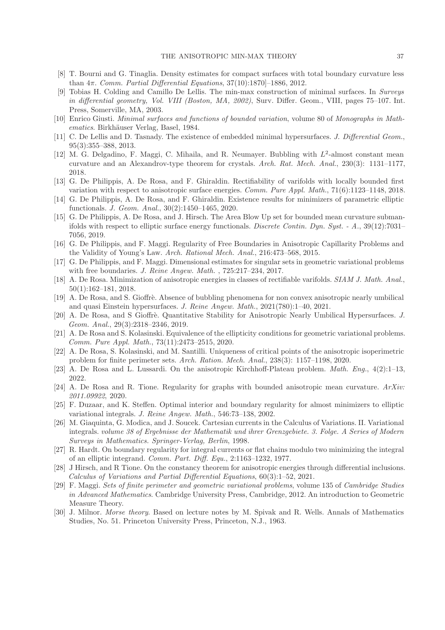- <span id="page-36-15"></span><span id="page-36-0"></span>[8] T. Bourni and G. Tinaglia. Density estimates for compact surfaces with total boundary curvature less than  $4\pi$ . Comm. Partial Differential Equations, 37(10):1870[-1886, 2012.
- [9] Tobias H. Colding and Camillo De Lellis. The min-max construction of minimal surfaces. In Surveys in differential geometry, Vol. VIII (Boston, MA, 2002), Surv. Differ. Geom., VIII, pages 75–107. Int. Press, Somerville, MA, 2003.
- <span id="page-36-19"></span><span id="page-36-1"></span>[10] Enrico Giusti. Minimal surfaces and functions of bounded variation, volume 80 of Monographs in Mathematics. Birkhäuser Verlag, Basel, 1984.
- [11] C. De Lellis and D. Tasnady. The existence of embedded minimal hypersurfaces. J. Differential Geom., 95(3):355–388, 2013.
- <span id="page-36-6"></span>[12] M. G. Delgadino, F. Maggi, C. Mihaila, and R. Neumayer. Bubbling with  $L^2$ -almost constant mean curvature and an Alexandrov-type theorem for crystals. Arch. Rat. Mech. Anal., 230(3): 1131–1177, 2018.
- <span id="page-36-2"></span>[13] G. De Philippis, A. De Rosa, and F. Ghiraldin. Rectifiability of varifolds with locally bounded first variation with respect to anisotropic surface energies. Comm. Pure Appl. Math., 71(6):1123–1148, 2018.
- <span id="page-36-7"></span>[14] G. De Philippis, A. De Rosa, and F. Ghiraldin. Existence results for minimizers of parametric elliptic functionals. J. Geom. Anal., 30(2):1450–1465, 2020.
- <span id="page-36-3"></span>[15] G. De Philippis, A. De Rosa, and J. Hirsch. The Area Blow Up set for bounded mean curvature submanifolds with respect to elliptic surface energy functionals. Discrete Contin. Dyn. Syst. - A., 39(12):7031– 7056, 2019.
- <span id="page-36-16"></span><span id="page-36-4"></span>[16] G. De Philippis, and F. Maggi. Regularity of Free Boundaries in Anisotropic Capillarity Problems and the Validity of Young's Law. Arch. Rational Mech. Anal., 216:473–568, 2015.
- <span id="page-36-8"></span>[17] G. De Philippis, and F. Maggi. Dimensional estimates for singular sets in geometric variational problems with free boundaries. J. Reine Angew. Math. , 725:217–234, 2017.
- [18] A. De Rosa. Minimization of anisotropic energies in classes of rectifiable varifolds. SIAM J. Math. Anal., 50(1):162–181, 2018.
- <span id="page-36-9"></span>[19] A. De Rosa, and S. Gioffrè. Absence of bubbling phenomena for non convex anisotropic nearly umbilical and quasi Einstein hypersurfaces. J. Reine Angew. Math., 2021(780):1–40, 2021.
- <span id="page-36-10"></span>[20] A. De Rosa, and S Gioffrè. Quantitative Stability for Anisotropic Nearly Umbilical Hypersurfaces. J. Geom. Anal., 29(3):2318–2346, 2019.
- <span id="page-36-5"></span>[21] A. De Rosa and S. Kolasinski. Equivalence of the ellipticity conditions for geometric variational problems. Comm. Pure Appl. Math., 73(11):2473–2515, 2020.
- <span id="page-36-11"></span>[22] A. De Rosa, S. Kolasinski, and M. Santilli. Uniqueness of critical points of the anisotropic isoperimetric problem for finite perimeter sets. Arch. Ration. Mech. Anal., 238(3): 1157–1198, 2020.
- <span id="page-36-13"></span><span id="page-36-12"></span>[23] A. De Rosa and L. Lussardi. On the anisotropic Kirchhoff-Plateau problem. Math. Eng., 4(2):1–13, 2022.
- [24] A. De Rosa and R. Tione. Regularity for graphs with bounded anisotropic mean curvature. ArXiv: 2011.09922, 2020.
- <span id="page-36-20"></span>[25] F. Duzaar, and K. Steffen. Optimal interior and boundary regularity for almost minimizers to elliptic variational integrals. J. Reine Angew. Math., 546:73–138, 2002.
- <span id="page-36-18"></span>[26] M. Giaquinta, G. Modica, and J. Soucek. Cartesian currents in the Calculus of Variations. II. Variational integrals. volume 38 of Ergebnisse der Mathematik und ihrer Grenzgebiete. 3. Folge. A Series of Modern Surveys in Mathematics. Springer-Verlag, Berlin, 1998.
- <span id="page-36-21"></span>[27] R. Hardt. On boundary regularity for integral currents or flat chains modulo two minimizing the integral of an elliptic integrand. Comm. Part. Diff. Equ., 2:1163–1232, 1977.
- <span id="page-36-14"></span>[28] J Hirsch, and R Tione. On the constancy theorem for anisotropic energies through differential inclusions. Calculus of Variations and Partial Differential Equations, 60(3):1–52, 2021.
- <span id="page-36-22"></span>[29] F. Maggi. Sets of finite perimeter and geometric variational problems, volume 135 of Cambridge Studies in Advanced Mathematics. Cambridge University Press, Cambridge, 2012. An introduction to Geometric Measure Theory.
- <span id="page-36-17"></span>[30] J. Milnor. Morse theory. Based on lecture notes by M. Spivak and R. Wells. Annals of Mathematics Studies, No. 51. Princeton University Press, Princeton, N.J., 1963.